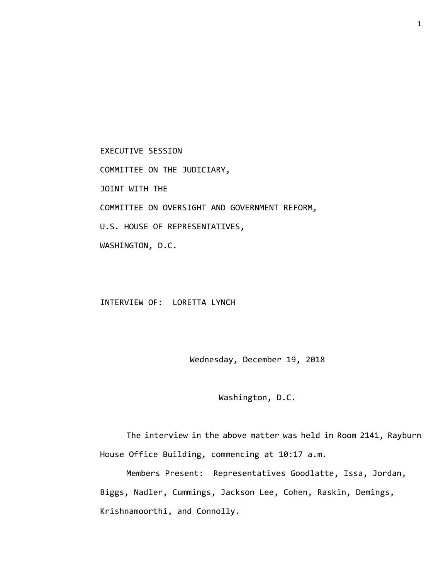EXECUTIVE SESSION COMMITTEE ON THE JUDICIARY, JOINT WITH THE COMMITTEE ON OVERSIGHT AND GOVERNMENT REFORM, U.S. HOUSE OF REPRESENTATIVES, WASHINGTON, D.C.

INTERVIEW OF: LORETTA LYNCH

Wednesday, December 19, 2018

Washington, D.C.

The interview in the above matter was held in Room 2141, Rayburn House Office Building, commencing at 10:17 a.m.

Members Present: Representatives Goodlatte, Issa, Jordan, Biggs, Nadler, Cummings, Jackson Lee, Cohen, Raskin, Demings, Krishnamoorthi, and Connolly.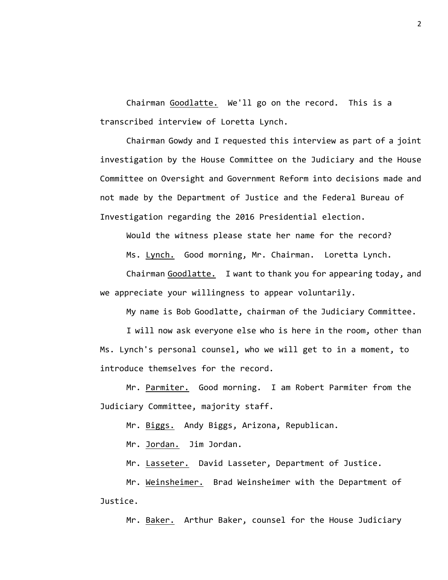Chairman Goodlatte. We'll go on the record. This is a transcribed interview of Loretta Lynch.

Chairman Gowdy and I requested this interview as part of a joint investigation by the House Committee on the Judiciary and the House Committee on Oversight and Government Reform into decisions made and not made by the Department of Justice and the Federal Bureau of Investigation regarding the 2016 Presidential election.

Would the witness please state her name for the record?

Ms. Lynch. Good morning, Mr. Chairman. Loretta Lynch.

Chairman Goodlatte. I want to thank you for appearing today, and we appreciate your willingness to appear voluntarily.

My name is Bob Goodlatte, chairman of the Judiciary Committee.

I will now ask everyone else who is here in the room, other than Ms. Lynch's personal counsel, who we will get to in a moment, to introduce themselves for the record.

Mr. Parmiter. Good morning. I am Robert Parmiter from the Judiciary Committee, majority staff.

Mr. Biggs. Andy Biggs, Arizona, Republican.

Mr. Jordan. Jim Jordan.

Mr. Lasseter. David Lasseter, Department of Justice.

Mr. Weinsheimer. Brad Weinsheimer with the Department of Justice.

Mr. Baker. Arthur Baker, counsel for the House Judiciary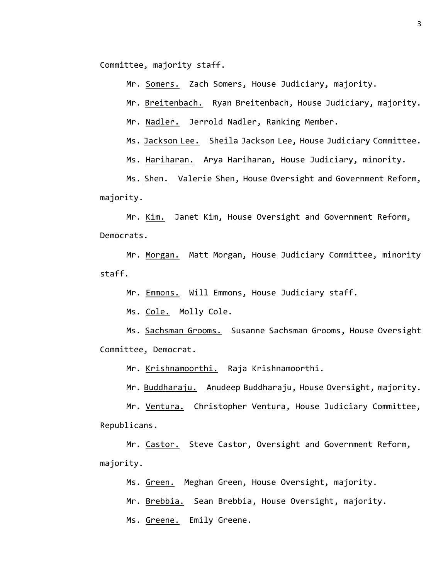Committee, majority staff.

Mr. Somers. Zach Somers, House Judiciary, majority.

Mr. Breitenbach. Ryan Breitenbach, House Judiciary, majority.

Mr. Nadler. Jerrold Nadler, Ranking Member.

Ms. Jackson Lee. Sheila Jackson Lee, House Judiciary Committee.

Ms. Hariharan. Arya Hariharan, House Judiciary, minority.

Ms. Shen. Valerie Shen, House Oversight and Government Reform, majority.

Mr. Kim. Janet Kim, House Oversight and Government Reform, Democrats.

Mr. Morgan. Matt Morgan, House Judiciary Committee, minority staff.

Mr. Emmons. Will Emmons, House Judiciary staff.

Ms. Cole. Molly Cole.

Ms. Sachsman Grooms. Susanne Sachsman Grooms, House Oversight Committee, Democrat.

Mr. Krishnamoorthi. Raja Krishnamoorthi.

Mr. Buddharaju. Anudeep Buddharaju, House Oversight, majority.

Mr. Ventura. Christopher Ventura, House Judiciary Committee, Republicans.

Mr. Castor. Steve Castor, Oversight and Government Reform, majority.

Ms. Green. Meghan Green, House Oversight, majority.

Mr. Brebbia. Sean Brebbia, House Oversight, majority.

Ms. Greene. Emily Greene.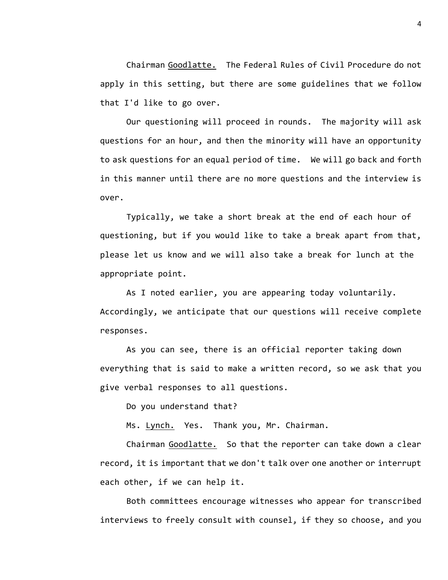Chairman Goodlatte. The Federal Rules of Civil Procedure do not apply in this setting, but there are some guidelines that we follow that I'd like to go over.

Our questioning will proceed in rounds. The majority will ask questions for an hour, and then the minority will have an opportunity to ask questions for an equal period of time. We will go back and forth in this manner until there are no more questions and the interview is over.

Typically, we take a short break at the end of each hour of questioning, but if you would like to take a break apart from that, please let us know and we will also take a break for lunch at the appropriate point.

As I noted earlier, you are appearing today voluntarily. Accordingly, we anticipate that our questions will receive complete responses.

As you can see, there is an official reporter taking down everything that is said to make a written record, so we ask that you give verbal responses to all questions.

Do you understand that?

Ms. Lynch. Yes. Thank you, Mr. Chairman.

Chairman Goodlatte. So that the reporter can take down a clear record, it is important that we don't talk over one another or interrupt each other, if we can help it.

Both committees encourage witnesses who appear for transcribed interviews to freely consult with counsel, if they so choose, and you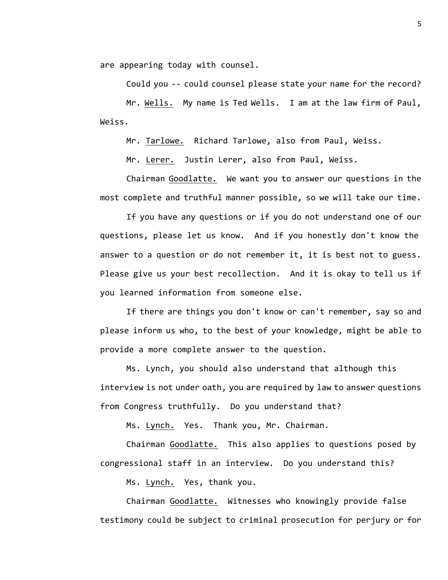are appearing today with counsel.

Could you -- could counsel please state your name for the record?

Mr. Wells. My name is Ted Wells. I am at the law firm of Paul, Weiss.

Mr. Tarlowe. Richard Tarlowe, also from Paul, Weiss.

Mr. Lerer. Justin Lerer, also from Paul, Weiss.

Chairman Goodlatte. We want you to answer our questions in the most complete and truthful manner possible, so we will take our time.

If you have any questions or if you do not understand one of our questions, please let us know. And if you honestly don't know the answer to a question or do not remember it, it is best not to guess. Please give us your best recollection. And it is okay to tell us if you learned information from someone else.

If there are things you don't know or can't remember, say so and please inform us who, to the best of your knowledge, might be able to provide a more complete answer to the question.

Ms. Lynch, you should also understand that although this interview is not under oath, you are required by law to answer questions from Congress truthfully. Do you understand that?

Ms. Lynch. Yes. Thank you, Mr. Chairman.

Chairman Goodlatte. This also applies to questions posed by congressional staff in an interview. Do you understand this?

Ms. Lynch. Yes, thank you.

Chairman Goodlatte. Witnesses who knowingly provide false testimony could be subject to criminal prosecution for perjury or for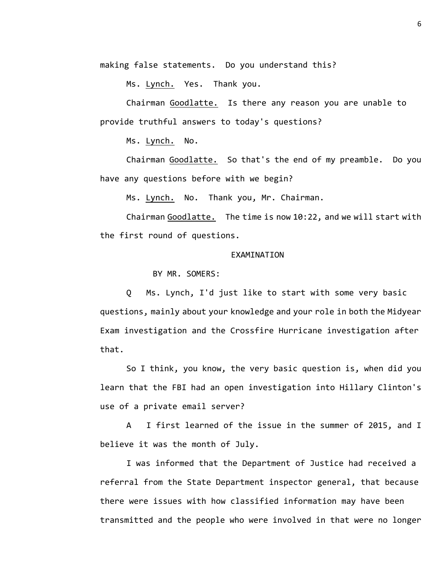making false statements. Do you understand this?

Ms. Lynch. Yes. Thank you.

Chairman Goodlatte. Is there any reason you are unable to provide truthful answers to today's questions?

Ms. Lynch. No.

Chairman Goodlatte. So that's the end of my preamble. Do you have any questions before with we begin?

Ms. Lynch. No. Thank you, Mr. Chairman.

Chairman Goodlatte. The time is now 10:22, and we will start with the first round of questions.

## EXAMINATION

BY MR. SOMERS:

Q Ms. Lynch, I'd just like to start with some very basic questions, mainly about your knowledge and your role in both the Midyear Exam investigation and the Crossfire Hurricane investigation after that.

So I think, you know, the very basic question is, when did you learn that the FBI had an open investigation into Hillary Clinton's use of a private email server?

A I first learned of the issue in the summer of 2015, and I believe it was the month of July.

I was informed that the Department of Justice had received a referral from the State Department inspector general, that because there were issues with how classified information may have been transmitted and the people who were involved in that were no longer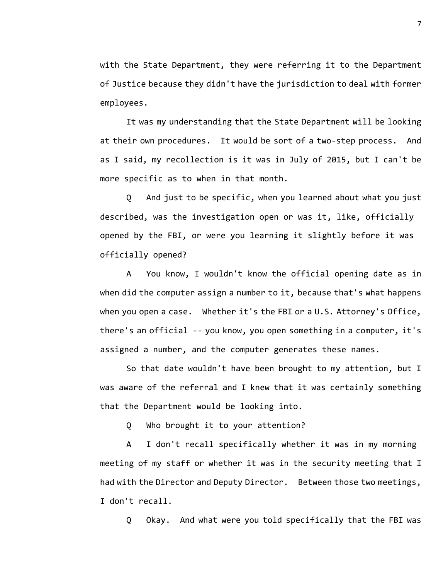with the State Department, they were referring it to the Department of Justice because they didn't have the jurisdiction to deal with former employees.

It was my understanding that the State Department will be looking at their own procedures. It would be sort of a two-step process. And as I said, my recollection is it was in July of 2015, but I can't be more specific as to when in that month.

Q And just to be specific, when you learned about what you just described, was the investigation open or was it, like, officially opened by the FBI, or were you learning it slightly before it was officially opened?

A You know, I wouldn't know the official opening date as in when did the computer assign a number to it, because that's what happens when you open a case. Whether it's the FBI or a U.S. Attorney's Office, there's an official -- you know, you open something in a computer, it's assigned a number, and the computer generates these names.

So that date wouldn't have been brought to my attention, but I was aware of the referral and I knew that it was certainly something that the Department would be looking into.

Q Who brought it to your attention?

A I don't recall specifically whether it was in my morning meeting of my staff or whether it was in the security meeting that I had with the Director and Deputy Director. Between those two meetings, I don't recall.

Q Okay. And what were you told specifically that the FBI was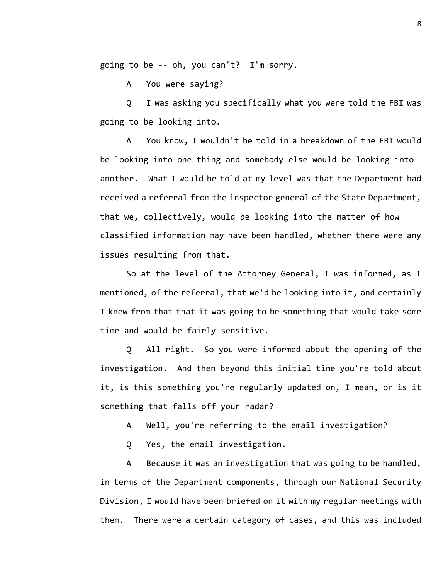going to be -- oh, you can't? I'm sorry.

A You were saying?

Q I was asking you specifically what you were told the FBI was going to be looking into.

A You know, I wouldn't be told in a breakdown of the FBI would be looking into one thing and somebody else would be looking into another. What I would be told at my level was that the Department had received a referral from the inspector general of the State Department, that we, collectively, would be looking into the matter of how classified information may have been handled, whether there were any issues resulting from that.

So at the level of the Attorney General, I was informed, as I mentioned, of the referral, that we'd be looking into it, and certainly I knew from that that it was going to be something that would take some time and would be fairly sensitive.

Q All right. So you were informed about the opening of the investigation. And then beyond this initial time you're told about it, is this something you're regularly updated on, I mean, or is it something that falls off your radar?

A Well, you're referring to the email investigation?

Q Yes, the email investigation.

A Because it was an investigation that was going to be handled, in terms of the Department components, through our National Security Division, I would have been briefed on it with my regular meetings with them. There were a certain category of cases, and this was included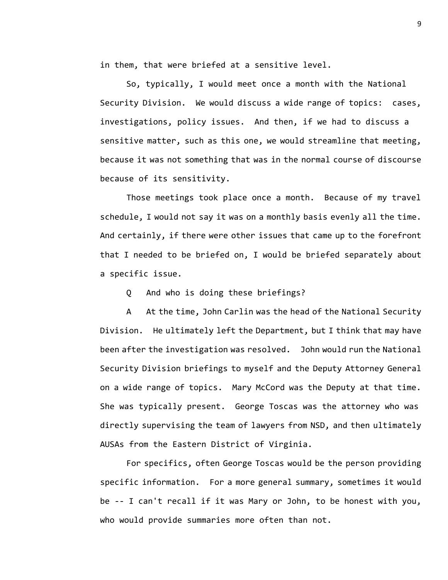in them, that were briefed at a sensitive level.

So, typically, I would meet once a month with the National Security Division. We would discuss a wide range of topics: cases, investigations, policy issues. And then, if we had to discuss a sensitive matter, such as this one, we would streamline that meeting, because it was not something that was in the normal course of discourse because of its sensitivity.

Those meetings took place once a month. Because of my travel schedule, I would not say it was on a monthly basis evenly all the time. And certainly, if there were other issues that came up to the forefront that I needed to be briefed on, I would be briefed separately about a specific issue.

Q And who is doing these briefings?

A At the time, John Carlin was the head of the National Security Division. He ultimately left the Department, but I think that may have been after the investigation was resolved. John would run the National Security Division briefings to myself and the Deputy Attorney General on a wide range of topics. Mary McCord was the Deputy at that time. She was typically present. George Toscas was the attorney who was directly supervising the team of lawyers from NSD, and then ultimately AUSAs from the Eastern District of Virginia.

For specifics, often George Toscas would be the person providing specific information. For a more general summary, sometimes it would be -- I can't recall if it was Mary or John, to be honest with you, who would provide summaries more often than not.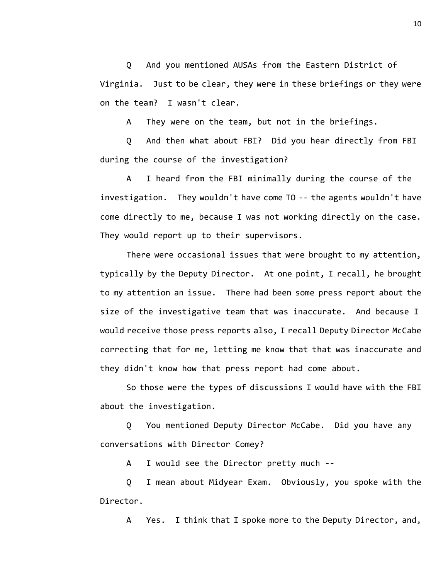Q And you mentioned AUSAs from the Eastern District of Virginia. Just to be clear, they were in these briefings or they were on the team? I wasn't clear.

A They were on the team, but not in the briefings.

Q And then what about FBI? Did you hear directly from FBI during the course of the investigation?

A I heard from the FBI minimally during the course of the investigation. They wouldn't have come TO -- the agents wouldn't have come directly to me, because I was not working directly on the case. They would report up to their supervisors.

There were occasional issues that were brought to my attention, typically by the Deputy Director. At one point, I recall, he brought to my attention an issue. There had been some press report about the size of the investigative team that was inaccurate. And because I would receive those press reports also, I recall Deputy Director McCabe correcting that for me, letting me know that that was inaccurate and they didn't know how that press report had come about.

So those were the types of discussions I would have with the FBI about the investigation.

Q You mentioned Deputy Director McCabe. Did you have any conversations with Director Comey?

A I would see the Director pretty much --

Q I mean about Midyear Exam. Obviously, you spoke with the Director.

A Yes. I think that I spoke more to the Deputy Director, and,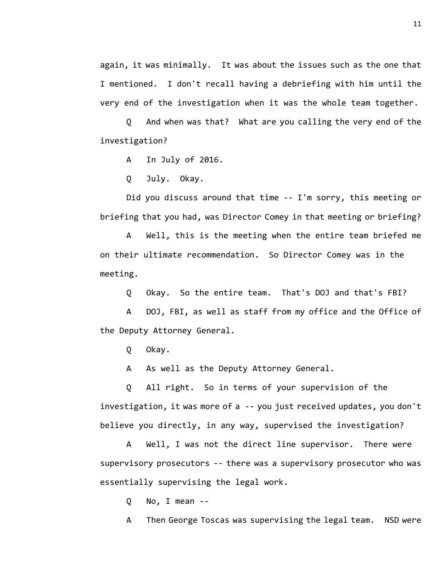again, it was minimally. It was about the issues such as the one that I mentioned. I don't recall having a debriefing with him until the very end of the investigation when it was the whole team together.

Q And when was that? What are you calling the very end of the investigation?

A In July of 2016.

Q July. Okay.

Did you discuss around that time -- I'm sorry, this meeting or briefing that you had, was Director Comey in that meeting or briefing?

A Well, this is the meeting when the entire team briefed me on their ultimate recommendation. So Director Comey was in the meeting.

Q Okay. So the entire team. That's DOJ and that's FBI?

A DOJ, FBI, as well as staff from my office and the Office of the Deputy Attorney General.

Q Okay.

A As well as the Deputy Attorney General.

Q All right. So in terms of your supervision of the investigation, it was more of a -- you just received updates, you don't believe you directly, in any way, supervised the investigation?

A Well, I was not the direct line supervisor. There were supervisory prosecutors -- there was a supervisory prosecutor who was essentially supervising the legal work.

Q No, I mean --

A Then George Toscas was supervising the legal team. NSD were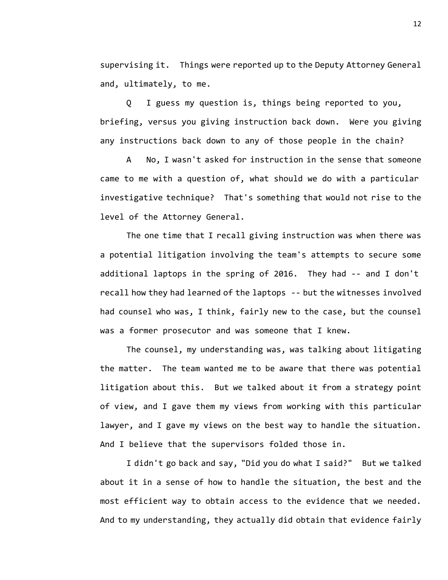supervising it. Things were reported up to the Deputy Attorney General and, ultimately, to me.

Q I guess my question is, things being reported to you, briefing, versus you giving instruction back down. Were you giving any instructions back down to any of those people in the chain?

A No, I wasn't asked for instruction in the sense that someone came to me with a question of, what should we do with a particular investigative technique? That's something that would not rise to the level of the Attorney General.

The one time that I recall giving instruction was when there was a potential litigation involving the team's attempts to secure some additional laptops in the spring of 2016. They had -- and I don't recall how they had learned of the laptops -- but the witnesses involved had counsel who was, I think, fairly new to the case, but the counsel was a former prosecutor and was someone that I knew.

The counsel, my understanding was, was talking about litigating the matter. The team wanted me to be aware that there was potential litigation about this. But we talked about it from a strategy point of view, and I gave them my views from working with this particular lawyer, and I gave my views on the best way to handle the situation. And I believe that the supervisors folded those in.

I didn't go back and say, "Did you do what I said?" But we talked about it in a sense of how to handle the situation, the best and the most efficient way to obtain access to the evidence that we needed. And to my understanding, they actually did obtain that evidence fairly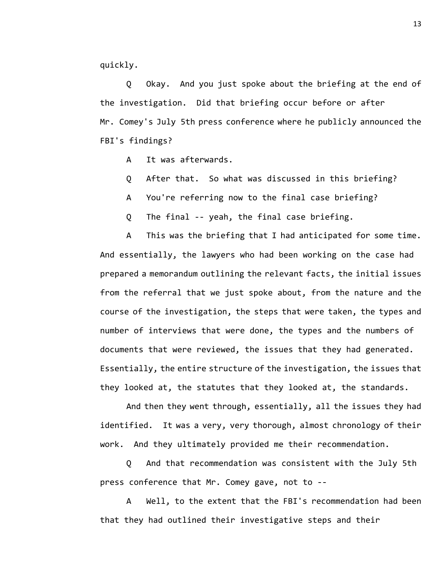quickly.

Q Okay. And you just spoke about the briefing at the end of the investigation. Did that briefing occur before or after Mr. Comey's July 5th press conference where he publicly announced the FBI's findings?

A It was afterwards.

- Q After that. So what was discussed in this briefing?
- A You're referring now to the final case briefing?
- Q The final -- yeah, the final case briefing.

A This was the briefing that I had anticipated for some time. And essentially, the lawyers who had been working on the case had prepared a memorandum outlining the relevant facts, the initial issues from the referral that we just spoke about, from the nature and the course of the investigation, the steps that were taken, the types and number of interviews that were done, the types and the numbers of documents that were reviewed, the issues that they had generated. Essentially, the entire structure of the investigation, the issues that they looked at, the statutes that they looked at, the standards.

And then they went through, essentially, all the issues they had identified. It was a very, very thorough, almost chronology of their work. And they ultimately provided me their recommendation.

Q And that recommendation was consistent with the July 5th press conference that Mr. Comey gave, not to --

A Well, to the extent that the FBI's recommendation had been that they had outlined their investigative steps and their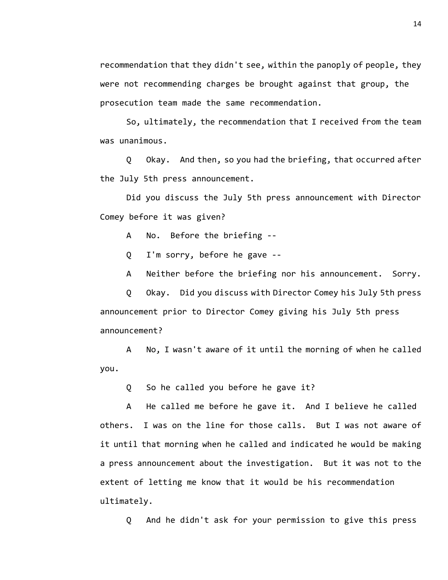recommendation that they didn't see, within the panoply of people, they were not recommending charges be brought against that group, the prosecution team made the same recommendation.

So, ultimately, the recommendation that I received from the team was unanimous.

Q Okay. And then, so you had the briefing, that occurred after the July 5th press announcement.

Did you discuss the July 5th press announcement with Director Comey before it was given?

A No. Before the briefing --

Q I'm sorry, before he gave --

A Neither before the briefing nor his announcement. Sorry.

Q Okay. Did you discuss with Director Comey his July 5th press announcement prior to Director Comey giving his July 5th press announcement?

A No, I wasn't aware of it until the morning of when he called you.

Q So he called you before he gave it?

A He called me before he gave it. And I believe he called others. I was on the line for those calls. But I was not aware of it until that morning when he called and indicated he would be making a press announcement about the investigation. But it was not to the extent of letting me know that it would be his recommendation ultimately.

Q And he didn't ask for your permission to give this press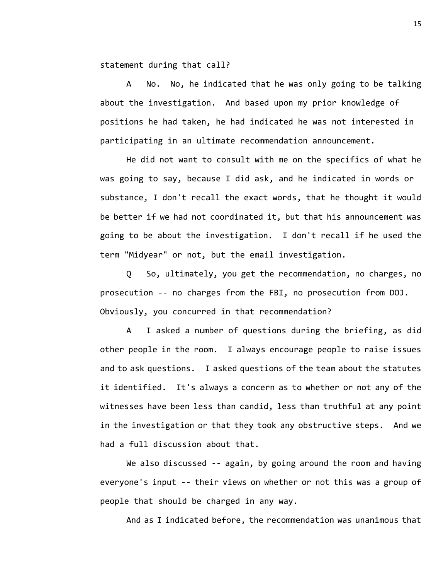statement during that call?

A No. No, he indicated that he was only going to be talking about the investigation. And based upon my prior knowledge of positions he had taken, he had indicated he was not interested in participating in an ultimate recommendation announcement.

He did not want to consult with me on the specifics of what he was going to say, because I did ask, and he indicated in words or substance, I don't recall the exact words, that he thought it would be better if we had not coordinated it, but that his announcement was going to be about the investigation. I don't recall if he used the term "Midyear" or not, but the email investigation.

Q So, ultimately, you get the recommendation, no charges, no prosecution -- no charges from the FBI, no prosecution from DOJ. Obviously, you concurred in that recommendation?

A I asked a number of questions during the briefing, as did other people in the room. I always encourage people to raise issues and to ask questions. I asked questions of the team about the statutes it identified. It's always a concern as to whether or not any of the witnesses have been less than candid, less than truthful at any point in the investigation or that they took any obstructive steps. And we had a full discussion about that.

We also discussed -- again, by going around the room and having everyone's input -- their views on whether or not this was a group of people that should be charged in any way.

And as I indicated before, the recommendation was unanimous that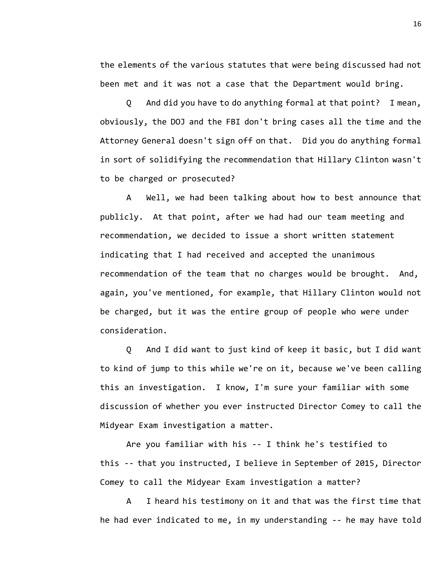the elements of the various statutes that were being discussed had not been met and it was not a case that the Department would bring.

Q And did you have to do anything formal at that point? I mean, obviously, the DOJ and the FBI don't bring cases all the time and the Attorney General doesn't sign off on that. Did you do anything formal in sort of solidifying the recommendation that Hillary Clinton wasn't to be charged or prosecuted?

A Well, we had been talking about how to best announce that publicly. At that point, after we had had our team meeting and recommendation, we decided to issue a short written statement indicating that I had received and accepted the unanimous recommendation of the team that no charges would be brought. And, again, you've mentioned, for example, that Hillary Clinton would not be charged, but it was the entire group of people who were under consideration.

Q And I did want to just kind of keep it basic, but I did want to kind of jump to this while we're on it, because we've been calling this an investigation. I know, I'm sure your familiar with some discussion of whether you ever instructed Director Comey to call the Midyear Exam investigation a matter.

Are you familiar with his -- I think he's testified to this -- that you instructed, I believe in September of 2015, Director Comey to call the Midyear Exam investigation a matter?

A I heard his testimony on it and that was the first time that he had ever indicated to me, in my understanding -- he may have told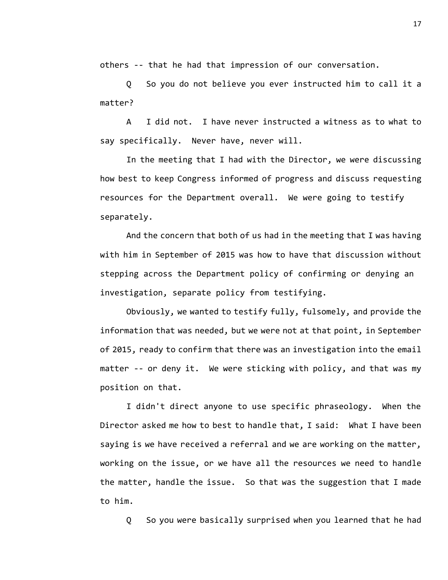others -- that he had that impression of our conversation.

Q So you do not believe you ever instructed him to call it a matter?

A I did not. I have never instructed a witness as to what to say specifically. Never have, never will.

In the meeting that I had with the Director, we were discussing how best to keep Congress informed of progress and discuss requesting resources for the Department overall. We were going to testify separately.

And the concern that both of us had in the meeting that I was having with him in September of 2015 was how to have that discussion without stepping across the Department policy of confirming or denying an investigation, separate policy from testifying.

Obviously, we wanted to testify fully, fulsomely, and provide the information that was needed, but we were not at that point, in September of 2015, ready to confirm that there was an investigation into the email matter -- or deny it. We were sticking with policy, and that was my position on that.

I didn't direct anyone to use specific phraseology. When the Director asked me how to best to handle that, I said: What I have been saying is we have received a referral and we are working on the matter, working on the issue, or we have all the resources we need to handle the matter, handle the issue. So that was the suggestion that I made to him.

Q So you were basically surprised when you learned that he had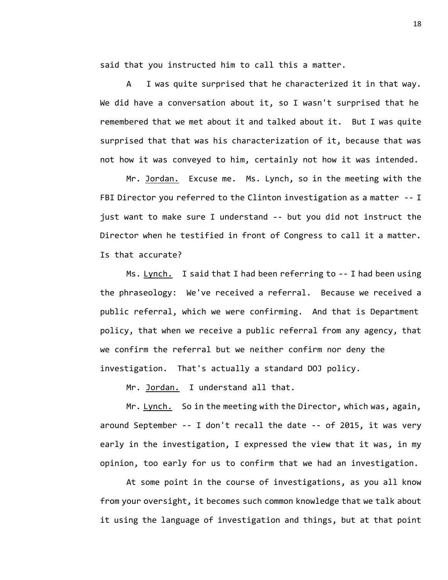said that you instructed him to call this a matter.

A I was quite surprised that he characterized it in that way. We did have a conversation about it, so I wasn't surprised that he remembered that we met about it and talked about it. But I was quite surprised that that was his characterization of it, because that was not how it was conveyed to him, certainly not how it was intended.

Mr. Jordan. Excuse me. Ms. Lynch, so in the meeting with the FBI Director you referred to the Clinton investigation as a matter -- I just want to make sure I understand -- but you did not instruct the Director when he testified in front of Congress to call it a matter. Is that accurate?

Ms. Lynch. I said that I had been referring to -- I had been using the phraseology: We've received a referral. Because we received a public referral, which we were confirming. And that is Department policy, that when we receive a public referral from any agency, that we confirm the referral but we neither confirm nor deny the investigation. That's actually a standard DOJ policy.

Mr. Jordan. I understand all that.

Mr. Lynch. So in the meeting with the Director, which was, again, around September -- I don't recall the date -- of 2015, it was very early in the investigation, I expressed the view that it was, in my opinion, too early for us to confirm that we had an investigation.

At some point in the course of investigations, as you all know from your oversight, it becomes such common knowledge that we talk about it using the language of investigation and things, but at that point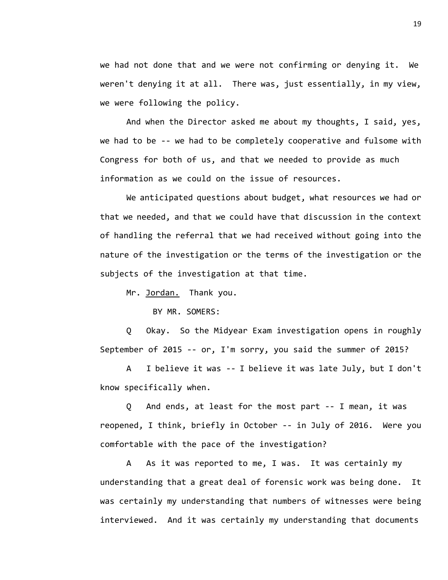we had not done that and we were not confirming or denying it. We weren't denying it at all. There was, just essentially, in my view, we were following the policy.

And when the Director asked me about my thoughts, I said, yes, we had to be -- we had to be completely cooperative and fulsome with Congress for both of us, and that we needed to provide as much information as we could on the issue of resources.

We anticipated questions about budget, what resources we had or that we needed, and that we could have that discussion in the context of handling the referral that we had received without going into the nature of the investigation or the terms of the investigation or the subjects of the investigation at that time.

Mr. Jordan. Thank you.

BY MR. SOMERS:

Q Okay. So the Midyear Exam investigation opens in roughly September of 2015 -- or, I'm sorry, you said the summer of 2015?

A I believe it was -- I believe it was late July, but I don't know specifically when.

Q And ends, at least for the most part -- I mean, it was reopened, I think, briefly in October -- in July of 2016. Were you comfortable with the pace of the investigation?

A As it was reported to me, I was. It was certainly my understanding that a great deal of forensic work was being done. It was certainly my understanding that numbers of witnesses were being interviewed. And it was certainly my understanding that documents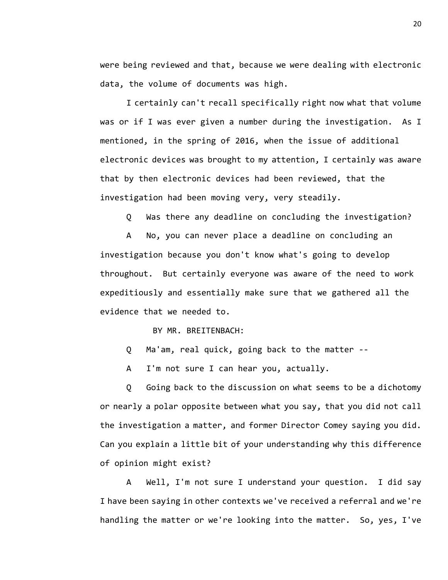were being reviewed and that, because we were dealing with electronic data, the volume of documents was high.

I certainly can't recall specifically right now what that volume was or if I was ever given a number during the investigation. As I mentioned, in the spring of 2016, when the issue of additional electronic devices was brought to my attention, I certainly was aware that by then electronic devices had been reviewed, that the investigation had been moving very, very steadily.

Q Was there any deadline on concluding the investigation?

A No, you can never place a deadline on concluding an investigation because you don't know what's going to develop throughout. But certainly everyone was aware of the need to work expeditiously and essentially make sure that we gathered all the evidence that we needed to.

BY MR. BREITENBACH:

Q Ma'am, real quick, going back to the matter --

A I'm not sure I can hear you, actually.

Q Going back to the discussion on what seems to be a dichotomy or nearly a polar opposite between what you say, that you did not call the investigation a matter, and former Director Comey saying you did. Can you explain a little bit of your understanding why this difference of opinion might exist?

A Well, I'm not sure I understand your question. I did say I have been saying in other contexts we've received a referral and we're handling the matter or we're looking into the matter. So, yes, I've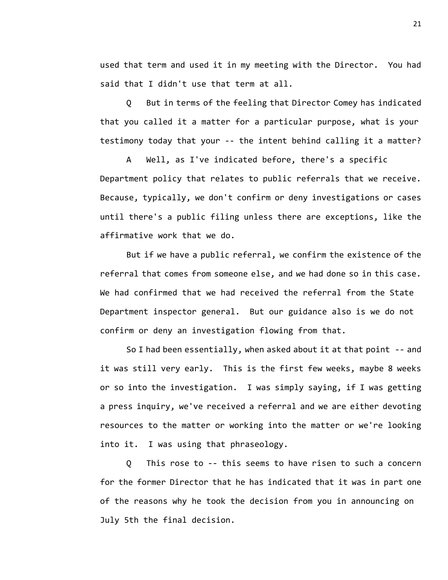used that term and used it in my meeting with the Director. You had said that I didn't use that term at all.

Q But in terms of the feeling that Director Comey has indicated that you called it a matter for a particular purpose, what is your testimony today that your -- the intent behind calling it a matter?

A Well, as I've indicated before, there's a specific Department policy that relates to public referrals that we receive. Because, typically, we don't confirm or deny investigations or cases until there's a public filing unless there are exceptions, like the affirmative work that we do.

But if we have a public referral, we confirm the existence of the referral that comes from someone else, and we had done so in this case. We had confirmed that we had received the referral from the State Department inspector general. But our guidance also is we do not confirm or deny an investigation flowing from that.

So I had been essentially, when asked about it at that point -- and it was still very early. This is the first few weeks, maybe 8 weeks or so into the investigation. I was simply saying, if I was getting a press inquiry, we've received a referral and we are either devoting resources to the matter or working into the matter or we're looking into it. I was using that phraseology.

Q This rose to -- this seems to have risen to such a concern for the former Director that he has indicated that it was in part one of the reasons why he took the decision from you in announcing on July 5th the final decision.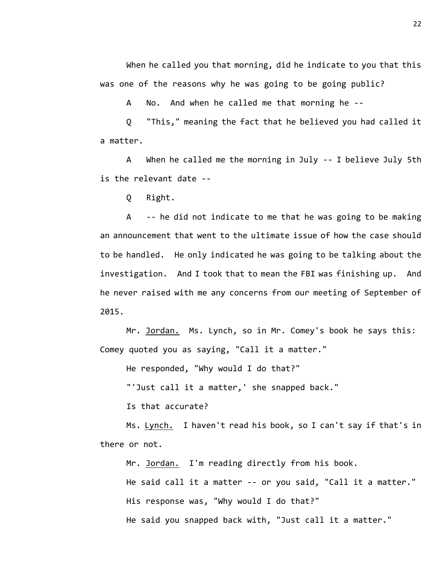When he called you that morning, did he indicate to you that this was one of the reasons why he was going to be going public?

A No. And when he called me that morning he --

Q "This," meaning the fact that he believed you had called it a matter.

A When he called me the morning in July -- I believe July 5th is the relevant date --

Q Right.

A -- he did not indicate to me that he was going to be making an announcement that went to the ultimate issue of how the case should to be handled. He only indicated he was going to be talking about the investigation. And I took that to mean the FBI was finishing up. And he never raised with me any concerns from our meeting of September of 2015.

Mr. Jordan. Ms. Lynch, so in Mr. Comey's book he says this: Comey quoted you as saying, "Call it a matter."

He responded, "Why would I do that?"

"'Just call it a matter,' she snapped back."

Is that accurate?

Ms. Lynch. I haven't read his book, so I can't say if that's in there or not.

Mr. Jordan. I'm reading directly from his book.

He said call it a matter -- or you said, "Call it a matter."

His response was, "Why would I do that?"

He said you snapped back with, "Just call it a matter."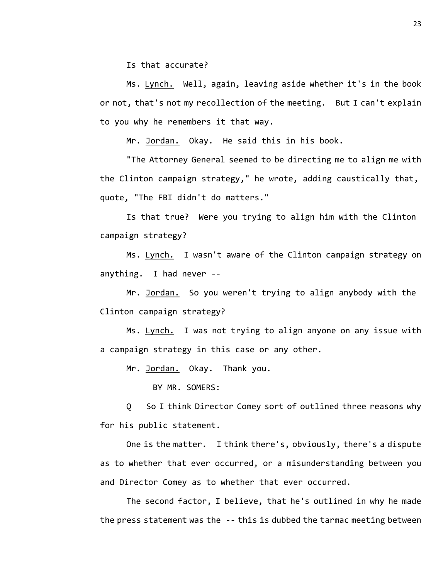Is that accurate?

Ms. Lynch. Well, again, leaving aside whether it's in the book or not, that's not my recollection of the meeting. But I can't explain to you why he remembers it that way.

Mr. Jordan. Okay. He said this in his book.

"The Attorney General seemed to be directing me to align me with the Clinton campaign strategy," he wrote, adding caustically that, quote, "The FBI didn't do matters."

Is that true? Were you trying to align him with the Clinton campaign strategy?

Ms. Lynch. I wasn't aware of the Clinton campaign strategy on anything. I had never --

Mr. Jordan. So you weren't trying to align anybody with the Clinton campaign strategy?

Ms. Lynch. I was not trying to align anyone on any issue with a campaign strategy in this case or any other.

Mr. Jordan. Okay. Thank you.

BY MR. SOMERS:

Q So I think Director Comey sort of outlined three reasons why for his public statement.

One is the matter. I think there's, obviously, there's a dispute as to whether that ever occurred, or a misunderstanding between you and Director Comey as to whether that ever occurred.

The second factor, I believe, that he's outlined in why he made the press statement was the -- this is dubbed the tarmac meeting between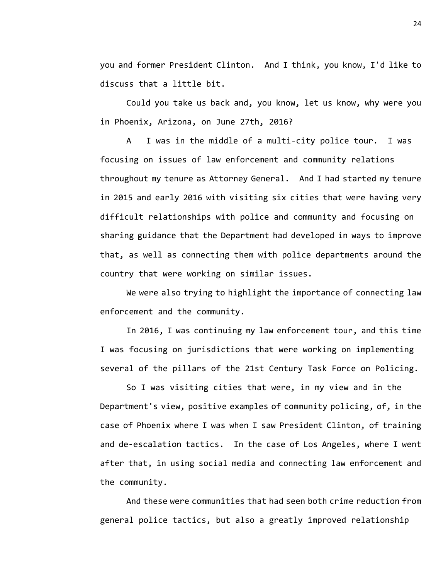you and former President Clinton. And I think, you know, I'd like to discuss that a little bit.

Could you take us back and, you know, let us know, why were you in Phoenix, Arizona, on June 27th, 2016?

A I was in the middle of a multi-city police tour. I was focusing on issues of law enforcement and community relations throughout my tenure as Attorney General. And I had started my tenure in 2015 and early 2016 with visiting six cities that were having very difficult relationships with police and community and focusing on sharing guidance that the Department had developed in ways to improve that, as well as connecting them with police departments around the country that were working on similar issues.

We were also trying to highlight the importance of connecting law enforcement and the community.

In 2016, I was continuing my law enforcement tour, and this time I was focusing on jurisdictions that were working on implementing several of the pillars of the 21st Century Task Force on Policing.

So I was visiting cities that were, in my view and in the Department's view, positive examples of community policing, of, in the case of Phoenix where I was when I saw President Clinton, of training and de-escalation tactics. In the case of Los Angeles, where I went after that, in using social media and connecting law enforcement and the community.

And these were communities that had seen both crime reduction from general police tactics, but also a greatly improved relationship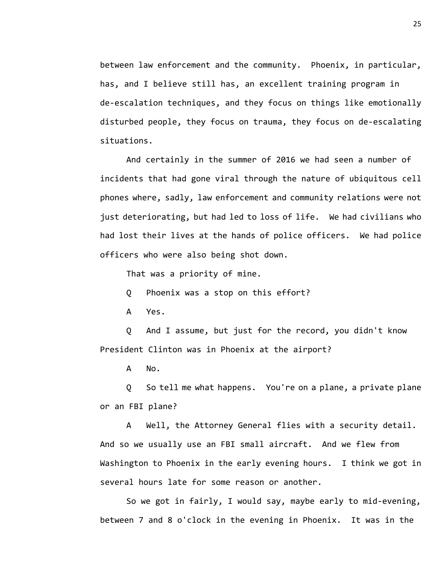between law enforcement and the community. Phoenix, in particular, has, and I believe still has, an excellent training program in de-escalation techniques, and they focus on things like emotionally disturbed people, they focus on trauma, they focus on de-escalating situations.

And certainly in the summer of 2016 we had seen a number of incidents that had gone viral through the nature of ubiquitous cell phones where, sadly, law enforcement and community relations were not just deteriorating, but had led to loss of life. We had civilians who had lost their lives at the hands of police officers. We had police officers who were also being shot down.

That was a priority of mine.

Q Phoenix was a stop on this effort?

A Yes.

Q And I assume, but just for the record, you didn't know President Clinton was in Phoenix at the airport?

A No.

Q So tell me what happens. You're on a plane, a private plane or an FBI plane?

A Well, the Attorney General flies with a security detail. And so we usually use an FBI small aircraft. And we flew from Washington to Phoenix in the early evening hours. I think we got in several hours late for some reason or another.

So we got in fairly, I would say, maybe early to mid-evening, between 7 and 8 o'clock in the evening in Phoenix. It was in the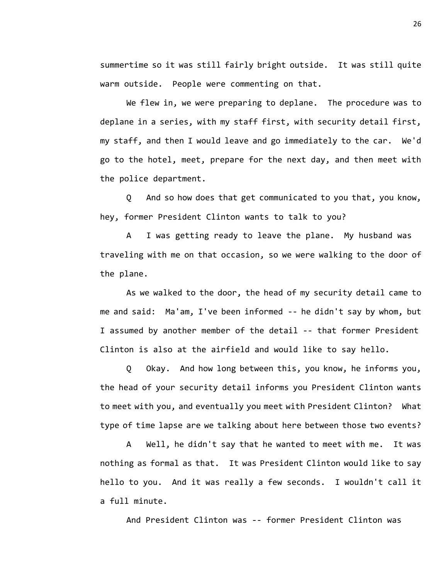summertime so it was still fairly bright outside. It was still quite warm outside. People were commenting on that.

We flew in, we were preparing to deplane. The procedure was to deplane in a series, with my staff first, with security detail first, my staff, and then I would leave and go immediately to the car. We'd go to the hotel, meet, prepare for the next day, and then meet with the police department.

Q And so how does that get communicated to you that, you know, hey, former President Clinton wants to talk to you?

A I was getting ready to leave the plane. My husband was traveling with me on that occasion, so we were walking to the door of the plane.

As we walked to the door, the head of my security detail came to me and said: Ma'am, I've been informed -- he didn't say by whom, but I assumed by another member of the detail -- that former President Clinton is also at the airfield and would like to say hello.

Q Okay. And how long between this, you know, he informs you, the head of your security detail informs you President Clinton wants to meet with you, and eventually you meet with President Clinton? What type of time lapse are we talking about here between those two events?

A Well, he didn't say that he wanted to meet with me. It was nothing as formal as that. It was President Clinton would like to say hello to you. And it was really a few seconds. I wouldn't call it a full minute.

And President Clinton was -- former President Clinton was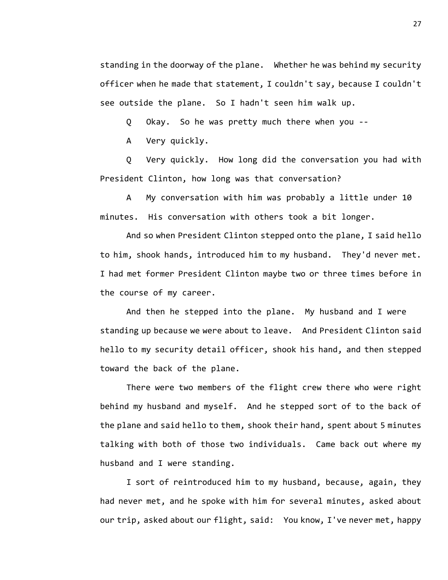standing in the doorway of the plane. Whether he was behind my security officer when he made that statement, I couldn't say, because I couldn't see outside the plane. So I hadn't seen him walk up.

Q Okay. So he was pretty much there when you --

A Very quickly.

Q Very quickly. How long did the conversation you had with President Clinton, how long was that conversation?

A My conversation with him was probably a little under 10 minutes. His conversation with others took a bit longer.

And so when President Clinton stepped onto the plane, I said hello to him, shook hands, introduced him to my husband. They'd never met. I had met former President Clinton maybe two or three times before in the course of my career.

And then he stepped into the plane. My husband and I were standing up because we were about to leave. And President Clinton said hello to my security detail officer, shook his hand, and then stepped toward the back of the plane.

There were two members of the flight crew there who were right behind my husband and myself. And he stepped sort of to the back of the plane and said hello to them, shook their hand, spent about 5 minutes talking with both of those two individuals. Came back out where my husband and I were standing.

I sort of reintroduced him to my husband, because, again, they had never met, and he spoke with him for several minutes, asked about our trip, asked about our flight, said: You know, I've never met, happy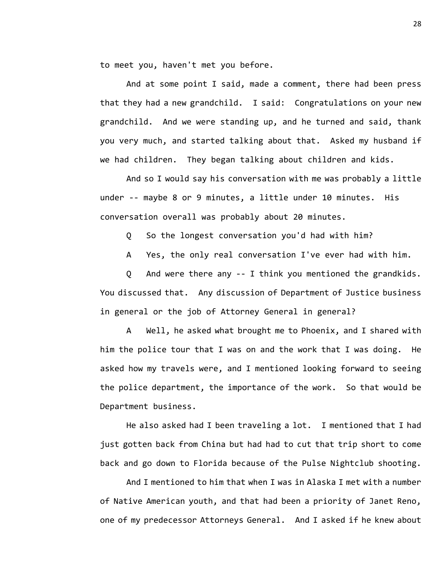to meet you, haven't met you before.

And at some point I said, made a comment, there had been press that they had a new grandchild. I said: Congratulations on your new grandchild. And we were standing up, and he turned and said, thank you very much, and started talking about that. Asked my husband if we had children. They began talking about children and kids.

And so I would say his conversation with me was probably a little under -- maybe 8 or 9 minutes, a little under 10 minutes. His conversation overall was probably about 20 minutes.

Q So the longest conversation you'd had with him?

A Yes, the only real conversation I've ever had with him.

Q And were there any -- I think you mentioned the grandkids. You discussed that. Any discussion of Department of Justice business in general or the job of Attorney General in general?

A Well, he asked what brought me to Phoenix, and I shared with him the police tour that I was on and the work that I was doing. He asked how my travels were, and I mentioned looking forward to seeing the police department, the importance of the work. So that would be Department business.

He also asked had I been traveling a lot. I mentioned that I had just gotten back from China but had had to cut that trip short to come back and go down to Florida because of the Pulse Nightclub shooting.

And I mentioned to him that when I was in Alaska I met with a number of Native American youth, and that had been a priority of Janet Reno, one of my predecessor Attorneys General. And I asked if he knew about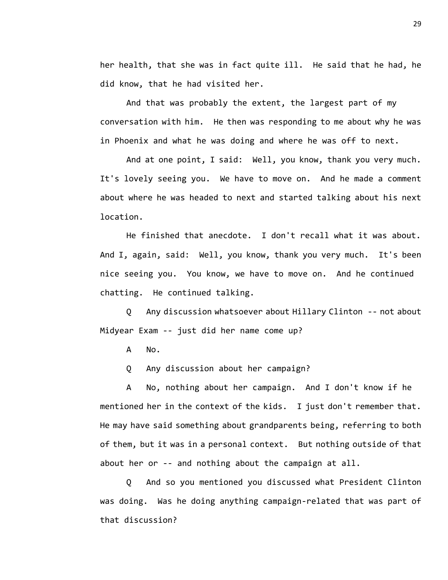her health, that she was in fact quite ill. He said that he had, he did know, that he had visited her.

And that was probably the extent, the largest part of my conversation with him. He then was responding to me about why he was in Phoenix and what he was doing and where he was off to next.

And at one point, I said: Well, you know, thank you very much. It's lovely seeing you. We have to move on. And he made a comment about where he was headed to next and started talking about his next location.

He finished that anecdote. I don't recall what it was about. And I, again, said: Well, you know, thank you very much. It's been nice seeing you. You know, we have to move on. And he continued chatting. He continued talking.

Q Any discussion whatsoever about Hillary Clinton -- not about Midyear Exam -- just did her name come up?

A No.

Q Any discussion about her campaign?

A No, nothing about her campaign. And I don't know if he mentioned her in the context of the kids. I just don't remember that. He may have said something about grandparents being, referring to both of them, but it was in a personal context. But nothing outside of that about her or -- and nothing about the campaign at all.

Q And so you mentioned you discussed what President Clinton was doing. Was he doing anything campaign-related that was part of that discussion?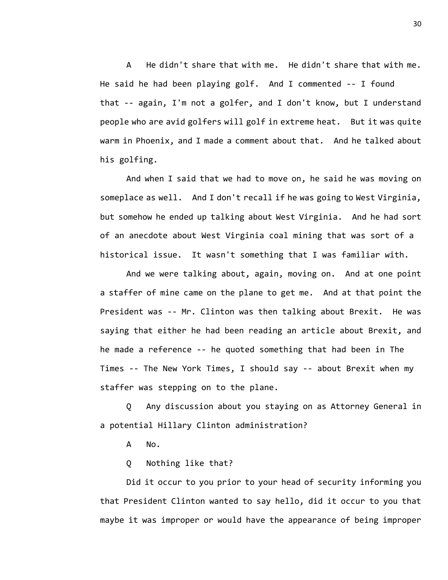A He didn't share that with me. He didn't share that with me. He said he had been playing golf. And I commented -- I found that -- again, I'm not a golfer, and I don't know, but I understand people who are avid golfers will golf in extreme heat. But it was quite warm in Phoenix, and I made a comment about that. And he talked about his golfing.

And when I said that we had to move on, he said he was moving on someplace as well. And I don't recall if he was going to West Virginia, but somehow he ended up talking about West Virginia. And he had sort of an anecdote about West Virginia coal mining that was sort of a historical issue. It wasn't something that I was familiar with.

And we were talking about, again, moving on. And at one point a staffer of mine came on the plane to get me. And at that point the President was -- Mr. Clinton was then talking about Brexit. He was saying that either he had been reading an article about Brexit, and he made a reference -- he quoted something that had been in The Times -- The New York Times, I should say -- about Brexit when my staffer was stepping on to the plane.

Q Any discussion about you staying on as Attorney General in a potential Hillary Clinton administration?

A No.

Q Nothing like that?

Did it occur to you prior to your head of security informing you that President Clinton wanted to say hello, did it occur to you that maybe it was improper or would have the appearance of being improper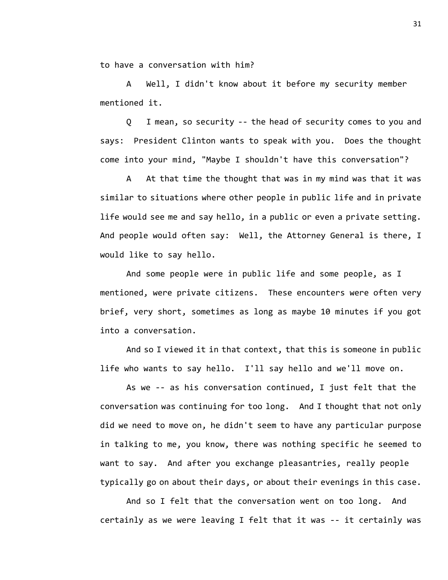to have a conversation with him?

A Well, I didn't know about it before my security member mentioned it.

Q I mean, so security -- the head of security comes to you and says: President Clinton wants to speak with you. Does the thought come into your mind, "Maybe I shouldn't have this conversation"?

A At that time the thought that was in my mind was that it was similar to situations where other people in public life and in private life would see me and say hello, in a public or even a private setting. And people would often say: Well, the Attorney General is there, I would like to say hello.

And some people were in public life and some people, as I mentioned, were private citizens. These encounters were often very brief, very short, sometimes as long as maybe 10 minutes if you got into a conversation.

And so I viewed it in that context, that this is someone in public life who wants to say hello. I'll say hello and we'll move on.

As we -- as his conversation continued, I just felt that the conversation was continuing for too long. And I thought that not only did we need to move on, he didn't seem to have any particular purpose in talking to me, you know, there was nothing specific he seemed to want to say. And after you exchange pleasantries, really people typically go on about their days, or about their evenings in this case.

And so I felt that the conversation went on too long. And certainly as we were leaving I felt that it was -- it certainly was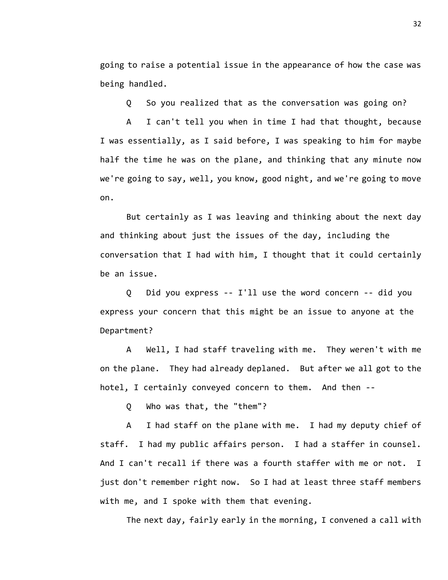going to raise a potential issue in the appearance of how the case was being handled.

Q So you realized that as the conversation was going on?

A I can't tell you when in time I had that thought, because I was essentially, as I said before, I was speaking to him for maybe half the time he was on the plane, and thinking that any minute now we're going to say, well, you know, good night, and we're going to move on.

But certainly as I was leaving and thinking about the next day and thinking about just the issues of the day, including the conversation that I had with him, I thought that it could certainly be an issue.

Q Did you express -- I'll use the word concern -- did you express your concern that this might be an issue to anyone at the Department?

A Well, I had staff traveling with me. They weren't with me on the plane. They had already deplaned. But after we all got to the hotel, I certainly conveyed concern to them. And then --

Q Who was that, the "them"?

A I had staff on the plane with me. I had my deputy chief of staff. I had my public affairs person. I had a staffer in counsel. And I can't recall if there was a fourth staffer with me or not. I just don't remember right now. So I had at least three staff members with me, and I spoke with them that evening.

The next day, fairly early in the morning, I convened a call with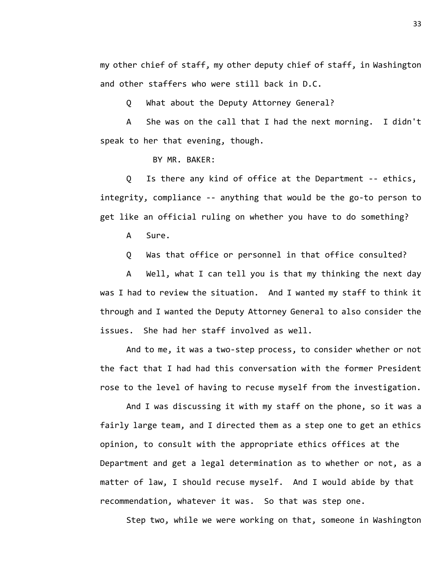my other chief of staff, my other deputy chief of staff, in Washington and other staffers who were still back in D.C.

Q What about the Deputy Attorney General?

A She was on the call that I had the next morning. I didn't speak to her that evening, though.

BY MR. BAKER:

Q Is there any kind of office at the Department -- ethics, integrity, compliance -- anything that would be the go-to person to get like an official ruling on whether you have to do something?

A Sure.

Q Was that office or personnel in that office consulted?

A Well, what I can tell you is that my thinking the next day was I had to review the situation. And I wanted my staff to think it through and I wanted the Deputy Attorney General to also consider the issues. She had her staff involved as well.

And to me, it was a two-step process, to consider whether or not the fact that I had had this conversation with the former President rose to the level of having to recuse myself from the investigation.

And I was discussing it with my staff on the phone, so it was a fairly large team, and I directed them as a step one to get an ethics opinion, to consult with the appropriate ethics offices at the Department and get a legal determination as to whether or not, as a matter of law, I should recuse myself. And I would abide by that recommendation, whatever it was. So that was step one.

Step two, while we were working on that, someone in Washington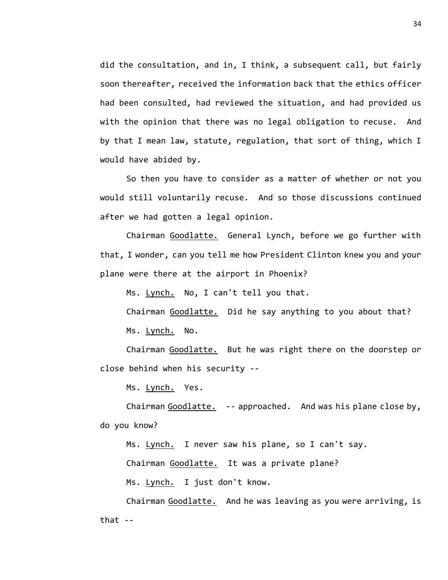did the consultation, and in, I think, a subsequent call, but fairly soon thereafter, received the information back that the ethics officer had been consulted, had reviewed the situation, and had provided us with the opinion that there was no legal obligation to recuse. And by that I mean law, statute, regulation, that sort of thing, which I would have abided by.

So then you have to consider as a matter of whether or not you would still voluntarily recuse. And so those discussions continued after we had gotten a legal opinion.

Chairman Goodlatte. General Lynch, before we go further with that, I wonder, can you tell me how President Clinton knew you and your plane were there at the airport in Phoenix?

Ms. Lynch. No, I can't tell you that.

Chairman Goodlatte. Did he say anything to you about that? Ms. Lynch. No.

Chairman Goodlatte. But he was right there on the doorstep or close behind when his security --

Ms. Lynch. Yes.

Chairman Goodlatte. -- approached. And was his plane close by, do you know?

Ms. Lynch. I never saw his plane, so I can't say.

Chairman Goodlatte. It was a private plane?

Ms. Lynch. I just don't know.

Chairman Goodlatte. And he was leaving as you were arriving, is that --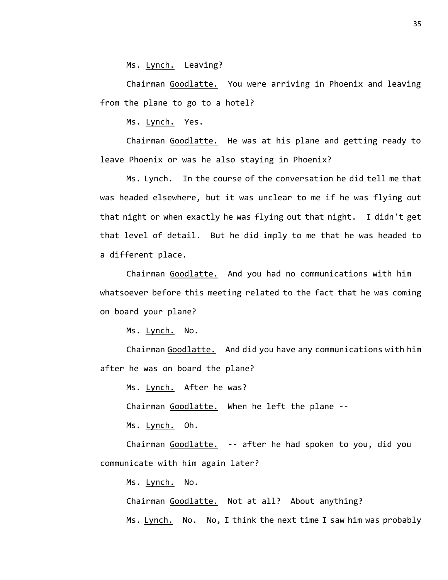Ms. Lynch. Leaving?

Chairman Goodlatte. You were arriving in Phoenix and leaving from the plane to go to a hotel?

Ms. Lynch. Yes.

Chairman Goodlatte. He was at his plane and getting ready to leave Phoenix or was he also staying in Phoenix?

Ms. Lynch. In the course of the conversation he did tell me that was headed elsewhere, but it was unclear to me if he was flying out that night or when exactly he was flying out that night. I didn't get that level of detail. But he did imply to me that he was headed to a different place.

Chairman Goodlatte. And you had no communications with him whatsoever before this meeting related to the fact that he was coming on board your plane?

Ms. Lynch. No.

Chairman Goodlatte. And did you have any communications with him after he was on board the plane?

Ms. Lynch. After he was?

Chairman Goodlatte. When he left the plane --

Ms. Lynch. Oh.

Chairman Goodlatte. -- after he had spoken to you, did you communicate with him again later?

Ms. Lynch. No.

Chairman Goodlatte. Not at all? About anything? Ms. Lynch. No. No, I think the next time I saw him was probably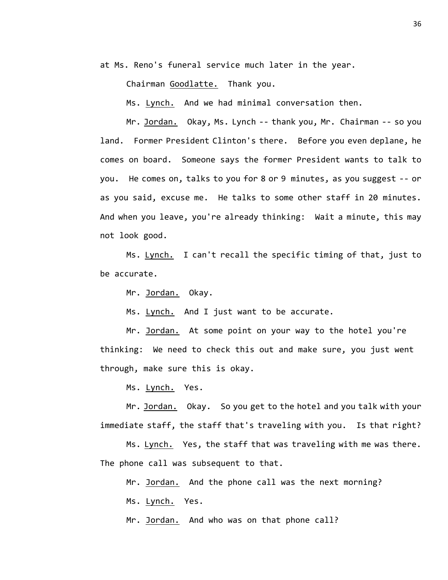at Ms. Reno's funeral service much later in the year.

Chairman Goodlatte. Thank you.

Ms. Lynch. And we had minimal conversation then.

Mr. Jordan. Okay, Ms. Lynch -- thank you, Mr. Chairman -- so you land. Former President Clinton's there. Before you even deplane, he comes on board. Someone says the former President wants to talk to you. He comes on, talks to you for 8 or 9 minutes, as you suggest -- or as you said, excuse me. He talks to some other staff in 20 minutes. And when you leave, you're already thinking: Wait a minute, this may not look good.

Ms. Lynch. I can't recall the specific timing of that, just to be accurate.

Mr. Jordan. Okay.

Ms. Lynch. And I just want to be accurate.

Mr. Jordan. At some point on your way to the hotel you're thinking: We need to check this out and make sure, you just went through, make sure this is okay.

Ms. Lynch. Yes.

Mr. Jordan. Okay. So you get to the hotel and you talk with your immediate staff, the staff that's traveling with you. Is that right?

Ms. Lynch. Yes, the staff that was traveling with me was there. The phone call was subsequent to that.

Mr. Jordan. And the phone call was the next morning?

Ms. Lynch. Yes.

Mr. Jordan. And who was on that phone call?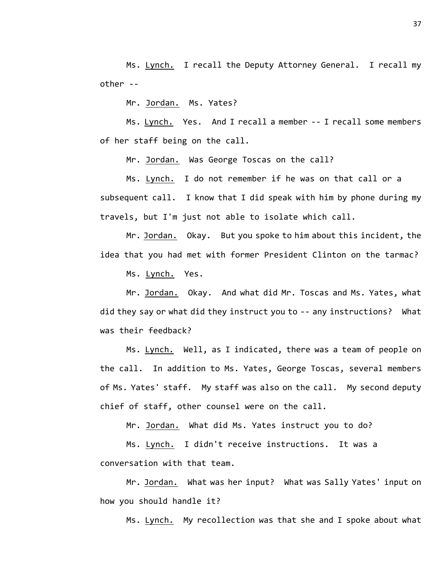Ms. Lynch. I recall the Deputy Attorney General. I recall my other --

Mr. Jordan. Ms. Yates?

Ms. Lynch. Yes. And I recall a member -- I recall some members of her staff being on the call.

Mr. Jordan. Was George Toscas on the call?

Ms. Lynch. I do not remember if he was on that call or a subsequent call. I know that I did speak with him by phone during my travels, but I'm just not able to isolate which call.

Mr. Jordan. Okay. But you spoke to him about this incident, the idea that you had met with former President Clinton on the tarmac?

Ms. Lynch. Yes.

Mr. Jordan. Okay. And what did Mr. Toscas and Ms. Yates, what did they say or what did they instruct you to -- any instructions? What was their feedback?

Ms. Lynch. Well, as I indicated, there was a team of people on the call. In addition to Ms. Yates, George Toscas, several members of Ms. Yates' staff. My staff was also on the call. My second deputy chief of staff, other counsel were on the call.

Mr. Jordan. What did Ms. Yates instruct you to do?

Ms. Lynch. I didn't receive instructions. It was a conversation with that team.

Mr. Jordan. What was her input? What was Sally Yates' input on how you should handle it?

Ms. Lynch. My recollection was that she and I spoke about what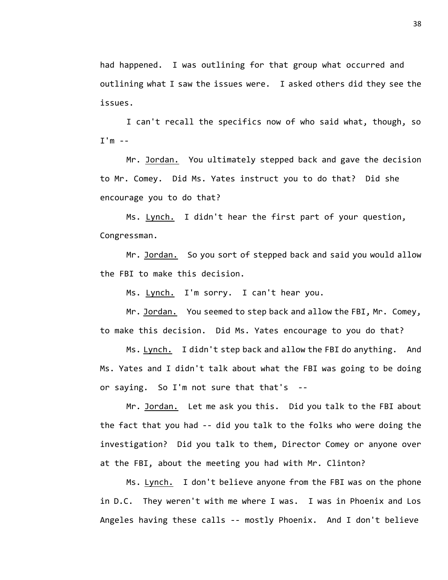had happened. I was outlining for that group what occurred and outlining what I saw the issues were. I asked others did they see the issues.

I can't recall the specifics now of who said what, though, so I'm --

Mr. Jordan. You ultimately stepped back and gave the decision to Mr. Comey. Did Ms. Yates instruct you to do that? Did she encourage you to do that?

Ms. Lynch. I didn't hear the first part of your question, Congressman.

Mr. Jordan. So you sort of stepped back and said you would allow the FBI to make this decision.

Ms. Lynch. I'm sorry. I can't hear you.

Mr. Jordan. You seemed to step back and allow the FBI, Mr. Comey, to make this decision. Did Ms. Yates encourage to you do that?

Ms. Lynch. I didn't step back and allow the FBI do anything. And Ms. Yates and I didn't talk about what the FBI was going to be doing or saying. So I'm not sure that that's --

Mr. Jordan. Let me ask you this. Did you talk to the FBI about the fact that you had -- did you talk to the folks who were doing the investigation? Did you talk to them, Director Comey or anyone over at the FBI, about the meeting you had with Mr. Clinton?

Ms. Lynch. I don't believe anyone from the FBI was on the phone in D.C. They weren't with me where I was. I was in Phoenix and Los Angeles having these calls -- mostly Phoenix. And I don't believe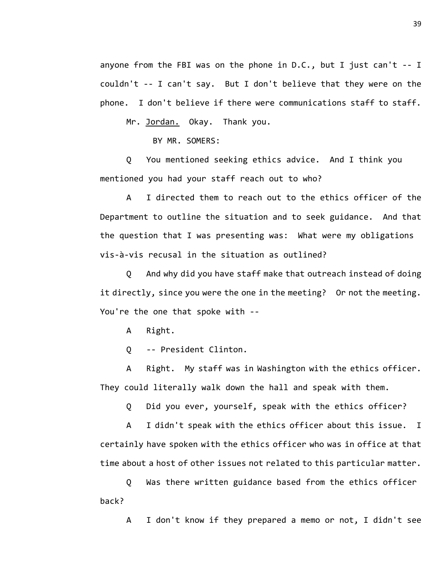anyone from the FBI was on the phone in D.C., but I just can't -- I couldn't -- I can't say. But I don't believe that they were on the phone. I don't believe if there were communications staff to staff.

Mr. Jordan. Okay. Thank you.

BY MR. SOMERS:

Q You mentioned seeking ethics advice. And I think you mentioned you had your staff reach out to who?

A I directed them to reach out to the ethics officer of the Department to outline the situation and to seek guidance. And that the question that I was presenting was: What were my obligations vis-à-vis recusal in the situation as outlined?

Q And why did you have staff make that outreach instead of doing it directly, since you were the one in the meeting? Or not the meeting. You're the one that spoke with --

A Right.

Q -- President Clinton.

A Right. My staff was in Washington with the ethics officer. They could literally walk down the hall and speak with them.

Q Did you ever, yourself, speak with the ethics officer?

A I didn't speak with the ethics officer about this issue. I certainly have spoken with the ethics officer who was in office at that time about a host of other issues not related to this particular matter.

Q Was there written guidance based from the ethics officer back?

A I don't know if they prepared a memo or not, I didn't see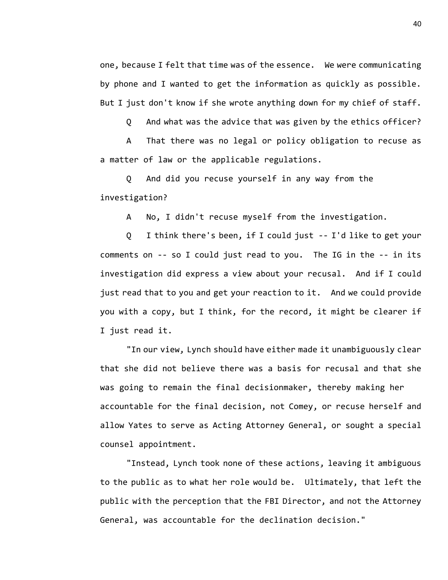one, because I felt that time was of the essence. We were communicating by phone and I wanted to get the information as quickly as possible. But I just don't know if she wrote anything down for my chief of staff.

Q And what was the advice that was given by the ethics officer?

A That there was no legal or policy obligation to recuse as a matter of law or the applicable regulations.

Q And did you recuse yourself in any way from the investigation?

A No, I didn't recuse myself from the investigation.

Q I think there's been, if I could just -- I'd like to get your comments on -- so I could just read to you. The IG in the -- in its investigation did express a view about your recusal. And if I could just read that to you and get your reaction to it. And we could provide you with a copy, but I think, for the record, it might be clearer if I just read it.

"In our view, Lynch should have either made it unambiguously clear that she did not believe there was a basis for recusal and that she was going to remain the final decisionmaker, thereby making her accountable for the final decision, not Comey, or recuse herself and allow Yates to serve as Acting Attorney General, or sought a special counsel appointment.

"Instead, Lynch took none of these actions, leaving it ambiguous to the public as to what her role would be. Ultimately, that left the public with the perception that the FBI Director, and not the Attorney General, was accountable for the declination decision."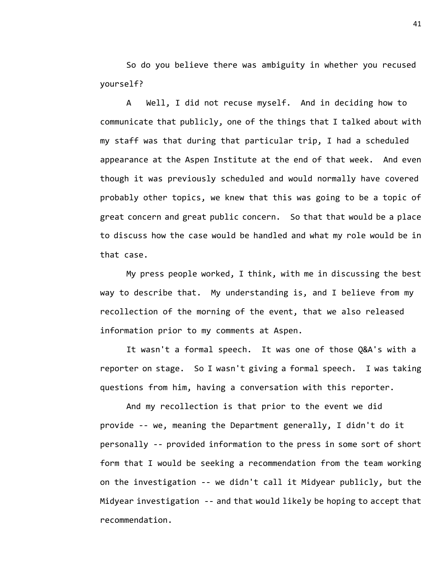So do you believe there was ambiguity in whether you recused yourself?

A Well, I did not recuse myself. And in deciding how to communicate that publicly, one of the things that I talked about with my staff was that during that particular trip, I had a scheduled appearance at the Aspen Institute at the end of that week. And even though it was previously scheduled and would normally have covered probably other topics, we knew that this was going to be a topic of great concern and great public concern. So that that would be a place to discuss how the case would be handled and what my role would be in that case.

My press people worked, I think, with me in discussing the best way to describe that. My understanding is, and I believe from my recollection of the morning of the event, that we also released information prior to my comments at Aspen.

It wasn't a formal speech. It was one of those Q&A's with a reporter on stage. So I wasn't giving a formal speech. I was taking questions from him, having a conversation with this reporter.

And my recollection is that prior to the event we did provide -- we, meaning the Department generally, I didn't do it personally -- provided information to the press in some sort of short form that I would be seeking a recommendation from the team working on the investigation -- we didn't call it Midyear publicly, but the Midyear investigation -- and that would likely be hoping to accept that recommendation.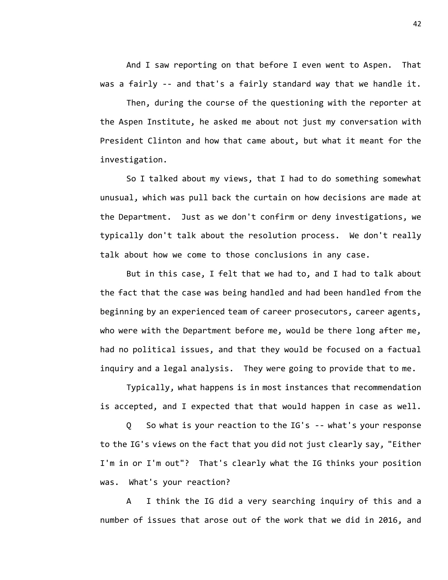And I saw reporting on that before I even went to Aspen. That was a fairly -- and that's a fairly standard way that we handle it.

Then, during the course of the questioning with the reporter at the Aspen Institute, he asked me about not just my conversation with President Clinton and how that came about, but what it meant for the investigation.

So I talked about my views, that I had to do something somewhat unusual, which was pull back the curtain on how decisions are made at the Department. Just as we don't confirm or deny investigations, we typically don't talk about the resolution process. We don't really talk about how we come to those conclusions in any case.

But in this case, I felt that we had to, and I had to talk about the fact that the case was being handled and had been handled from the beginning by an experienced team of career prosecutors, career agents, who were with the Department before me, would be there long after me, had no political issues, and that they would be focused on a factual inquiry and a legal analysis. They were going to provide that to me.

Typically, what happens is in most instances that recommendation is accepted, and I expected that that would happen in case as well.

Q So what is your reaction to the IG's -- what's your response to the IG's views on the fact that you did not just clearly say, "Either I'm in or I'm out"? That's clearly what the IG thinks your position was. What's your reaction?

A I think the IG did a very searching inquiry of this and a number of issues that arose out of the work that we did in 2016, and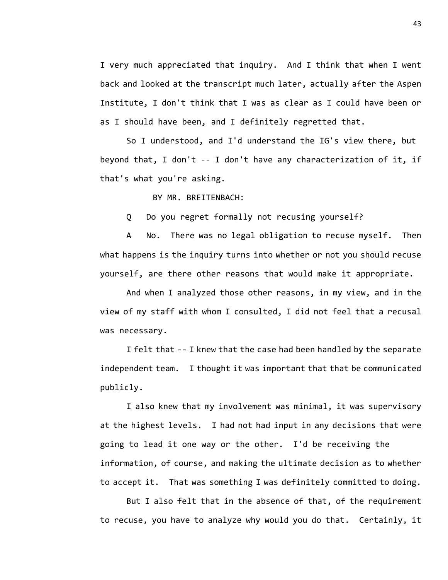I very much appreciated that inquiry. And I think that when I went back and looked at the transcript much later, actually after the Aspen Institute, I don't think that I was as clear as I could have been or as I should have been, and I definitely regretted that.

So I understood, and I'd understand the IG's view there, but beyond that, I don't -- I don't have any characterization of it, if that's what you're asking.

BY MR. BREITENBACH:

Q Do you regret formally not recusing yourself?

A No. There was no legal obligation to recuse myself. Then what happens is the inquiry turns into whether or not you should recuse yourself, are there other reasons that would make it appropriate.

And when I analyzed those other reasons, in my view, and in the view of my staff with whom I consulted, I did not feel that a recusal was necessary.

I felt that -- I knew that the case had been handled by the separate independent team. I thought it was important that that be communicated publicly.

I also knew that my involvement was minimal, it was supervisory at the highest levels. I had not had input in any decisions that were going to lead it one way or the other. I'd be receiving the information, of course, and making the ultimate decision as to whether to accept it. That was something I was definitely committed to doing.

But I also felt that in the absence of that, of the requirement to recuse, you have to analyze why would you do that. Certainly, it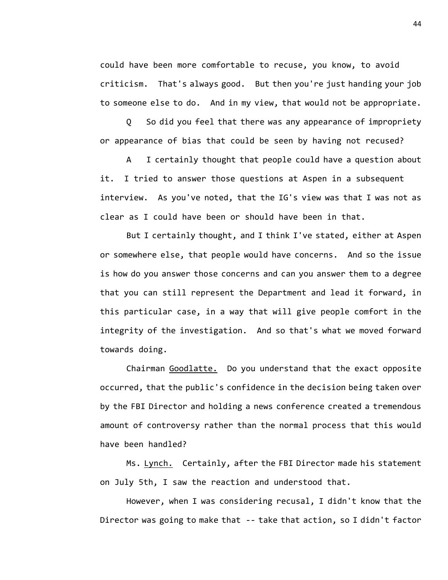could have been more comfortable to recuse, you know, to avoid criticism. That's always good. But then you're just handing your job to someone else to do. And in my view, that would not be appropriate.

Q So did you feel that there was any appearance of impropriety or appearance of bias that could be seen by having not recused?

A I certainly thought that people could have a question about it. I tried to answer those questions at Aspen in a subsequent interview. As you've noted, that the IG's view was that I was not as clear as I could have been or should have been in that.

But I certainly thought, and I think I've stated, either at Aspen or somewhere else, that people would have concerns. And so the issue is how do you answer those concerns and can you answer them to a degree that you can still represent the Department and lead it forward, in this particular case, in a way that will give people comfort in the integrity of the investigation. And so that's what we moved forward towards doing.

Chairman Goodlatte. Do you understand that the exact opposite occurred, that the public's confidence in the decision being taken over by the FBI Director and holding a news conference created a tremendous amount of controversy rather than the normal process that this would have been handled?

Ms. Lynch. Certainly, after the FBI Director made his statement on July 5th, I saw the reaction and understood that.

However, when I was considering recusal, I didn't know that the Director was going to make that -- take that action, so I didn't factor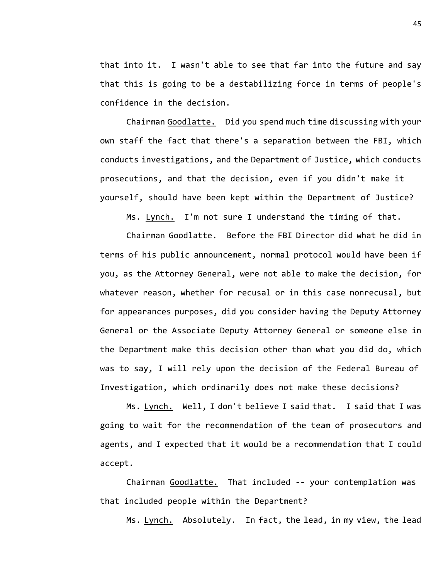that into it. I wasn't able to see that far into the future and say that this is going to be a destabilizing force in terms of people's confidence in the decision.

Chairman Goodlatte. Did you spend much time discussing with your own staff the fact that there's a separation between the FBI, which conducts investigations, and the Department of Justice, which conducts prosecutions, and that the decision, even if you didn't make it yourself, should have been kept within the Department of Justice?

Ms. Lynch. I'm not sure I understand the timing of that.

Chairman Goodlatte. Before the FBI Director did what he did in terms of his public announcement, normal protocol would have been if you, as the Attorney General, were not able to make the decision, for whatever reason, whether for recusal or in this case nonrecusal, but for appearances purposes, did you consider having the Deputy Attorney General or the Associate Deputy Attorney General or someone else in the Department make this decision other than what you did do, which was to say, I will rely upon the decision of the Federal Bureau of Investigation, which ordinarily does not make these decisions?

Ms. Lynch. Well, I don't believe I said that. I said that I was going to wait for the recommendation of the team of prosecutors and agents, and I expected that it would be a recommendation that I could accept.

Chairman Goodlatte. That included -- your contemplation was that included people within the Department?

Ms. Lynch. Absolutely. In fact, the lead, in my view, the lead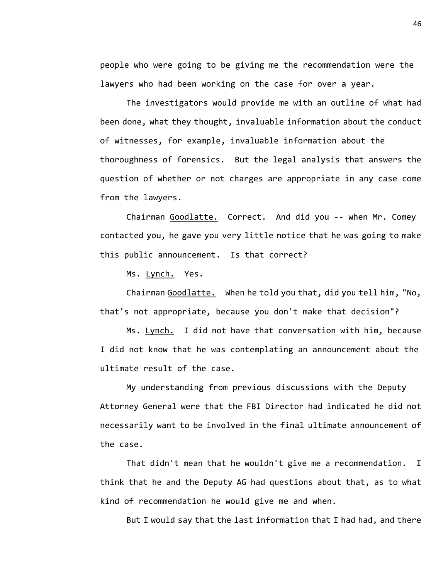people who were going to be giving me the recommendation were the lawyers who had been working on the case for over a year.

The investigators would provide me with an outline of what had been done, what they thought, invaluable information about the conduct of witnesses, for example, invaluable information about the thoroughness of forensics. But the legal analysis that answers the question of whether or not charges are appropriate in any case come from the lawyers.

Chairman Goodlatte. Correct. And did you -- when Mr. Comey contacted you, he gave you very little notice that he was going to make this public announcement. Is that correct?

Ms. Lynch. Yes.

Chairman Goodlatte. When he told you that, did you tell him, "No, that's not appropriate, because you don't make that decision"?

Ms. Lynch. I did not have that conversation with him, because I did not know that he was contemplating an announcement about the ultimate result of the case.

My understanding from previous discussions with the Deputy Attorney General were that the FBI Director had indicated he did not necessarily want to be involved in the final ultimate announcement of the case.

That didn't mean that he wouldn't give me a recommendation. I think that he and the Deputy AG had questions about that, as to what kind of recommendation he would give me and when.

But I would say that the last information that I had had, and there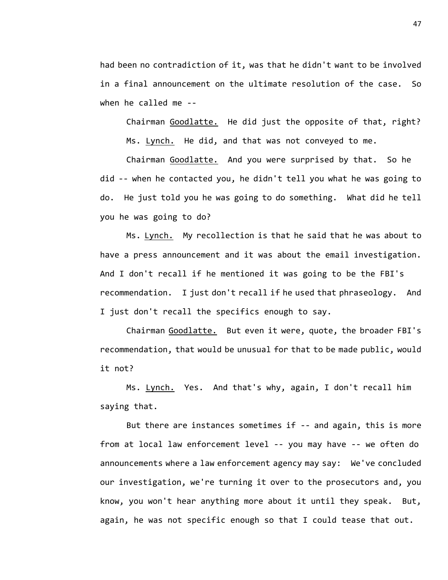had been no contradiction of it, was that he didn't want to be involved in a final announcement on the ultimate resolution of the case. So when he called me --

Chairman Goodlatte. He did just the opposite of that, right? Ms. Lynch. He did, and that was not conveyed to me.

Chairman Goodlatte. And you were surprised by that. So he did -- when he contacted you, he didn't tell you what he was going to do. He just told you he was going to do something. What did he tell you he was going to do?

Ms. Lynch. My recollection is that he said that he was about to have a press announcement and it was about the email investigation. And I don't recall if he mentioned it was going to be the FBI's recommendation. I just don't recall if he used that phraseology. And I just don't recall the specifics enough to say.

Chairman Goodlatte. But even it were, quote, the broader FBI's recommendation, that would be unusual for that to be made public, would it not?

Ms. Lynch. Yes. And that's why, again, I don't recall him saying that.

But there are instances sometimes if -- and again, this is more from at local law enforcement level -- you may have -- we often do announcements where a law enforcement agency may say: We've concluded our investigation, we're turning it over to the prosecutors and, you know, you won't hear anything more about it until they speak. But, again, he was not specific enough so that I could tease that out.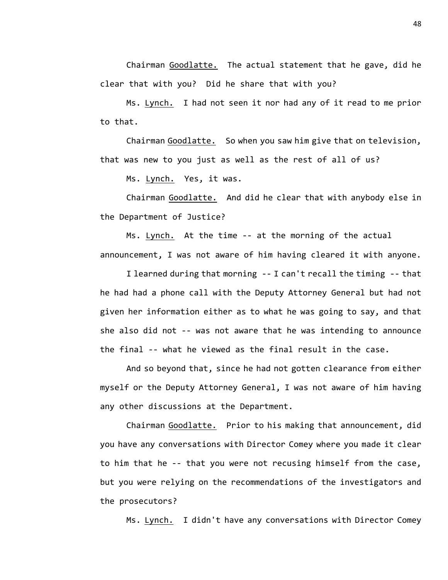Chairman Goodlatte. The actual statement that he gave, did he clear that with you? Did he share that with you?

Ms. Lynch. I had not seen it nor had any of it read to me prior to that.

Chairman Goodlatte. So when you saw him give that on television, that was new to you just as well as the rest of all of us?

Ms. Lynch. Yes, it was.

Chairman Goodlatte. And did he clear that with anybody else in the Department of Justice?

Ms. Lynch. At the time -- at the morning of the actual announcement, I was not aware of him having cleared it with anyone.

I learned during that morning -- I can't recall the timing -- that he had had a phone call with the Deputy Attorney General but had not given her information either as to what he was going to say, and that she also did not -- was not aware that he was intending to announce the final -- what he viewed as the final result in the case.

And so beyond that, since he had not gotten clearance from either myself or the Deputy Attorney General, I was not aware of him having any other discussions at the Department.

Chairman Goodlatte. Prior to his making that announcement, did you have any conversations with Director Comey where you made it clear to him that he -- that you were not recusing himself from the case, but you were relying on the recommendations of the investigators and the prosecutors?

Ms. Lynch. I didn't have any conversations with Director Comey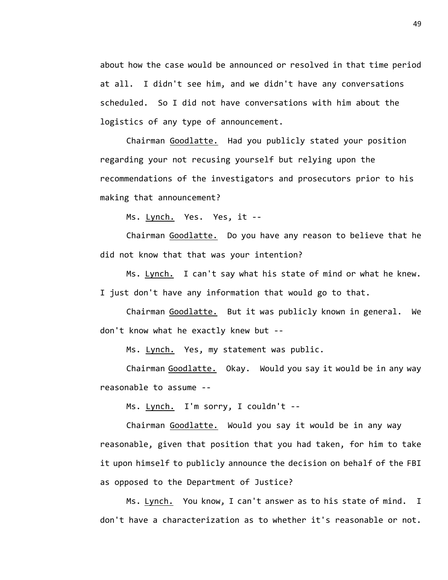about how the case would be announced or resolved in that time period at all. I didn't see him, and we didn't have any conversations scheduled. So I did not have conversations with him about the logistics of any type of announcement.

Chairman Goodlatte. Had you publicly stated your position regarding your not recusing yourself but relying upon the recommendations of the investigators and prosecutors prior to his making that announcement?

Ms. Lynch. Yes. Yes, it --

Chairman Goodlatte. Do you have any reason to believe that he did not know that that was your intention?

Ms. Lynch. I can't say what his state of mind or what he knew. I just don't have any information that would go to that.

Chairman Goodlatte. But it was publicly known in general. We don't know what he exactly knew but --

Ms. Lynch. Yes, my statement was public.

Chairman Goodlatte. Okay. Would you say it would be in any way reasonable to assume --

Ms. Lynch. I'm sorry, I couldn't --

Chairman Goodlatte. Would you say it would be in any way reasonable, given that position that you had taken, for him to take it upon himself to publicly announce the decision on behalf of the FBI as opposed to the Department of Justice?

Ms. Lynch. You know, I can't answer as to his state of mind. I don't have a characterization as to whether it's reasonable or not.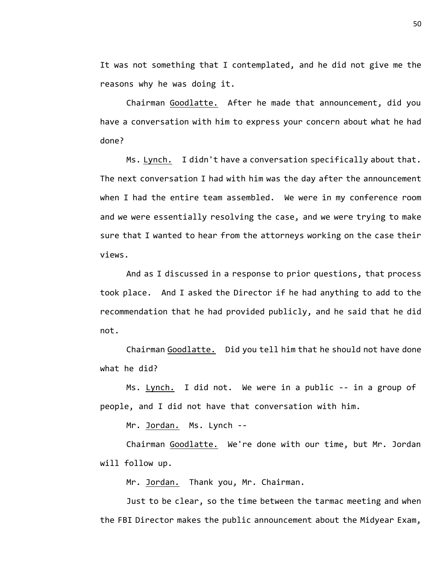It was not something that I contemplated, and he did not give me the reasons why he was doing it.

Chairman Goodlatte. After he made that announcement, did you have a conversation with him to express your concern about what he had done?

Ms. Lynch. I didn't have a conversation specifically about that. The next conversation I had with him was the day after the announcement when I had the entire team assembled. We were in my conference room and we were essentially resolving the case, and we were trying to make sure that I wanted to hear from the attorneys working on the case their views.

And as I discussed in a response to prior questions, that process took place. And I asked the Director if he had anything to add to the recommendation that he had provided publicly, and he said that he did not.

Chairman Goodlatte. Did you tell him that he should not have done what he did?

Ms. Lynch. I did not. We were in a public -- in a group of people, and I did not have that conversation with him.

Mr. Jordan. Ms. Lynch --

Chairman Goodlatte. We're done with our time, but Mr. Jordan will follow up.

Mr. Jordan. Thank you, Mr. Chairman.

Just to be clear, so the time between the tarmac meeting and when the FBI Director makes the public announcement about the Midyear Exam,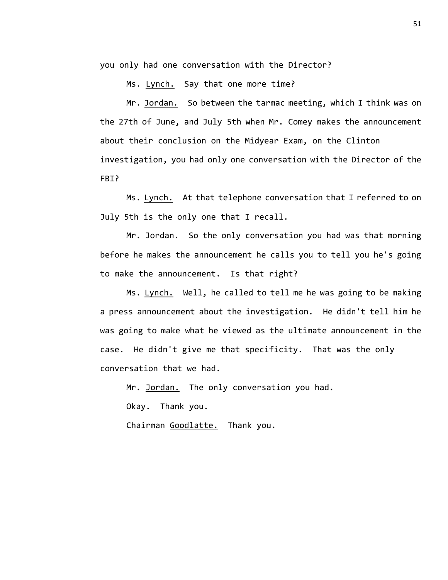you only had one conversation with the Director?

Ms. Lynch. Say that one more time?

Mr. Jordan. So between the tarmac meeting, which I think was on the 27th of June, and July 5th when Mr. Comey makes the announcement about their conclusion on the Midyear Exam, on the Clinton investigation, you had only one conversation with the Director of the FBI?

Ms. Lynch. At that telephone conversation that I referred to on July 5th is the only one that I recall.

Mr. Jordan. So the only conversation you had was that morning before he makes the announcement he calls you to tell you he's going to make the announcement. Is that right?

Ms. Lynch. Well, he called to tell me he was going to be making a press announcement about the investigation. He didn't tell him he was going to make what he viewed as the ultimate announcement in the case. He didn't give me that specificity. That was the only conversation that we had.

Mr. Jordan. The only conversation you had.

Okay. Thank you.

Chairman Goodlatte. Thank you.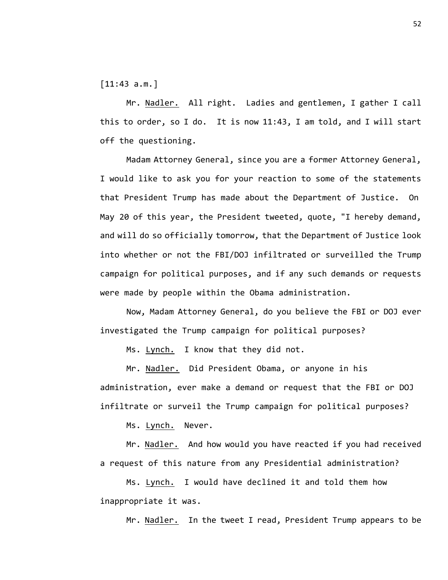[11:43 a.m.]

Mr. Nadler. All right. Ladies and gentlemen, I gather I call this to order, so I do. It is now 11:43, I am told, and I will start off the questioning.

Madam Attorney General, since you are a former Attorney General, I would like to ask you for your reaction to some of the statements that President Trump has made about the Department of Justice. On May 20 of this year, the President tweeted, quote, "I hereby demand, and will do so officially tomorrow, that the Department of Justice look into whether or not the FBI/DOJ infiltrated or surveilled the Trump campaign for political purposes, and if any such demands or requests were made by people within the Obama administration.

Now, Madam Attorney General, do you believe the FBI or DOJ ever investigated the Trump campaign for political purposes?

Ms. Lynch. I know that they did not.

Mr. Nadler. Did President Obama, or anyone in his administration, ever make a demand or request that the FBI or DOJ infiltrate or surveil the Trump campaign for political purposes?

Ms. Lynch. Never.

Mr. Nadler. And how would you have reacted if you had received a request of this nature from any Presidential administration?

Ms. Lynch. I would have declined it and told them how inappropriate it was.

Mr. Nadler. In the tweet I read, President Trump appears to be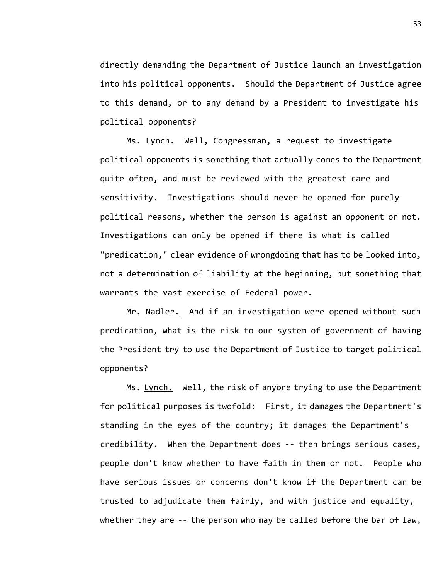directly demanding the Department of Justice launch an investigation into his political opponents. Should the Department of Justice agree to this demand, or to any demand by a President to investigate his political opponents?

Ms. Lynch. Well, Congressman, a request to investigate political opponents is something that actually comes to the Department quite often, and must be reviewed with the greatest care and sensitivity. Investigations should never be opened for purely political reasons, whether the person is against an opponent or not. Investigations can only be opened if there is what is called "predication," clear evidence of wrongdoing that has to be looked into, not a determination of liability at the beginning, but something that warrants the vast exercise of Federal power.

Mr. Nadler. And if an investigation were opened without such predication, what is the risk to our system of government of having the President try to use the Department of Justice to target political opponents?

Ms. Lynch. Well, the risk of anyone trying to use the Department for political purposes is twofold: First, it damages the Department's standing in the eyes of the country; it damages the Department's credibility. When the Department does -- then brings serious cases, people don't know whether to have faith in them or not. People who have serious issues or concerns don't know if the Department can be trusted to adjudicate them fairly, and with justice and equality, whether they are -- the person who may be called before the bar of law,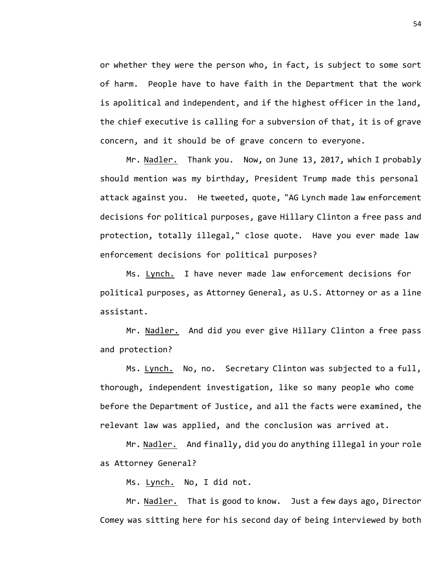or whether they were the person who, in fact, is subject to some sort of harm. People have to have faith in the Department that the work is apolitical and independent, and if the highest officer in the land, the chief executive is calling for a subversion of that, it is of grave concern, and it should be of grave concern to everyone.

Mr. Nadler. Thank you. Now, on June 13, 2017, which I probably should mention was my birthday, President Trump made this personal attack against you. He tweeted, quote, "AG Lynch made law enforcement decisions for political purposes, gave Hillary Clinton a free pass and protection, totally illegal," close quote. Have you ever made law enforcement decisions for political purposes?

Ms. Lynch. I have never made law enforcement decisions for political purposes, as Attorney General, as U.S. Attorney or as a line assistant.

Mr. Nadler. And did you ever give Hillary Clinton a free pass and protection?

Ms. Lynch. No, no. Secretary Clinton was subjected to a full, thorough, independent investigation, like so many people who come before the Department of Justice, and all the facts were examined, the relevant law was applied, and the conclusion was arrived at.

Mr. Nadler. And finally, did you do anything illegal in your role as Attorney General?

Ms. Lynch. No, I did not.

Mr. Nadler. That is good to know. Just a few days ago, Director Comey was sitting here for his second day of being interviewed by both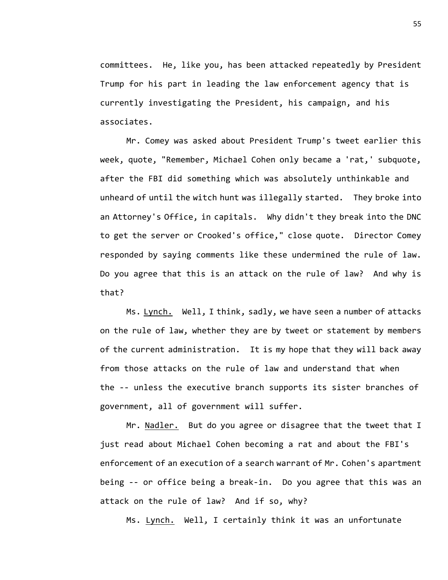committees. He, like you, has been attacked repeatedly by President Trump for his part in leading the law enforcement agency that is currently investigating the President, his campaign, and his associates.

Mr. Comey was asked about President Trump's tweet earlier this week, quote, "Remember, Michael Cohen only became a 'rat,' subquote, after the FBI did something which was absolutely unthinkable and unheard of until the witch hunt was illegally started. They broke into an Attorney's Office, in capitals. Why didn't they break into the DNC to get the server or Crooked's office," close quote. Director Comey responded by saying comments like these undermined the rule of law. Do you agree that this is an attack on the rule of law? And why is that?

Ms. Lynch. Well, I think, sadly, we have seen a number of attacks on the rule of law, whether they are by tweet or statement by members of the current administration. It is my hope that they will back away from those attacks on the rule of law and understand that when the -- unless the executive branch supports its sister branches of government, all of government will suffer.

Mr. Nadler. But do you agree or disagree that the tweet that I just read about Michael Cohen becoming a rat and about the FBI's enforcement of an execution of a search warrant of Mr. Cohen's apartment being -- or office being a break-in. Do you agree that this was an attack on the rule of law? And if so, why?

Ms. Lynch. Well, I certainly think it was an unfortunate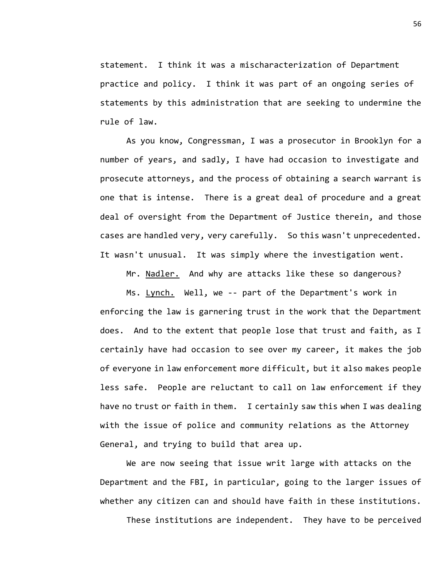statement. I think it was a mischaracterization of Department practice and policy. I think it was part of an ongoing series of statements by this administration that are seeking to undermine the rule of law.

As you know, Congressman, I was a prosecutor in Brooklyn for a number of years, and sadly, I have had occasion to investigate and prosecute attorneys, and the process of obtaining a search warrant is one that is intense. There is a great deal of procedure and a great deal of oversight from the Department of Justice therein, and those cases are handled very, very carefully. So this wasn't unprecedented. It wasn't unusual. It was simply where the investigation went.

Mr. Nadler. And why are attacks like these so dangerous?

Ms. Lynch. Well, we -- part of the Department's work in enforcing the law is garnering trust in the work that the Department does. And to the extent that people lose that trust and faith, as I certainly have had occasion to see over my career, it makes the job of everyone in law enforcement more difficult, but it also makes people less safe. People are reluctant to call on law enforcement if they have no trust or faith in them. I certainly saw this when I was dealing with the issue of police and community relations as the Attorney General, and trying to build that area up.

We are now seeing that issue writ large with attacks on the Department and the FBI, in particular, going to the larger issues of whether any citizen can and should have faith in these institutions.

These institutions are independent. They have to be perceived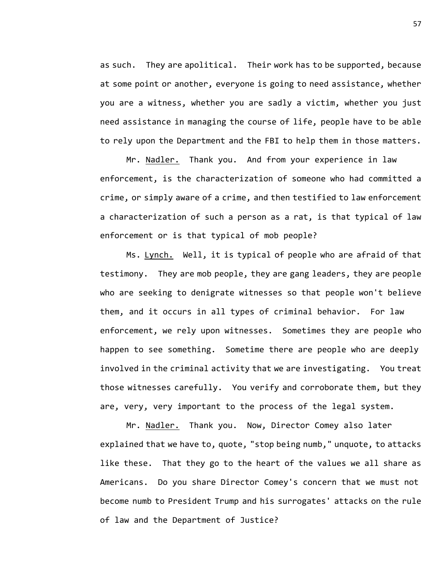as such. They are apolitical. Their work has to be supported, because at some point or another, everyone is going to need assistance, whether you are a witness, whether you are sadly a victim, whether you just need assistance in managing the course of life, people have to be able to rely upon the Department and the FBI to help them in those matters.

Mr. Nadler. Thank you. And from your experience in law enforcement, is the characterization of someone who had committed a crime, or simply aware of a crime, and then testified to law enforcement a characterization of such a person as a rat, is that typical of law enforcement or is that typical of mob people?

Ms. Lynch. Well, it is typical of people who are afraid of that testimony. They are mob people, they are gang leaders, they are people who are seeking to denigrate witnesses so that people won't believe them, and it occurs in all types of criminal behavior. For law enforcement, we rely upon witnesses. Sometimes they are people who happen to see something. Sometime there are people who are deeply involved in the criminal activity that we are investigating. You treat those witnesses carefully. You verify and corroborate them, but they are, very, very important to the process of the legal system.

Mr. Nadler. Thank you. Now, Director Comey also later explained that we have to, quote, "stop being numb," unquote, to attacks like these. That they go to the heart of the values we all share as Americans. Do you share Director Comey's concern that we must not become numb to President Trump and his surrogates' attacks on the rule of law and the Department of Justice?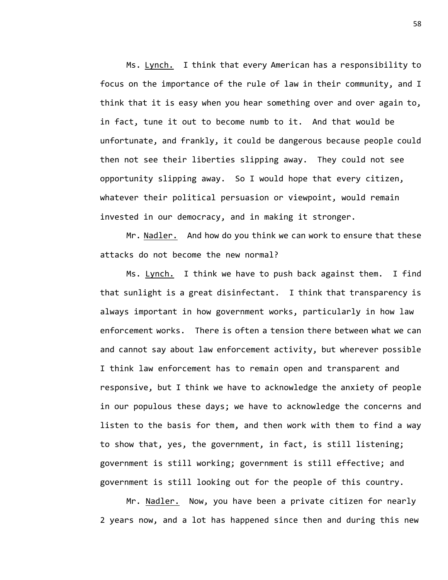Ms. Lynch. I think that every American has a responsibility to focus on the importance of the rule of law in their community, and I think that it is easy when you hear something over and over again to, in fact, tune it out to become numb to it. And that would be unfortunate, and frankly, it could be dangerous because people could then not see their liberties slipping away. They could not see opportunity slipping away. So I would hope that every citizen, whatever their political persuasion or viewpoint, would remain invested in our democracy, and in making it stronger.

Mr. Nadler. And how do you think we can work to ensure that these attacks do not become the new normal?

Ms. Lynch. I think we have to push back against them. I find that sunlight is a great disinfectant. I think that transparency is always important in how government works, particularly in how law enforcement works. There is often a tension there between what we can and cannot say about law enforcement activity, but wherever possible I think law enforcement has to remain open and transparent and responsive, but I think we have to acknowledge the anxiety of people in our populous these days; we have to acknowledge the concerns and listen to the basis for them, and then work with them to find a way to show that, yes, the government, in fact, is still listening; government is still working; government is still effective; and government is still looking out for the people of this country.

Mr. Nadler. Now, you have been a private citizen for nearly 2 years now, and a lot has happened since then and during this new

58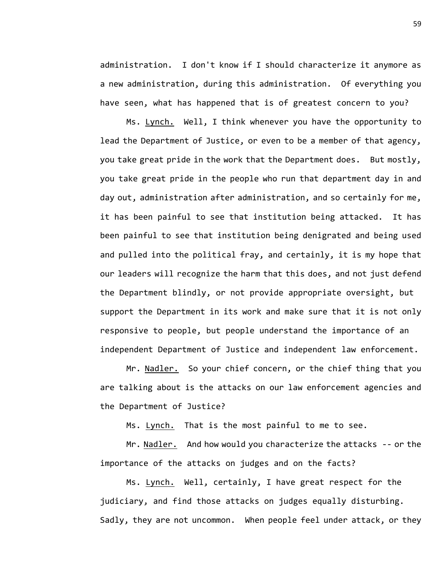administration. I don't know if I should characterize it anymore as a new administration, during this administration. Of everything you have seen, what has happened that is of greatest concern to you?

Ms. Lynch. Well, I think whenever you have the opportunity to lead the Department of Justice, or even to be a member of that agency, you take great pride in the work that the Department does. But mostly, you take great pride in the people who run that department day in and day out, administration after administration, and so certainly for me, it has been painful to see that institution being attacked. It has been painful to see that institution being denigrated and being used and pulled into the political fray, and certainly, it is my hope that our leaders will recognize the harm that this does, and not just defend the Department blindly, or not provide appropriate oversight, but support the Department in its work and make sure that it is not only responsive to people, but people understand the importance of an independent Department of Justice and independent law enforcement.

Mr. Nadler. So your chief concern, or the chief thing that you are talking about is the attacks on our law enforcement agencies and the Department of Justice?

Ms. Lynch. That is the most painful to me to see.

Mr. Nadler. And how would you characterize the attacks -- or the importance of the attacks on judges and on the facts?

Ms. Lynch. Well, certainly, I have great respect for the judiciary, and find those attacks on judges equally disturbing. Sadly, they are not uncommon. When people feel under attack, or they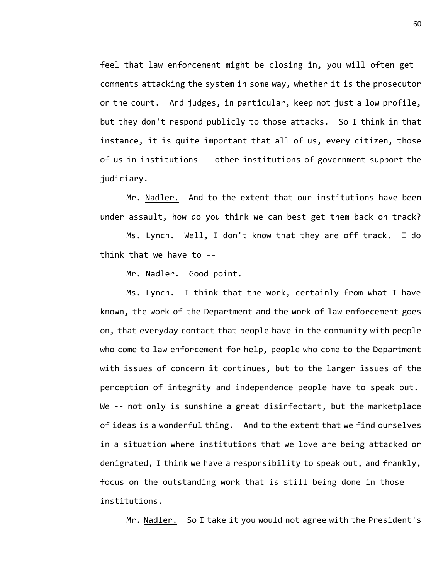feel that law enforcement might be closing in, you will often get comments attacking the system in some way, whether it is the prosecutor or the court. And judges, in particular, keep not just a low profile, but they don't respond publicly to those attacks. So I think in that instance, it is quite important that all of us, every citizen, those of us in institutions -- other institutions of government support the judiciary.

Mr. Nadler. And to the extent that our institutions have been under assault, how do you think we can best get them back on track?

Ms. Lynch. Well, I don't know that they are off track. I do think that we have to --

Mr. Nadler. Good point.

Ms. Lynch. I think that the work, certainly from what I have known, the work of the Department and the work of law enforcement goes on, that everyday contact that people have in the community with people who come to law enforcement for help, people who come to the Department with issues of concern it continues, but to the larger issues of the perception of integrity and independence people have to speak out. We -- not only is sunshine a great disinfectant, but the marketplace of ideas is a wonderful thing. And to the extent that we find ourselves in a situation where institutions that we love are being attacked or denigrated, I think we have a responsibility to speak out, and frankly, focus on the outstanding work that is still being done in those institutions.

Mr. Nadler. So I take it you would not agree with the President's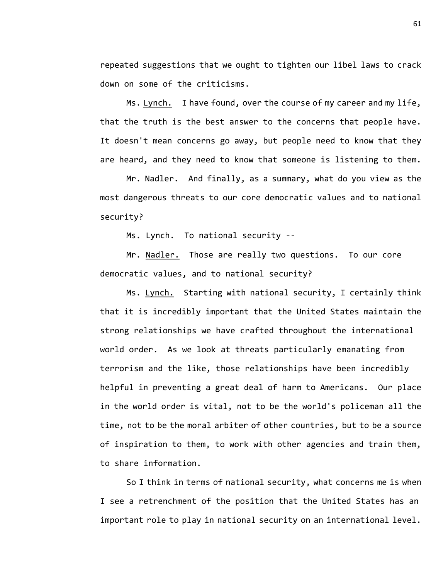repeated suggestions that we ought to tighten our libel laws to crack down on some of the criticisms.

Ms. Lynch. I have found, over the course of my career and my life, that the truth is the best answer to the concerns that people have. It doesn't mean concerns go away, but people need to know that they are heard, and they need to know that someone is listening to them.

Mr. Nadler. And finally, as a summary, what do you view as the most dangerous threats to our core democratic values and to national security?

Ms. Lynch. To national security --

Mr. Nadler. Those are really two questions. To our core democratic values, and to national security?

Ms. Lynch. Starting with national security, I certainly think that it is incredibly important that the United States maintain the strong relationships we have crafted throughout the international world order. As we look at threats particularly emanating from terrorism and the like, those relationships have been incredibly helpful in preventing a great deal of harm to Americans. Our place in the world order is vital, not to be the world's policeman all the time, not to be the moral arbiter of other countries, but to be a source of inspiration to them, to work with other agencies and train them, to share information.

So I think in terms of national security, what concerns me is when I see a retrenchment of the position that the United States has an important role to play in national security on an international level.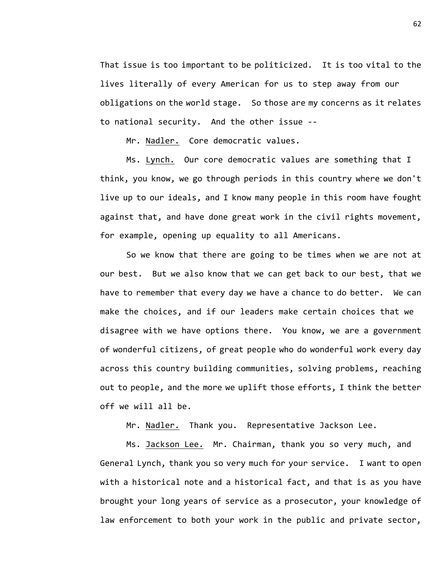That issue is too important to be politicized. It is too vital to the lives literally of every American for us to step away from our obligations on the world stage. So those are my concerns as it relates to national security. And the other issue --

Mr. Nadler. Core democratic values.

Ms. Lynch. Our core democratic values are something that I think, you know, we go through periods in this country where we don't live up to our ideals, and I know many people in this room have fought against that, and have done great work in the civil rights movement, for example, opening up equality to all Americans.

So we know that there are going to be times when we are not at our best. But we also know that we can get back to our best, that we have to remember that every day we have a chance to do better. We can make the choices, and if our leaders make certain choices that we disagree with we have options there. You know, we are a government of wonderful citizens, of great people who do wonderful work every day across this country building communities, solving problems, reaching out to people, and the more we uplift those efforts, I think the better off we will all be.

Mr. Nadler. Thank you. Representative Jackson Lee.

Ms. Jackson Lee. Mr. Chairman, thank you so very much, and General Lynch, thank you so very much for your service. I want to open with a historical note and a historical fact, and that is as you have brought your long years of service as a prosecutor, your knowledge of law enforcement to both your work in the public and private sector,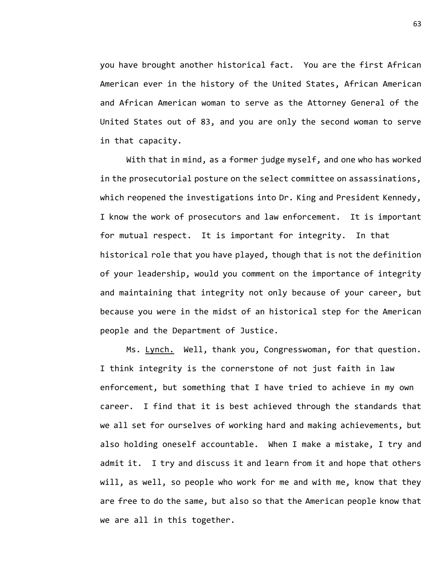you have brought another historical fact. You are the first African American ever in the history of the United States, African American and African American woman to serve as the Attorney General of the United States out of 83, and you are only the second woman to serve in that capacity.

With that in mind, as a former judge myself, and one who has worked in the prosecutorial posture on the select committee on assassinations, which reopened the investigations into Dr. King and President Kennedy, I know the work of prosecutors and law enforcement. It is important for mutual respect. It is important for integrity. In that historical role that you have played, though that is not the definition of your leadership, would you comment on the importance of integrity and maintaining that integrity not only because of your career, but because you were in the midst of an historical step for the American people and the Department of Justice.

Ms. Lynch. Well, thank you, Congresswoman, for that question. I think integrity is the cornerstone of not just faith in law enforcement, but something that I have tried to achieve in my own career. I find that it is best achieved through the standards that we all set for ourselves of working hard and making achievements, but also holding oneself accountable. When I make a mistake, I try and admit it. I try and discuss it and learn from it and hope that others will, as well, so people who work for me and with me, know that they are free to do the same, but also so that the American people know that we are all in this together.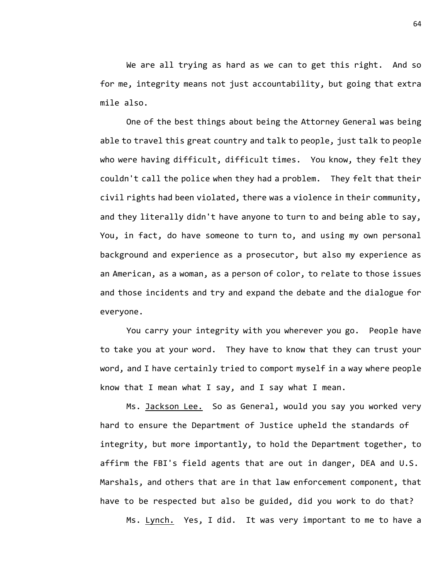We are all trying as hard as we can to get this right. And so for me, integrity means not just accountability, but going that extra mile also.

One of the best things about being the Attorney General was being able to travel this great country and talk to people, just talk to people who were having difficult, difficult times. You know, they felt they couldn't call the police when they had a problem. They felt that their civil rights had been violated, there was a violence in their community, and they literally didn't have anyone to turn to and being able to say, You, in fact, do have someone to turn to, and using my own personal background and experience as a prosecutor, but also my experience as an American, as a woman, as a person of color, to relate to those issues and those incidents and try and expand the debate and the dialogue for everyone.

You carry your integrity with you wherever you go. People have to take you at your word. They have to know that they can trust your word, and I have certainly tried to comport myself in a way where people know that I mean what I say, and I say what I mean.

Ms. Jackson Lee. So as General, would you say you worked very hard to ensure the Department of Justice upheld the standards of integrity, but more importantly, to hold the Department together, to affirm the FBI's field agents that are out in danger, DEA and U.S. Marshals, and others that are in that law enforcement component, that have to be respected but also be guided, did you work to do that?

Ms. Lynch. Yes, I did. It was very important to me to have a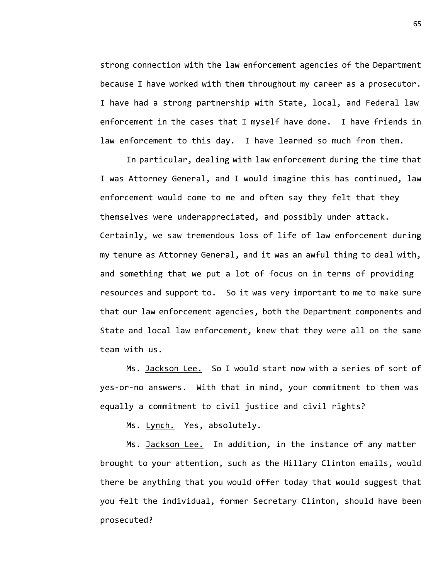strong connection with the law enforcement agencies of the Department because I have worked with them throughout my career as a prosecutor. I have had a strong partnership with State, local, and Federal law enforcement in the cases that I myself have done. I have friends in law enforcement to this day. I have learned so much from them.

In particular, dealing with law enforcement during the time that I was Attorney General, and I would imagine this has continued, law enforcement would come to me and often say they felt that they themselves were underappreciated, and possibly under attack. Certainly, we saw tremendous loss of life of law enforcement during my tenure as Attorney General, and it was an awful thing to deal with, and something that we put a lot of focus on in terms of providing resources and support to. So it was very important to me to make sure that our law enforcement agencies, both the Department components and State and local law enforcement, knew that they were all on the same team with us.

Ms. Jackson Lee. So I would start now with a series of sort of yes-or-no answers. With that in mind, your commitment to them was equally a commitment to civil justice and civil rights?

Ms. Lynch. Yes, absolutely.

Ms. Jackson Lee. In addition, in the instance of any matter brought to your attention, such as the Hillary Clinton emails, would there be anything that you would offer today that would suggest that you felt the individual, former Secretary Clinton, should have been prosecuted?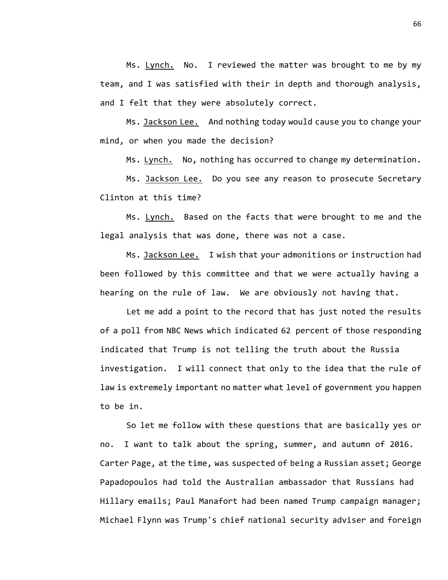Ms. Lynch. No. I reviewed the matter was brought to me by my team, and I was satisfied with their in depth and thorough analysis, and I felt that they were absolutely correct.

Ms. Jackson Lee. And nothing today would cause you to change your mind, or when you made the decision?

Ms. Lynch. No, nothing has occurred to change my determination.

Ms. Jackson Lee. Do you see any reason to prosecute Secretary Clinton at this time?

Ms. Lynch. Based on the facts that were brought to me and the legal analysis that was done, there was not a case.

Ms. Jackson Lee. I wish that your admonitions or instruction had been followed by this committee and that we were actually having a hearing on the rule of law. We are obviously not having that.

Let me add a point to the record that has just noted the results of a poll from NBC News which indicated 62 percent of those responding indicated that Trump is not telling the truth about the Russia investigation. I will connect that only to the idea that the rule of law is extremely important no matter what level of government you happen to be in.

So let me follow with these questions that are basically yes or no. I want to talk about the spring, summer, and autumn of 2016. Carter Page, at the time, was suspected of being a Russian asset; George Papadopoulos had told the Australian ambassador that Russians had Hillary emails; Paul Manafort had been named Trump campaign manager; Michael Flynn was Trump's chief national security adviser and foreign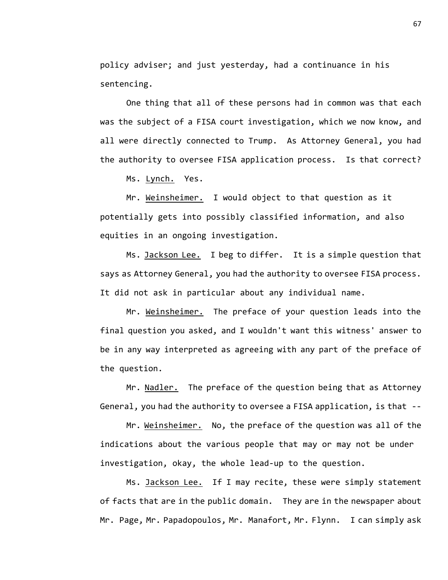policy adviser; and just yesterday, had a continuance in his sentencing.

One thing that all of these persons had in common was that each was the subject of a FISA court investigation, which we now know, and all were directly connected to Trump. As Attorney General, you had the authority to oversee FISA application process. Is that correct?

Ms. Lynch. Yes.

Mr. Weinsheimer. I would object to that question as it potentially gets into possibly classified information, and also equities in an ongoing investigation.

Ms. Jackson Lee. I beg to differ. It is a simple question that says as Attorney General, you had the authority to oversee FISA process. It did not ask in particular about any individual name.

Mr. Weinsheimer. The preface of your question leads into the final question you asked, and I wouldn't want this witness' answer to be in any way interpreted as agreeing with any part of the preface of the question.

Mr. Nadler. The preface of the question being that as Attorney General, you had the authority to oversee a FISA application, is that --

Mr. Weinsheimer. No, the preface of the question was all of the indications about the various people that may or may not be under investigation, okay, the whole lead-up to the question.

Ms. Jackson Lee. If I may recite, these were simply statement of facts that are in the public domain. They are in the newspaper about Mr. Page, Mr. Papadopoulos, Mr. Manafort, Mr. Flynn. I can simply ask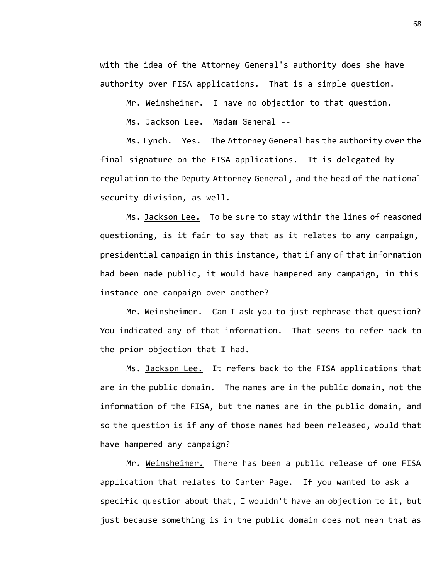with the idea of the Attorney General's authority does she have authority over FISA applications. That is a simple question.

Mr. Weinsheimer. I have no objection to that question.

Ms. Jackson Lee. Madam General --

Ms. Lynch. Yes. The Attorney General has the authority over the final signature on the FISA applications. It is delegated by regulation to the Deputy Attorney General, and the head of the national security division, as well.

Ms. Jackson Lee. To be sure to stay within the lines of reasoned questioning, is it fair to say that as it relates to any campaign, presidential campaign in this instance, that if any of that information had been made public, it would have hampered any campaign, in this instance one campaign over another?

Mr. Weinsheimer. Can I ask you to just rephrase that question? You indicated any of that information. That seems to refer back to the prior objection that I had.

Ms. Jackson Lee. It refers back to the FISA applications that are in the public domain. The names are in the public domain, not the information of the FISA, but the names are in the public domain, and so the question is if any of those names had been released, would that have hampered any campaign?

Mr. Weinsheimer. There has been a public release of one FISA application that relates to Carter Page. If you wanted to ask a specific question about that, I wouldn't have an objection to it, but just because something is in the public domain does not mean that as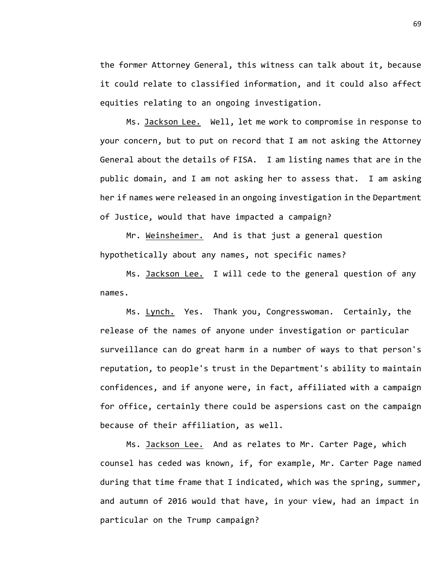the former Attorney General, this witness can talk about it, because it could relate to classified information, and it could also affect equities relating to an ongoing investigation.

Ms. Jackson Lee. Well, let me work to compromise in response to your concern, but to put on record that I am not asking the Attorney General about the details of FISA. I am listing names that are in the public domain, and I am not asking her to assess that. I am asking her if names were released in an ongoing investigation in the Department of Justice, would that have impacted a campaign?

Mr. Weinsheimer. And is that just a general question hypothetically about any names, not specific names?

Ms. Jackson Lee. I will cede to the general question of any names.

Ms. Lynch. Yes. Thank you, Congresswoman. Certainly, the release of the names of anyone under investigation or particular surveillance can do great harm in a number of ways to that person's reputation, to people's trust in the Department's ability to maintain confidences, and if anyone were, in fact, affiliated with a campaign for office, certainly there could be aspersions cast on the campaign because of their affiliation, as well.

Ms. Jackson Lee. And as relates to Mr. Carter Page, which counsel has ceded was known, if, for example, Mr. Carter Page named during that time frame that I indicated, which was the spring, summer, and autumn of 2016 would that have, in your view, had an impact in particular on the Trump campaign?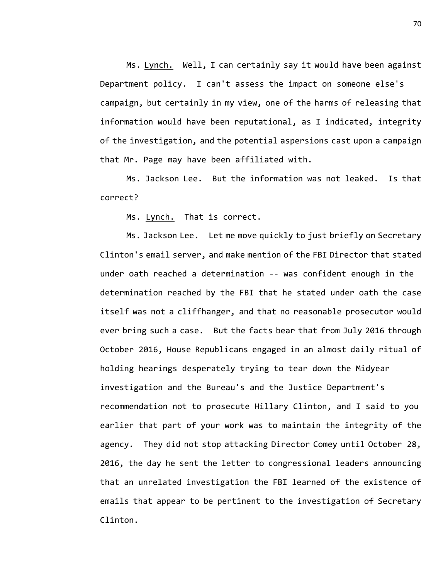Ms. Lynch. Well, I can certainly say it would have been against Department policy. I can't assess the impact on someone else's campaign, but certainly in my view, one of the harms of releasing that information would have been reputational, as I indicated, integrity of the investigation, and the potential aspersions cast upon a campaign that Mr. Page may have been affiliated with.

Ms. Jackson Lee. But the information was not leaked. Is that correct?

Ms. Lynch. That is correct.

Ms. Jackson Lee. Let me move quickly to just briefly on Secretary Clinton's email server, and make mention of the FBI Director that stated under oath reached a determination -- was confident enough in the determination reached by the FBI that he stated under oath the case itself was not a cliffhanger, and that no reasonable prosecutor would ever bring such a case. But the facts bear that from July 2016 through October 2016, House Republicans engaged in an almost daily ritual of holding hearings desperately trying to tear down the Midyear investigation and the Bureau's and the Justice Department's recommendation not to prosecute Hillary Clinton, and I said to you earlier that part of your work was to maintain the integrity of the agency. They did not stop attacking Director Comey until October 28, 2016, the day he sent the letter to congressional leaders announcing that an unrelated investigation the FBI learned of the existence of emails that appear to be pertinent to the investigation of Secretary Clinton.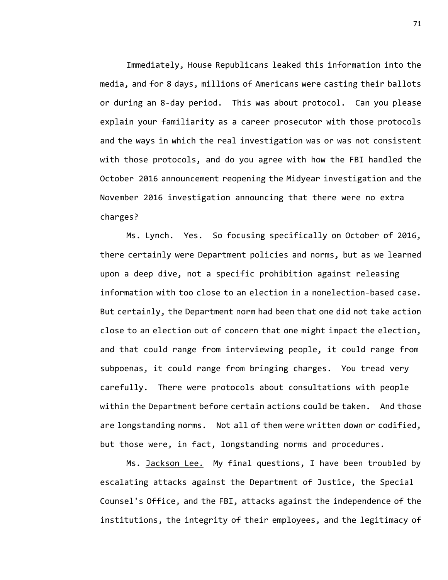Immediately, House Republicans leaked this information into the media, and for 8 days, millions of Americans were casting their ballots or during an 8-day period. This was about protocol. Can you please explain your familiarity as a career prosecutor with those protocols and the ways in which the real investigation was or was not consistent with those protocols, and do you agree with how the FBI handled the October 2016 announcement reopening the Midyear investigation and the November 2016 investigation announcing that there were no extra charges?

Ms. Lynch. Yes. So focusing specifically on October of 2016, there certainly were Department policies and norms, but as we learned upon a deep dive, not a specific prohibition against releasing information with too close to an election in a nonelection-based case. But certainly, the Department norm had been that one did not take action close to an election out of concern that one might impact the election, and that could range from interviewing people, it could range from subpoenas, it could range from bringing charges. You tread very carefully. There were protocols about consultations with people within the Department before certain actions could be taken. And those are longstanding norms. Not all of them were written down or codified, but those were, in fact, longstanding norms and procedures.

Ms. Jackson Lee. My final questions, I have been troubled by escalating attacks against the Department of Justice, the Special Counsel's Office, and the FBI, attacks against the independence of the institutions, the integrity of their employees, and the legitimacy of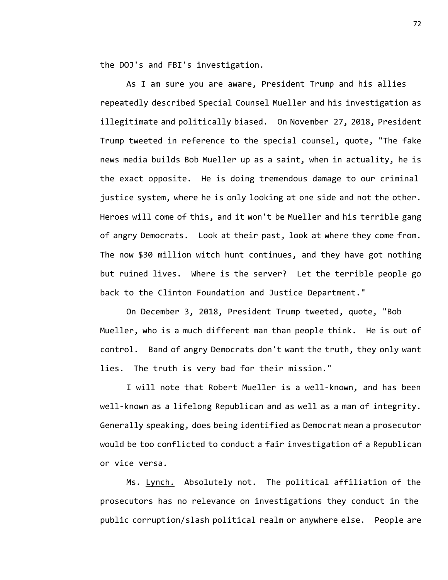the DOJ's and FBI's investigation.

As I am sure you are aware, President Trump and his allies repeatedly described Special Counsel Mueller and his investigation as illegitimate and politically biased. On November 27, 2018, President Trump tweeted in reference to the special counsel, quote, "The fake news media builds Bob Mueller up as a saint, when in actuality, he is the exact opposite. He is doing tremendous damage to our criminal justice system, where he is only looking at one side and not the other. Heroes will come of this, and it won't be Mueller and his terrible gang of angry Democrats. Look at their past, look at where they come from. The now \$30 million witch hunt continues, and they have got nothing but ruined lives. Where is the server? Let the terrible people go back to the Clinton Foundation and Justice Department."

On December 3, 2018, President Trump tweeted, quote, "Bob Mueller, who is a much different man than people think. He is out of control. Band of angry Democrats don't want the truth, they only want lies. The truth is very bad for their mission."

I will note that Robert Mueller is a well-known, and has been well-known as a lifelong Republican and as well as a man of integrity. Generally speaking, does being identified as Democrat mean a prosecutor would be too conflicted to conduct a fair investigation of a Republican or vice versa.

Ms. Lynch. Absolutely not. The political affiliation of the prosecutors has no relevance on investigations they conduct in the public corruption/slash political realm or anywhere else. People are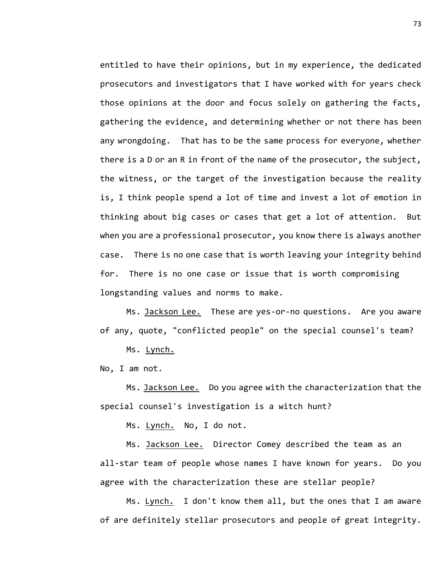entitled to have their opinions, but in my experience, the dedicated prosecutors and investigators that I have worked with for years check those opinions at the door and focus solely on gathering the facts, gathering the evidence, and determining whether or not there has been any wrongdoing. That has to be the same process for everyone, whether there is a D or an R in front of the name of the prosecutor, the subject, the witness, or the target of the investigation because the reality is, I think people spend a lot of time and invest a lot of emotion in thinking about big cases or cases that get a lot of attention. But when you are a professional prosecutor, you know there is always another case. There is no one case that is worth leaving your integrity behind for. There is no one case or issue that is worth compromising longstanding values and norms to make.

Ms. Jackson Lee. These are yes-or-no questions. Are you aware of any, quote, "conflicted people" on the special counsel's team?

Ms. Lynch.

No, I am not.

Ms. Jackson Lee. Do you agree with the characterization that the special counsel's investigation is a witch hunt?

Ms. Lynch. No, I do not.

Ms. Jackson Lee. Director Comey described the team as an all-star team of people whose names I have known for years. Do you agree with the characterization these are stellar people?

Ms. Lynch. I don't know them all, but the ones that I am aware of are definitely stellar prosecutors and people of great integrity.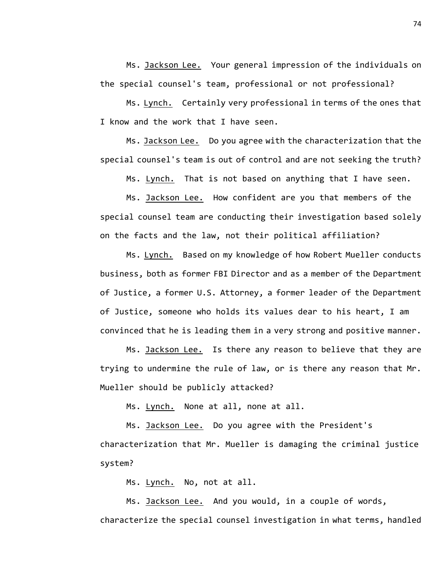Ms. Jackson Lee. Your general impression of the individuals on the special counsel's team, professional or not professional?

Ms. Lynch. Certainly very professional in terms of the ones that I know and the work that I have seen.

Ms. Jackson Lee. Do you agree with the characterization that the special counsel's team is out of control and are not seeking the truth?

Ms. Lynch. That is not based on anything that I have seen.

Ms. Jackson Lee. How confident are you that members of the special counsel team are conducting their investigation based solely on the facts and the law, not their political affiliation?

Ms. Lynch. Based on my knowledge of how Robert Mueller conducts business, both as former FBI Director and as a member of the Department of Justice, a former U.S. Attorney, a former leader of the Department of Justice, someone who holds its values dear to his heart, I am convinced that he is leading them in a very strong and positive manner.

Ms. Jackson Lee. Is there any reason to believe that they are trying to undermine the rule of law, or is there any reason that Mr. Mueller should be publicly attacked?

Ms. Lynch. None at all, none at all.

Ms. Jackson Lee. Do you agree with the President's characterization that Mr. Mueller is damaging the criminal justice system?

Ms. Lynch. No, not at all.

Ms. Jackson Lee. And you would, in a couple of words, characterize the special counsel investigation in what terms, handled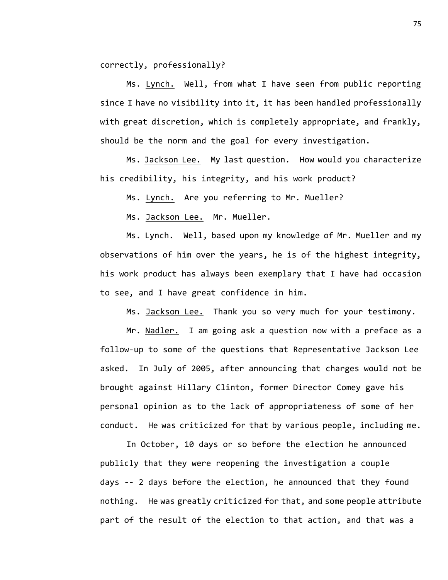correctly, professionally?

Ms. Lynch. Well, from what I have seen from public reporting since I have no visibility into it, it has been handled professionally with great discretion, which is completely appropriate, and frankly, should be the norm and the goal for every investigation.

Ms. Jackson Lee. My last question. How would you characterize his credibility, his integrity, and his work product?

Ms. Lynch. Are you referring to Mr. Mueller?

Ms. Jackson Lee. Mr. Mueller.

Ms. Lynch. Well, based upon my knowledge of Mr. Mueller and my observations of him over the years, he is of the highest integrity, his work product has always been exemplary that I have had occasion to see, and I have great confidence in him.

Ms. Jackson Lee. Thank you so very much for your testimony.

Mr. Nadler. I am going ask a question now with a preface as a follow-up to some of the questions that Representative Jackson Lee asked. In July of 2005, after announcing that charges would not be brought against Hillary Clinton, former Director Comey gave his personal opinion as to the lack of appropriateness of some of her conduct. He was criticized for that by various people, including me.

In October, 10 days or so before the election he announced publicly that they were reopening the investigation a couple days -- 2 days before the election, he announced that they found nothing. He was greatly criticized for that, and some people attribute part of the result of the election to that action, and that was a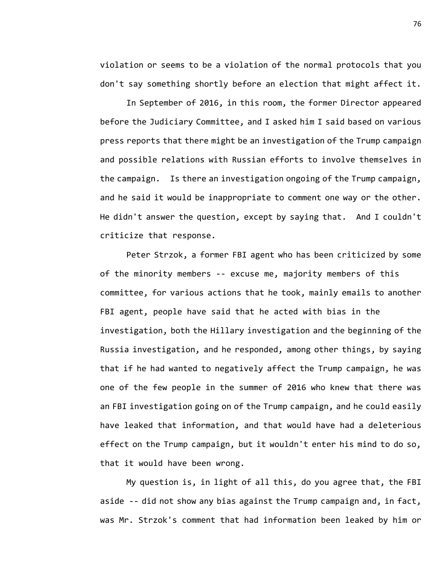violation or seems to be a violation of the normal protocols that you don't say something shortly before an election that might affect it.

In September of 2016, in this room, the former Director appeared before the Judiciary Committee, and I asked him I said based on various press reports that there might be an investigation of the Trump campaign and possible relations with Russian efforts to involve themselves in the campaign. Is there an investigation ongoing of the Trump campaign, and he said it would be inappropriate to comment one way or the other. He didn't answer the question, except by saying that. And I couldn't criticize that response.

Peter Strzok, a former FBI agent who has been criticized by some of the minority members -- excuse me, majority members of this committee, for various actions that he took, mainly emails to another FBI agent, people have said that he acted with bias in the investigation, both the Hillary investigation and the beginning of the Russia investigation, and he responded, among other things, by saying that if he had wanted to negatively affect the Trump campaign, he was one of the few people in the summer of 2016 who knew that there was an FBI investigation going on of the Trump campaign, and he could easily have leaked that information, and that would have had a deleterious effect on the Trump campaign, but it wouldn't enter his mind to do so, that it would have been wrong.

My question is, in light of all this, do you agree that, the FBI aside -- did not show any bias against the Trump campaign and, in fact, was Mr. Strzok's comment that had information been leaked by him or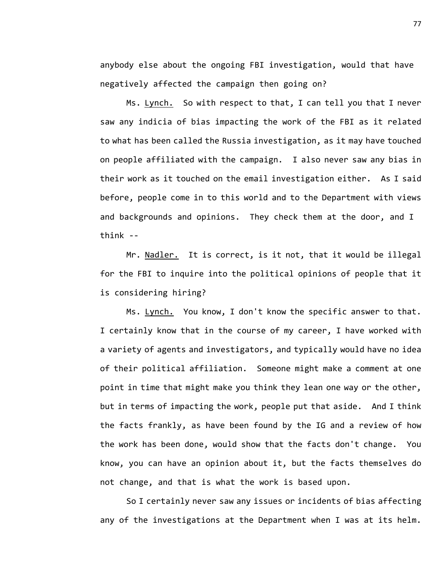anybody else about the ongoing FBI investigation, would that have negatively affected the campaign then going on?

Ms. Lynch. So with respect to that, I can tell you that I never saw any indicia of bias impacting the work of the FBI as it related to what has been called the Russia investigation, as it may have touched on people affiliated with the campaign. I also never saw any bias in their work as it touched on the email investigation either. As I said before, people come in to this world and to the Department with views and backgrounds and opinions. They check them at the door, and I think --

Mr. Nadler. It is correct, is it not, that it would be illegal for the FBI to inquire into the political opinions of people that it is considering hiring?

Ms. Lynch. You know, I don't know the specific answer to that. I certainly know that in the course of my career, I have worked with a variety of agents and investigators, and typically would have no idea of their political affiliation. Someone might make a comment at one point in time that might make you think they lean one way or the other, but in terms of impacting the work, people put that aside. And I think the facts frankly, as have been found by the IG and a review of how the work has been done, would show that the facts don't change. You know, you can have an opinion about it, but the facts themselves do not change, and that is what the work is based upon.

So I certainly never saw any issues or incidents of bias affecting any of the investigations at the Department when I was at its helm.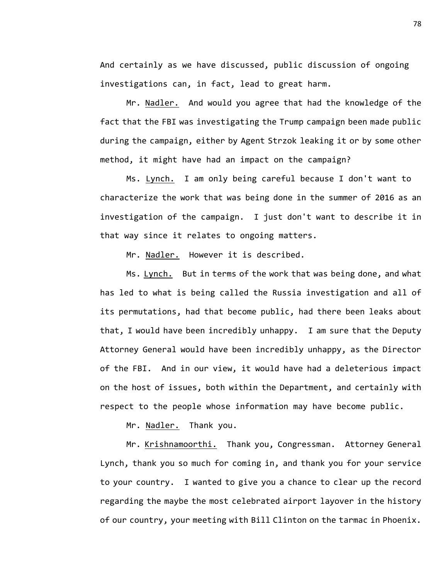And certainly as we have discussed, public discussion of ongoing investigations can, in fact, lead to great harm.

Mr. Nadler. And would you agree that had the knowledge of the fact that the FBI was investigating the Trump campaign been made public during the campaign, either by Agent Strzok leaking it or by some other method, it might have had an impact on the campaign?

Ms. Lynch. I am only being careful because I don't want to characterize the work that was being done in the summer of 2016 as an investigation of the campaign. I just don't want to describe it in that way since it relates to ongoing matters.

Mr. Nadler. However it is described.

Ms. Lynch. But in terms of the work that was being done, and what has led to what is being called the Russia investigation and all of its permutations, had that become public, had there been leaks about that, I would have been incredibly unhappy. I am sure that the Deputy Attorney General would have been incredibly unhappy, as the Director of the FBI. And in our view, it would have had a deleterious impact on the host of issues, both within the Department, and certainly with respect to the people whose information may have become public.

Mr. Nadler. Thank you.

Mr. Krishnamoorthi. Thank you, Congressman. Attorney General Lynch, thank you so much for coming in, and thank you for your service to your country. I wanted to give you a chance to clear up the record regarding the maybe the most celebrated airport layover in the history of our country, your meeting with Bill Clinton on the tarmac in Phoenix.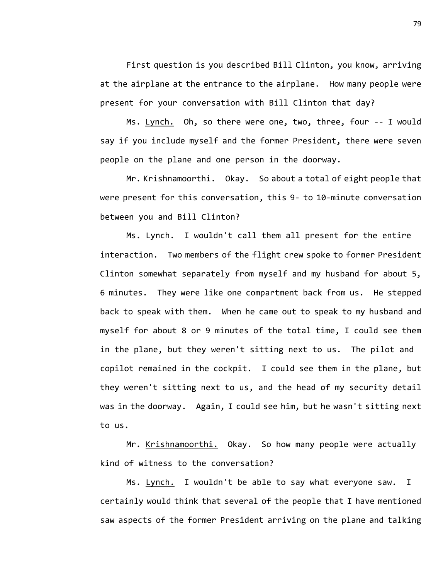First question is you described Bill Clinton, you know, arriving at the airplane at the entrance to the airplane. How many people were present for your conversation with Bill Clinton that day?

Ms. Lynch. Oh, so there were one, two, three, four -- I would say if you include myself and the former President, there were seven people on the plane and one person in the doorway.

Mr. Krishnamoorthi. Okay. So about a total of eight people that were present for this conversation, this 9- to 10-minute conversation between you and Bill Clinton?

Ms. Lynch. I wouldn't call them all present for the entire interaction. Two members of the flight crew spoke to former President Clinton somewhat separately from myself and my husband for about 5, 6 minutes. They were like one compartment back from us. He stepped back to speak with them. When he came out to speak to my husband and myself for about 8 or 9 minutes of the total time, I could see them in the plane, but they weren't sitting next to us. The pilot and copilot remained in the cockpit. I could see them in the plane, but they weren't sitting next to us, and the head of my security detail was in the doorway. Again, I could see him, but he wasn't sitting next to us.

Mr. Krishnamoorthi. Okay. So how many people were actually kind of witness to the conversation?

Ms. Lynch. I wouldn't be able to say what everyone saw. I certainly would think that several of the people that I have mentioned saw aspects of the former President arriving on the plane and talking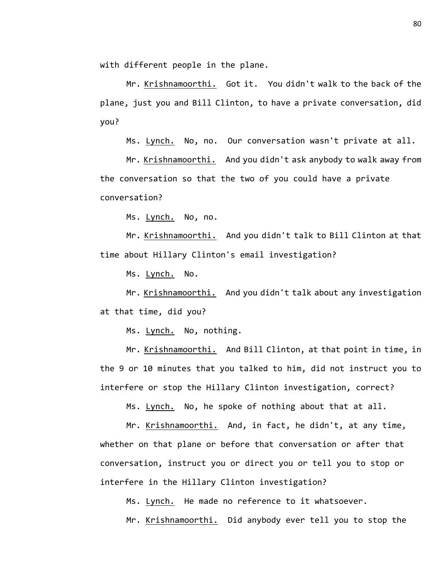with different people in the plane.

Mr. Krishnamoorthi. Got it. You didn't walk to the back of the plane, just you and Bill Clinton, to have a private conversation, did you?

Ms. Lynch. No, no. Our conversation wasn't private at all.

Mr. Krishnamoorthi. And you didn't ask anybody to walk away from the conversation so that the two of you could have a private conversation?

Ms. Lynch. No, no.

Mr. Krishnamoorthi. And you didn't talk to Bill Clinton at that time about Hillary Clinton's email investigation?

Ms. Lynch. No.

Mr. Krishnamoorthi. And you didn't talk about any investigation at that time, did you?

Ms. Lynch. No, nothing.

Mr. Krishnamoorthi. And Bill Clinton, at that point in time, in the 9 or 10 minutes that you talked to him, did not instruct you to interfere or stop the Hillary Clinton investigation, correct?

Ms. Lynch. No, he spoke of nothing about that at all.

Mr. Krishnamoorthi. And, in fact, he didn't, at any time, whether on that plane or before that conversation or after that conversation, instruct you or direct you or tell you to stop or interfere in the Hillary Clinton investigation?

Ms. Lynch. He made no reference to it whatsoever.

Mr. Krishnamoorthi. Did anybody ever tell you to stop the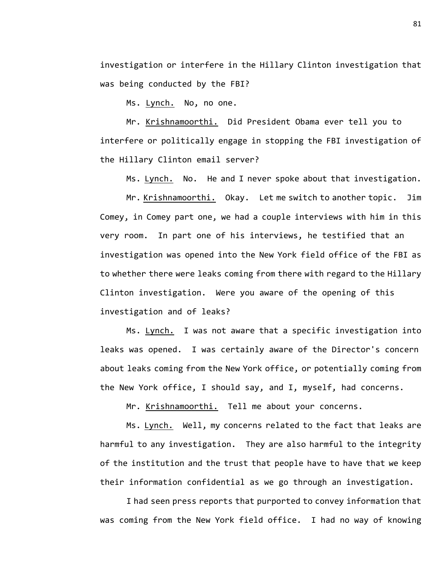investigation or interfere in the Hillary Clinton investigation that was being conducted by the FBI?

Ms. Lynch. No, no one.

Mr. Krishnamoorthi. Did President Obama ever tell you to interfere or politically engage in stopping the FBI investigation of the Hillary Clinton email server?

Ms. Lynch. No. He and I never spoke about that investigation.

Mr. Krishnamoorthi. Okay. Let me switch to another topic. Jim Comey, in Comey part one, we had a couple interviews with him in this very room. In part one of his interviews, he testified that an investigation was opened into the New York field office of the FBI as to whether there were leaks coming from there with regard to the Hillary Clinton investigation. Were you aware of the opening of this investigation and of leaks?

Ms. Lynch. I was not aware that a specific investigation into leaks was opened. I was certainly aware of the Director's concern about leaks coming from the New York office, or potentially coming from the New York office, I should say, and I, myself, had concerns.

Mr. Krishnamoorthi. Tell me about your concerns.

Ms. Lynch. Well, my concerns related to the fact that leaks are harmful to any investigation. They are also harmful to the integrity of the institution and the trust that people have to have that we keep their information confidential as we go through an investigation.

I had seen press reports that purported to convey information that was coming from the New York field office. I had no way of knowing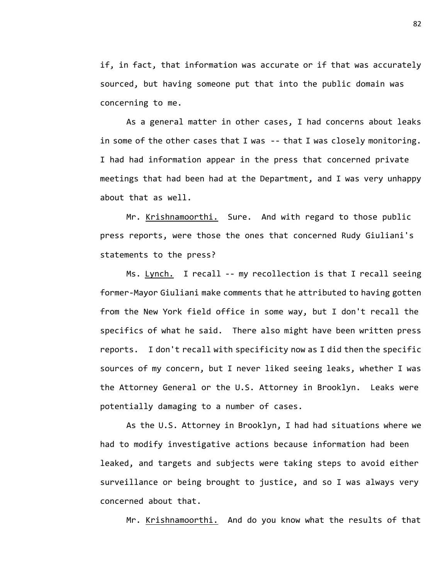if, in fact, that information was accurate or if that was accurately sourced, but having someone put that into the public domain was concerning to me.

As a general matter in other cases, I had concerns about leaks in some of the other cases that I was -- that I was closely monitoring. I had had information appear in the press that concerned private meetings that had been had at the Department, and I was very unhappy about that as well.

Mr. Krishnamoorthi. Sure. And with regard to those public press reports, were those the ones that concerned Rudy Giuliani's statements to the press?

Ms. Lynch. I recall -- my recollection is that I recall seeing former-Mayor Giuliani make comments that he attributed to having gotten from the New York field office in some way, but I don't recall the specifics of what he said. There also might have been written press reports. I don't recall with specificity now as I did then the specific sources of my concern, but I never liked seeing leaks, whether I was the Attorney General or the U.S. Attorney in Brooklyn. Leaks were potentially damaging to a number of cases.

As the U.S. Attorney in Brooklyn, I had had situations where we had to modify investigative actions because information had been leaked, and targets and subjects were taking steps to avoid either surveillance or being brought to justice, and so I was always very concerned about that.

Mr. Krishnamoorthi. And do you know what the results of that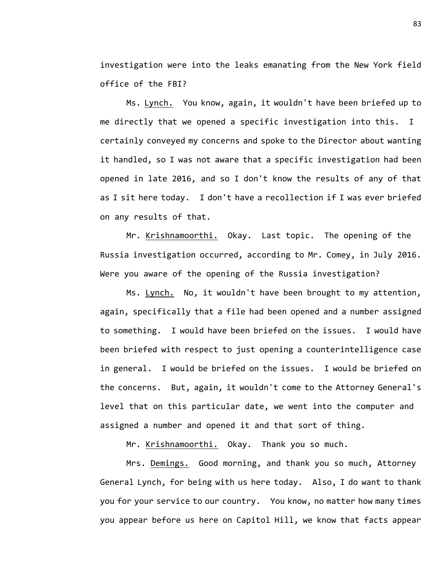investigation were into the leaks emanating from the New York field office of the FBI?

Ms. Lynch. You know, again, it wouldn't have been briefed up to me directly that we opened a specific investigation into this. I certainly conveyed my concerns and spoke to the Director about wanting it handled, so I was not aware that a specific investigation had been opened in late 2016, and so I don't know the results of any of that as I sit here today. I don't have a recollection if I was ever briefed on any results of that.

Mr. Krishnamoorthi. Okay. Last topic. The opening of the Russia investigation occurred, according to Mr. Comey, in July 2016. Were you aware of the opening of the Russia investigation?

Ms. Lynch. No, it wouldn't have been brought to my attention, again, specifically that a file had been opened and a number assigned to something. I would have been briefed on the issues. I would have been briefed with respect to just opening a counterintelligence case in general. I would be briefed on the issues. I would be briefed on the concerns. But, again, it wouldn't come to the Attorney General's level that on this particular date, we went into the computer and assigned a number and opened it and that sort of thing.

Mr. Krishnamoorthi. Okay. Thank you so much.

Mrs. Demings. Good morning, and thank you so much, Attorney General Lynch, for being with us here today. Also, I do want to thank you for your service to our country. You know, no matter how many times you appear before us here on Capitol Hill, we know that facts appear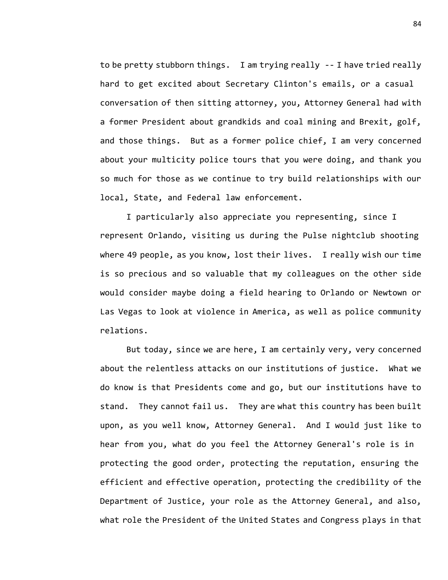to be pretty stubborn things. I am trying really -- I have tried really hard to get excited about Secretary Clinton's emails, or a casual conversation of then sitting attorney, you, Attorney General had with a former President about grandkids and coal mining and Brexit, golf, and those things. But as a former police chief, I am very concerned about your multicity police tours that you were doing, and thank you so much for those as we continue to try build relationships with our local, State, and Federal law enforcement.

I particularly also appreciate you representing, since I represent Orlando, visiting us during the Pulse nightclub shooting where 49 people, as you know, lost their lives. I really wish our time is so precious and so valuable that my colleagues on the other side would consider maybe doing a field hearing to Orlando or Newtown or Las Vegas to look at violence in America, as well as police community relations.

But today, since we are here, I am certainly very, very concerned about the relentless attacks on our institutions of justice. What we do know is that Presidents come and go, but our institutions have to stand. They cannot fail us. They are what this country has been built upon, as you well know, Attorney General. And I would just like to hear from you, what do you feel the Attorney General's role is in protecting the good order, protecting the reputation, ensuring the efficient and effective operation, protecting the credibility of the Department of Justice, your role as the Attorney General, and also, what role the President of the United States and Congress plays in that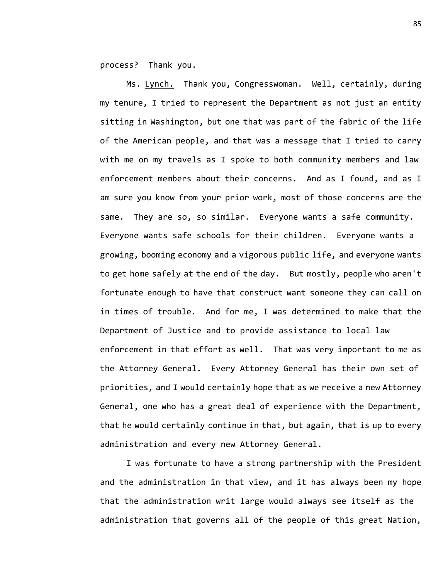process? Thank you.

Ms. Lynch. Thank you, Congresswoman. Well, certainly, during my tenure, I tried to represent the Department as not just an entity sitting in Washington, but one that was part of the fabric of the life of the American people, and that was a message that I tried to carry with me on my travels as I spoke to both community members and law enforcement members about their concerns. And as I found, and as I am sure you know from your prior work, most of those concerns are the same. They are so, so similar. Everyone wants a safe community. Everyone wants safe schools for their children. Everyone wants a growing, booming economy and a vigorous public life, and everyone wants to get home safely at the end of the day. But mostly, people who aren't fortunate enough to have that construct want someone they can call on in times of trouble. And for me, I was determined to make that the Department of Justice and to provide assistance to local law enforcement in that effort as well. That was very important to me as the Attorney General. Every Attorney General has their own set of priorities, and I would certainly hope that as we receive a new Attorney General, one who has a great deal of experience with the Department, that he would certainly continue in that, but again, that is up to every administration and every new Attorney General.

I was fortunate to have a strong partnership with the President and the administration in that view, and it has always been my hope that the administration writ large would always see itself as the administration that governs all of the people of this great Nation,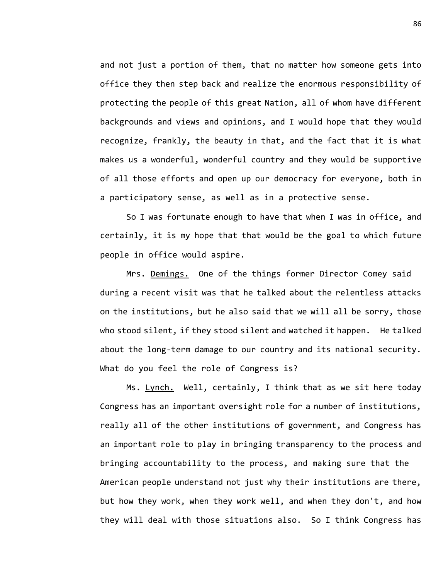and not just a portion of them, that no matter how someone gets into office they then step back and realize the enormous responsibility of protecting the people of this great Nation, all of whom have different backgrounds and views and opinions, and I would hope that they would recognize, frankly, the beauty in that, and the fact that it is what makes us a wonderful, wonderful country and they would be supportive of all those efforts and open up our democracy for everyone, both in a participatory sense, as well as in a protective sense.

So I was fortunate enough to have that when I was in office, and certainly, it is my hope that that would be the goal to which future people in office would aspire.

Mrs. Demings. One of the things former Director Comey said during a recent visit was that he talked about the relentless attacks on the institutions, but he also said that we will all be sorry, those who stood silent, if they stood silent and watched it happen. He talked about the long-term damage to our country and its national security. What do you feel the role of Congress is?

Ms. Lynch. Well, certainly, I think that as we sit here today Congress has an important oversight role for a number of institutions, really all of the other institutions of government, and Congress has an important role to play in bringing transparency to the process and bringing accountability to the process, and making sure that the American people understand not just why their institutions are there, but how they work, when they work well, and when they don't, and how they will deal with those situations also. So I think Congress has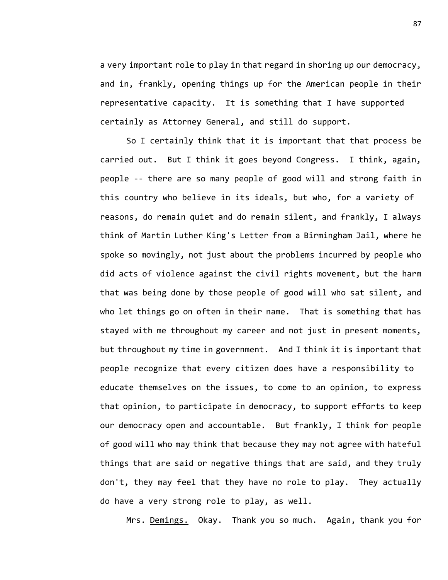a very important role to play in that regard in shoring up our democracy, and in, frankly, opening things up for the American people in their representative capacity. It is something that I have supported certainly as Attorney General, and still do support.

So I certainly think that it is important that that process be carried out. But I think it goes beyond Congress. I think, again, people -- there are so many people of good will and strong faith in this country who believe in its ideals, but who, for a variety of reasons, do remain quiet and do remain silent, and frankly, I always think of Martin Luther King's Letter from a Birmingham Jail, where he spoke so movingly, not just about the problems incurred by people who did acts of violence against the civil rights movement, but the harm that was being done by those people of good will who sat silent, and who let things go on often in their name. That is something that has stayed with me throughout my career and not just in present moments, but throughout my time in government. And I think it is important that people recognize that every citizen does have a responsibility to educate themselves on the issues, to come to an opinion, to express that opinion, to participate in democracy, to support efforts to keep our democracy open and accountable. But frankly, I think for people of good will who may think that because they may not agree with hateful things that are said or negative things that are said, and they truly don't, they may feel that they have no role to play. They actually do have a very strong role to play, as well.

Mrs. Demings. Okay. Thank you so much. Again, thank you for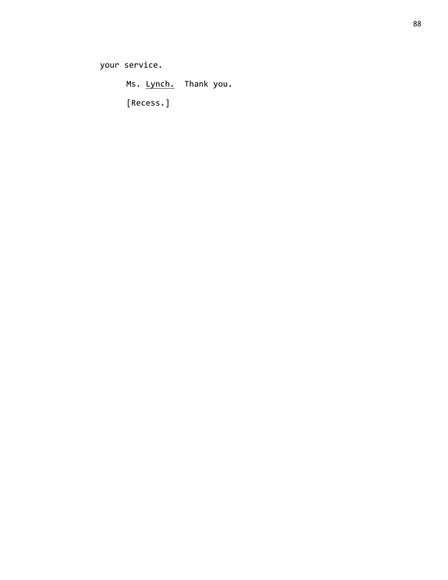your service.

Ms. Lynch. Thank you.

[Recess.]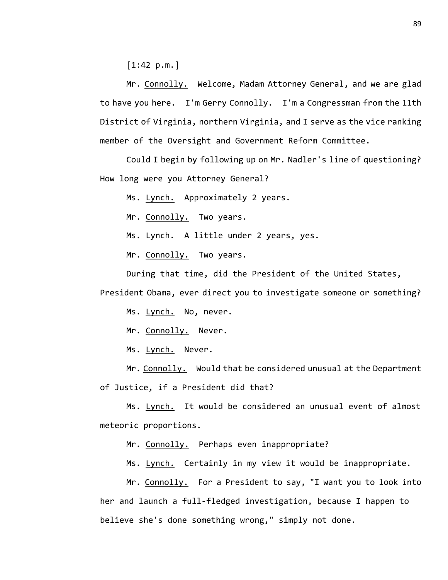[1:42 p.m.]

Mr. Connolly. Welcome, Madam Attorney General, and we are glad to have you here. I'm Gerry Connolly. I'm a Congressman from the 11th District of Virginia, northern Virginia, and I serve as the vice ranking member of the Oversight and Government Reform Committee.

Could I begin by following up on Mr. Nadler's line of questioning? How long were you Attorney General?

Ms. Lynch. Approximately 2 years.

Mr. Connolly. Two years.

Ms. Lynch. A little under 2 years, yes.

Mr. Connolly. Two years.

During that time, did the President of the United States,

President Obama, ever direct you to investigate someone or something?

Ms. Lynch. No, never.

Mr. Connolly. Never.

Ms. Lynch. Never.

Mr. Connolly. Would that be considered unusual at the Department of Justice, if a President did that?

Ms. Lynch. It would be considered an unusual event of almost meteoric proportions.

Mr. Connolly. Perhaps even inappropriate?

Ms. Lynch. Certainly in my view it would be inappropriate.

Mr. Connolly. For a President to say, "I want you to look into her and launch a full-fledged investigation, because I happen to believe she's done something wrong," simply not done.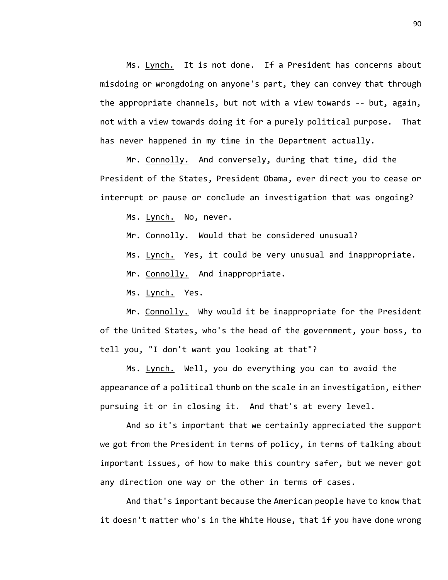Ms. Lynch. It is not done. If a President has concerns about misdoing or wrongdoing on anyone's part, they can convey that through the appropriate channels, but not with a view towards -- but, again, not with a view towards doing it for a purely political purpose. That has never happened in my time in the Department actually.

Mr. Connolly. And conversely, during that time, did the President of the States, President Obama, ever direct you to cease or interrupt or pause or conclude an investigation that was ongoing?

Ms. Lynch. No, never.

Mr. Connolly. Would that be considered unusual?

Ms. Lynch. Yes, it could be very unusual and inappropriate.

Mr. Connolly. And inappropriate.

Ms. Lynch. Yes.

Mr. Connolly. Why would it be inappropriate for the President of the United States, who's the head of the government, your boss, to tell you, "I don't want you looking at that"?

Ms. Lynch. Well, you do everything you can to avoid the appearance of a political thumb on the scale in an investigation, either pursuing it or in closing it. And that's at every level.

And so it's important that we certainly appreciated the support we got from the President in terms of policy, in terms of talking about important issues, of how to make this country safer, but we never got any direction one way or the other in terms of cases.

And that's important because the American people have to know that it doesn't matter who's in the White House, that if you have done wrong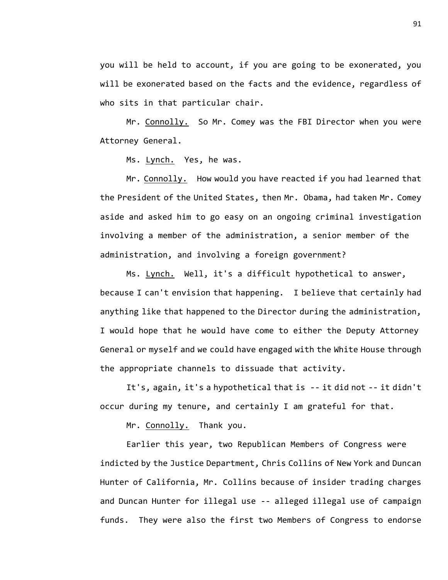you will be held to account, if you are going to be exonerated, you will be exonerated based on the facts and the evidence, regardless of who sits in that particular chair.

Mr. Connolly. So Mr. Comey was the FBI Director when you were Attorney General.

Ms. Lynch. Yes, he was.

Mr. Connolly. How would you have reacted if you had learned that the President of the United States, then Mr. Obama, had taken Mr. Comey aside and asked him to go easy on an ongoing criminal investigation involving a member of the administration, a senior member of the administration, and involving a foreign government?

Ms. Lynch. Well, it's a difficult hypothetical to answer, because I can't envision that happening. I believe that certainly had anything like that happened to the Director during the administration, I would hope that he would have come to either the Deputy Attorney General or myself and we could have engaged with the White House through the appropriate channels to dissuade that activity.

It's, again, it's a hypothetical that is -- it did not -- it didn't occur during my tenure, and certainly I am grateful for that.

Mr. Connolly. Thank you.

Earlier this year, two Republican Members of Congress were indicted by the Justice Department, Chris Collins of New York and Duncan Hunter of California, Mr. Collins because of insider trading charges and Duncan Hunter for illegal use -- alleged illegal use of campaign funds. They were also the first two Members of Congress to endorse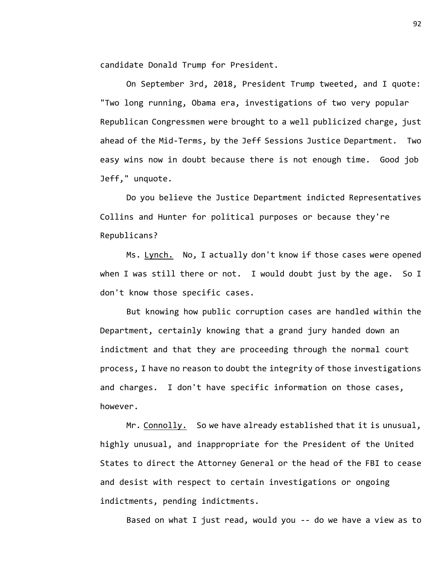candidate Donald Trump for President.

On September 3rd, 2018, President Trump tweeted, and I quote: "Two long running, Obama era, investigations of two very popular Republican Congressmen were brought to a well publicized charge, just ahead of the Mid-Terms, by the Jeff Sessions Justice Department. Two easy wins now in doubt because there is not enough time. Good job Jeff," unquote.

Do you believe the Justice Department indicted Representatives Collins and Hunter for political purposes or because they're Republicans?

Ms. Lynch. No, I actually don't know if those cases were opened when I was still there or not. I would doubt just by the age. So I don't know those specific cases.

But knowing how public corruption cases are handled within the Department, certainly knowing that a grand jury handed down an indictment and that they are proceeding through the normal court process, I have no reason to doubt the integrity of those investigations and charges. I don't have specific information on those cases, however.

Mr. Connolly. So we have already established that it is unusual, highly unusual, and inappropriate for the President of the United States to direct the Attorney General or the head of the FBI to cease and desist with respect to certain investigations or ongoing indictments, pending indictments.

Based on what I just read, would you -- do we have a view as to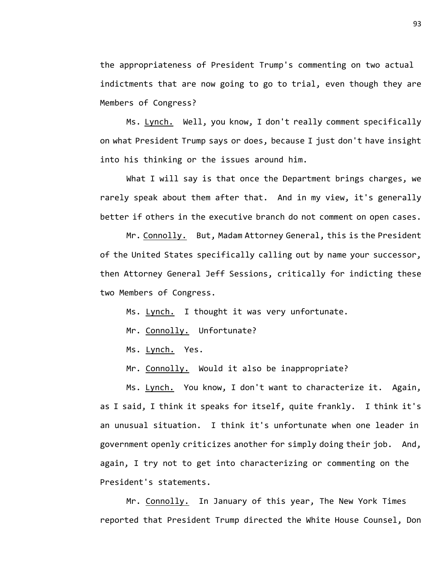the appropriateness of President Trump's commenting on two actual indictments that are now going to go to trial, even though they are Members of Congress?

Ms. Lynch. Well, you know, I don't really comment specifically on what President Trump says or does, because I just don't have insight into his thinking or the issues around him.

What I will say is that once the Department brings charges, we rarely speak about them after that. And in my view, it's generally better if others in the executive branch do not comment on open cases.

Mr. Connolly. But, Madam Attorney General, this is the President of the United States specifically calling out by name your successor, then Attorney General Jeff Sessions, critically for indicting these two Members of Congress.

Ms. Lynch. I thought it was very unfortunate.

Mr. Connolly. Unfortunate?

Ms. Lynch. Yes.

Mr. Connolly. Would it also be inappropriate?

Ms. Lynch. You know, I don't want to characterize it. Again, as I said, I think it speaks for itself, quite frankly. I think it's an unusual situation. I think it's unfortunate when one leader in government openly criticizes another for simply doing their job. And, again, I try not to get into characterizing or commenting on the President's statements.

Mr. Connolly. In January of this year, The New York Times reported that President Trump directed the White House Counsel, Don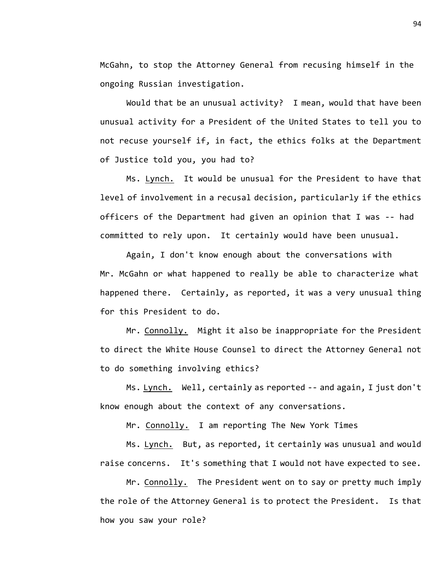McGahn, to stop the Attorney General from recusing himself in the ongoing Russian investigation.

Would that be an unusual activity? I mean, would that have been unusual activity for a President of the United States to tell you to not recuse yourself if, in fact, the ethics folks at the Department of Justice told you, you had to?

Ms. Lynch. It would be unusual for the President to have that level of involvement in a recusal decision, particularly if the ethics officers of the Department had given an opinion that I was -- had committed to rely upon. It certainly would have been unusual.

Again, I don't know enough about the conversations with Mr. McGahn or what happened to really be able to characterize what happened there. Certainly, as reported, it was a very unusual thing for this President to do.

Mr. Connolly. Might it also be inappropriate for the President to direct the White House Counsel to direct the Attorney General not to do something involving ethics?

Ms. Lynch. Well, certainly as reported -- and again, I just don't know enough about the context of any conversations.

Mr. Connolly. I am reporting The New York Times

Ms. Lynch. But, as reported, it certainly was unusual and would raise concerns. It's something that I would not have expected to see.

Mr. Connolly. The President went on to say or pretty much imply the role of the Attorney General is to protect the President. Is that how you saw your role?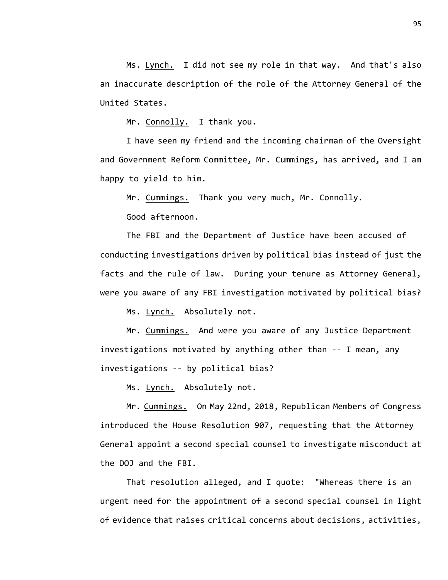Ms. Lynch. I did not see my role in that way. And that's also an inaccurate description of the role of the Attorney General of the United States.

Mr. Connolly. I thank you.

I have seen my friend and the incoming chairman of the Oversight and Government Reform Committee, Mr. Cummings, has arrived, and I am happy to yield to him.

Mr. Cummings. Thank you very much, Mr. Connolly.

Good afternoon.

The FBI and the Department of Justice have been accused of conducting investigations driven by political bias instead of just the facts and the rule of law. During your tenure as Attorney General, were you aware of any FBI investigation motivated by political bias?

Ms. Lynch. Absolutely not.

Mr. Cummings. And were you aware of any Justice Department investigations motivated by anything other than -- I mean, any investigations -- by political bias?

Ms. Lynch. Absolutely not.

Mr. Cummings. On May 22nd, 2018, Republican Members of Congress introduced the House Resolution 907, requesting that the Attorney General appoint a second special counsel to investigate misconduct at the DOJ and the FBI.

That resolution alleged, and I quote: "Whereas there is an urgent need for the appointment of a second special counsel in light of evidence that raises critical concerns about decisions, activities,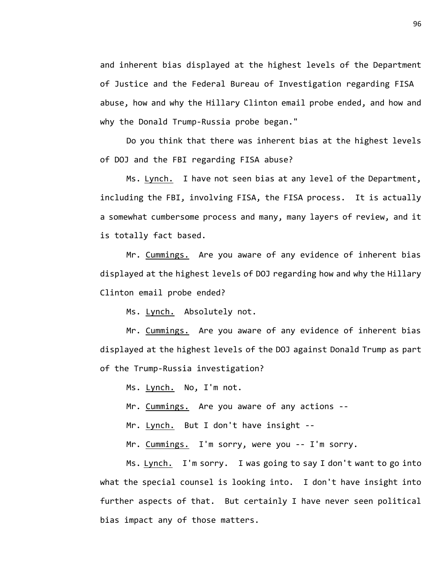and inherent bias displayed at the highest levels of the Department of Justice and the Federal Bureau of Investigation regarding FISA abuse, how and why the Hillary Clinton email probe ended, and how and why the Donald Trump-Russia probe began."

Do you think that there was inherent bias at the highest levels of DOJ and the FBI regarding FISA abuse?

Ms. Lynch. I have not seen bias at any level of the Department, including the FBI, involving FISA, the FISA process. It is actually a somewhat cumbersome process and many, many layers of review, and it is totally fact based.

Mr. Cummings. Are you aware of any evidence of inherent bias displayed at the highest levels of DOJ regarding how and why the Hillary Clinton email probe ended?

Ms. Lynch. Absolutely not.

Mr. Cummings. Are you aware of any evidence of inherent bias displayed at the highest levels of the DOJ against Donald Trump as part of the Trump-Russia investigation?

Ms. Lynch. No, I'm not.

Mr. Cummings. Are you aware of any actions --

Mr. Lynch. But I don't have insight --

Mr. Cummings. I'm sorry, were you -- I'm sorry.

Ms. Lynch. I'm sorry. I was going to say I don't want to go into what the special counsel is looking into. I don't have insight into further aspects of that. But certainly I have never seen political bias impact any of those matters.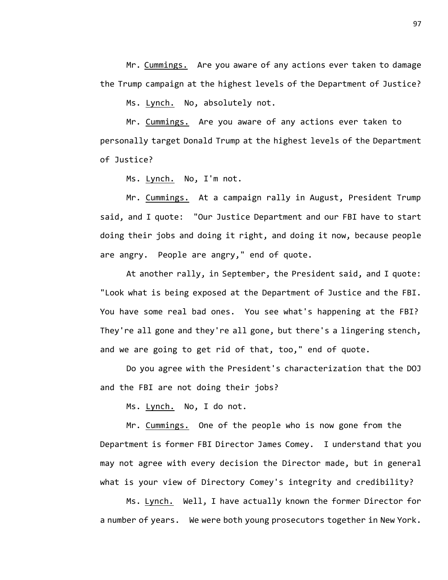Mr. Cummings. Are you aware of any actions ever taken to damage the Trump campaign at the highest levels of the Department of Justice?

Ms. Lynch. No, absolutely not.

Mr. Cummings. Are you aware of any actions ever taken to personally target Donald Trump at the highest levels of the Department of Justice?

Ms. Lynch. No, I'm not.

Mr. Cummings. At a campaign rally in August, President Trump said, and I quote: "Our Justice Department and our FBI have to start doing their jobs and doing it right, and doing it now, because people are angry. People are angry," end of quote.

At another rally, in September, the President said, and I quote: "Look what is being exposed at the Department of Justice and the FBI. You have some real bad ones. You see what's happening at the FBI? They're all gone and they're all gone, but there's a lingering stench, and we are going to get rid of that, too," end of quote.

Do you agree with the President's characterization that the DOJ and the FBI are not doing their jobs?

Ms. Lynch. No, I do not.

Mr. Cummings. One of the people who is now gone from the Department is former FBI Director James Comey. I understand that you may not agree with every decision the Director made, but in general what is your view of Directory Comey's integrity and credibility?

Ms. Lynch. Well, I have actually known the former Director for a number of years. We were both young prosecutors together in New York.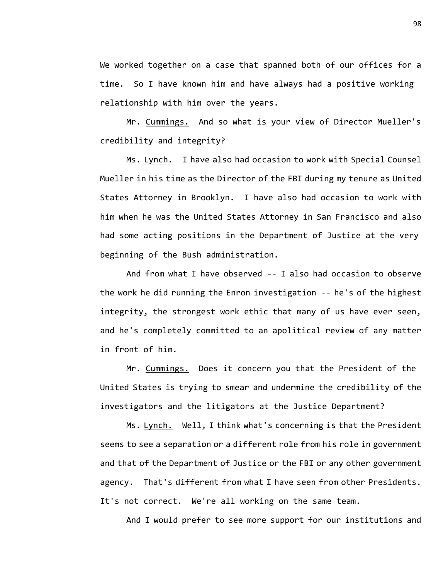We worked together on a case that spanned both of our offices for a time. So I have known him and have always had a positive working relationship with him over the years.

Mr. Cummings. And so what is your view of Director Mueller's credibility and integrity?

Ms. Lynch. I have also had occasion to work with Special Counsel Mueller in his time as the Director of the FBI during my tenure as United States Attorney in Brooklyn. I have also had occasion to work with him when he was the United States Attorney in San Francisco and also had some acting positions in the Department of Justice at the very beginning of the Bush administration.

And from what I have observed -- I also had occasion to observe the work he did running the Enron investigation -- he's of the highest integrity, the strongest work ethic that many of us have ever seen, and he's completely committed to an apolitical review of any matter in front of him.

Mr. Cummings. Does it concern you that the President of the United States is trying to smear and undermine the credibility of the investigators and the litigators at the Justice Department?

Ms. Lynch. Well, I think what's concerning is that the President seems to see a separation or a different role from his role in government and that of the Department of Justice or the FBI or any other government agency. That's different from what I have seen from other Presidents. It's not correct. We're all working on the same team.

And I would prefer to see more support for our institutions and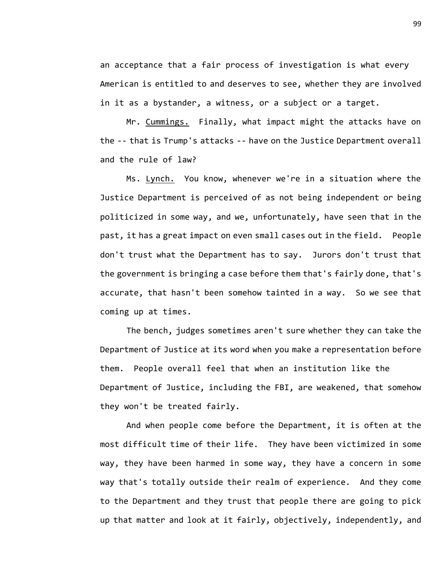an acceptance that a fair process of investigation is what every American is entitled to and deserves to see, whether they are involved in it as a bystander, a witness, or a subject or a target.

Mr. Cummings. Finally, what impact might the attacks have on the -- that is Trump's attacks -- have on the Justice Department overall and the rule of law?

Ms. Lynch. You know, whenever we're in a situation where the Justice Department is perceived of as not being independent or being politicized in some way, and we, unfortunately, have seen that in the past, it has a great impact on even small cases out in the field. People don't trust what the Department has to say. Jurors don't trust that the government is bringing a case before them that's fairly done, that's accurate, that hasn't been somehow tainted in a way. So we see that coming up at times.

The bench, judges sometimes aren't sure whether they can take the Department of Justice at its word when you make a representation before them. People overall feel that when an institution like the Department of Justice, including the FBI, are weakened, that somehow they won't be treated fairly.

And when people come before the Department, it is often at the most difficult time of their life. They have been victimized in some way, they have been harmed in some way, they have a concern in some way that's totally outside their realm of experience. And they come to the Department and they trust that people there are going to pick up that matter and look at it fairly, objectively, independently, and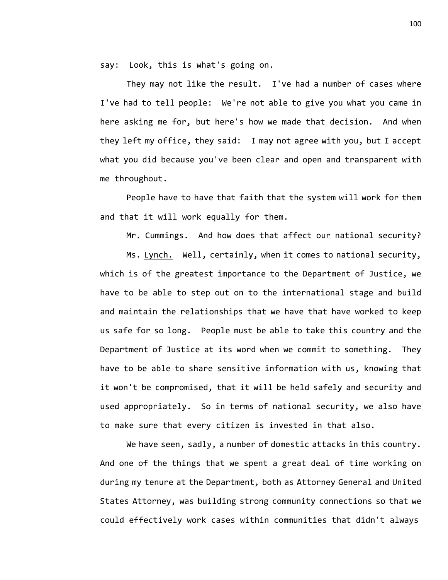say: Look, this is what's going on.

They may not like the result. I've had a number of cases where I've had to tell people: We're not able to give you what you came in here asking me for, but here's how we made that decision. And when they left my office, they said: I may not agree with you, but I accept what you did because you've been clear and open and transparent with me throughout.

People have to have that faith that the system will work for them and that it will work equally for them.

Mr. Cummings. And how does that affect our national security?

Ms. Lynch. Well, certainly, when it comes to national security, which is of the greatest importance to the Department of Justice, we have to be able to step out on to the international stage and build and maintain the relationships that we have that have worked to keep us safe for so long. People must be able to take this country and the Department of Justice at its word when we commit to something. They have to be able to share sensitive information with us, knowing that it won't be compromised, that it will be held safely and security and used appropriately. So in terms of national security, we also have to make sure that every citizen is invested in that also.

We have seen, sadly, a number of domestic attacks in this country. And one of the things that we spent a great deal of time working on during my tenure at the Department, both as Attorney General and United States Attorney, was building strong community connections so that we could effectively work cases within communities that didn't always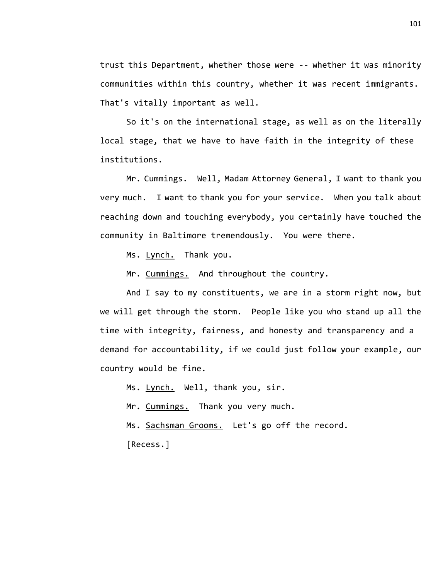trust this Department, whether those were -- whether it was minority communities within this country, whether it was recent immigrants. That's vitally important as well.

So it's on the international stage, as well as on the literally local stage, that we have to have faith in the integrity of these institutions.

Mr. Cummings. Well, Madam Attorney General, I want to thank you very much. I want to thank you for your service. When you talk about reaching down and touching everybody, you certainly have touched the community in Baltimore tremendously. You were there.

Ms. Lynch. Thank you.

Mr. Cummings. And throughout the country.

And I say to my constituents, we are in a storm right now, but we will get through the storm. People like you who stand up all the time with integrity, fairness, and honesty and transparency and a demand for accountability, if we could just follow your example, our country would be fine.

Ms. Lynch. Well, thank you, sir.

Mr. Cummings. Thank you very much.

Ms. Sachsman Grooms. Let's go off the record.

[Recess.]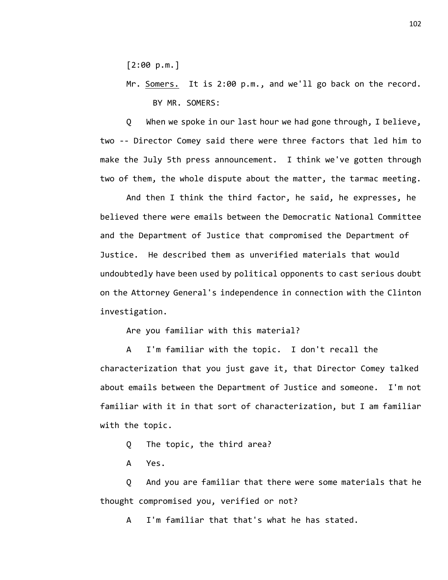[2:00 p.m.]

Mr. Somers. It is 2:00 p.m., and we'll go back on the record. BY MR. SOMERS:

Q When we spoke in our last hour we had gone through, I believe, two -- Director Comey said there were three factors that led him to make the July 5th press announcement. I think we've gotten through two of them, the whole dispute about the matter, the tarmac meeting.

And then I think the third factor, he said, he expresses, he believed there were emails between the Democratic National Committee and the Department of Justice that compromised the Department of Justice. He described them as unverified materials that would undoubtedly have been used by political opponents to cast serious doubt on the Attorney General's independence in connection with the Clinton investigation.

Are you familiar with this material?

A I'm familiar with the topic. I don't recall the characterization that you just gave it, that Director Comey talked about emails between the Department of Justice and someone. I'm not familiar with it in that sort of characterization, but I am familiar with the topic.

Q The topic, the third area?

A Yes.

Q And you are familiar that there were some materials that he thought compromised you, verified or not?

A I'm familiar that that's what he has stated.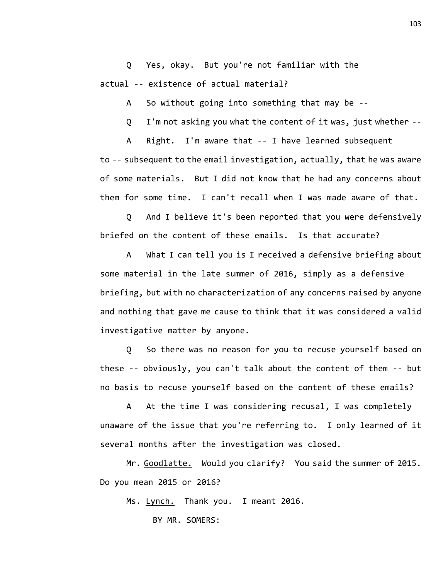Q Yes, okay. But you're not familiar with the actual -- existence of actual material?

A So without going into something that may be --

Q I'm not asking you what the content of it was, just whether --

A Right. I'm aware that -- I have learned subsequent to -- subsequent to the email investigation, actually, that he was aware of some materials. But I did not know that he had any concerns about them for some time. I can't recall when I was made aware of that.

Q And I believe it's been reported that you were defensively briefed on the content of these emails. Is that accurate?

A What I can tell you is I received a defensive briefing about some material in the late summer of 2016, simply as a defensive briefing, but with no characterization of any concerns raised by anyone and nothing that gave me cause to think that it was considered a valid investigative matter by anyone.

Q So there was no reason for you to recuse yourself based on these -- obviously, you can't talk about the content of them -- but no basis to recuse yourself based on the content of these emails?

A At the time I was considering recusal, I was completely unaware of the issue that you're referring to. I only learned of it several months after the investigation was closed.

Mr. Goodlatte. Would you clarify? You said the summer of 2015. Do you mean 2015 or 2016?

Ms. Lynch. Thank you. I meant 2016.

BY MR. SOMERS: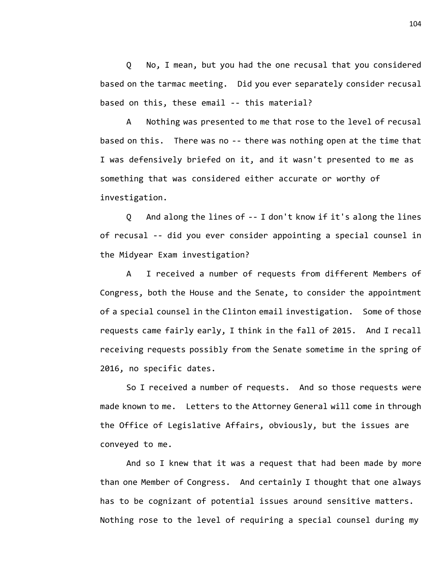Q No, I mean, but you had the one recusal that you considered based on the tarmac meeting. Did you ever separately consider recusal based on this, these email -- this material?

A Nothing was presented to me that rose to the level of recusal based on this. There was no -- there was nothing open at the time that I was defensively briefed on it, and it wasn't presented to me as something that was considered either accurate or worthy of investigation.

Q And along the lines of -- I don't know if it's along the lines of recusal -- did you ever consider appointing a special counsel in the Midyear Exam investigation?

A I received a number of requests from different Members of Congress, both the House and the Senate, to consider the appointment of a special counsel in the Clinton email investigation. Some of those requests came fairly early, I think in the fall of 2015. And I recall receiving requests possibly from the Senate sometime in the spring of 2016, no specific dates.

So I received a number of requests. And so those requests were made known to me. Letters to the Attorney General will come in through the Office of Legislative Affairs, obviously, but the issues are conveyed to me.

And so I knew that it was a request that had been made by more than one Member of Congress. And certainly I thought that one always has to be cognizant of potential issues around sensitive matters. Nothing rose to the level of requiring a special counsel during my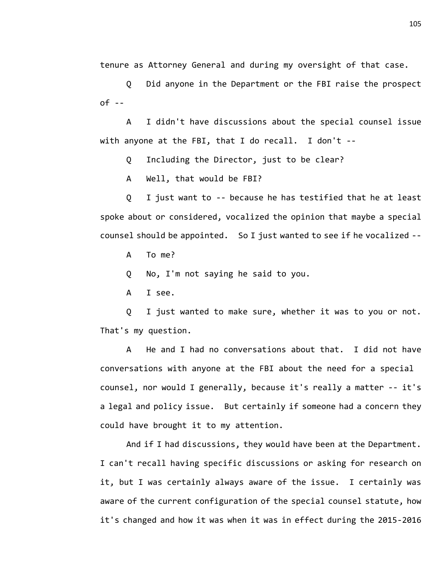tenure as Attorney General and during my oversight of that case.

Q Did anyone in the Department or the FBI raise the prospect  $of -$ 

A I didn't have discussions about the special counsel issue with anyone at the FBI, that I do recall. I don't --

Q Including the Director, just to be clear?

A Well, that would be FBI?

Q I just want to -- because he has testified that he at least spoke about or considered, vocalized the opinion that maybe a special counsel should be appointed. So I just wanted to see if he vocalized --

A To me?

Q No, I'm not saying he said to you.

A I see.

Q I just wanted to make sure, whether it was to you or not. That's my question.

A He and I had no conversations about that. I did not have conversations with anyone at the FBI about the need for a special counsel, nor would I generally, because it's really a matter -- it's a legal and policy issue. But certainly if someone had a concern they could have brought it to my attention.

And if I had discussions, they would have been at the Department. I can't recall having specific discussions or asking for research on it, but I was certainly always aware of the issue. I certainly was aware of the current configuration of the special counsel statute, how it's changed and how it was when it was in effect during the 2015-2016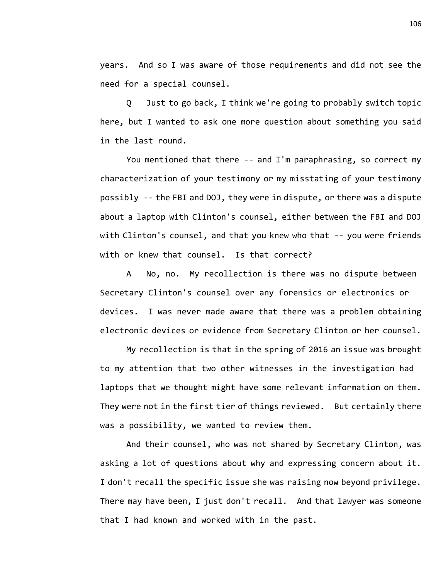years. And so I was aware of those requirements and did not see the need for a special counsel.

Q Just to go back, I think we're going to probably switch topic here, but I wanted to ask one more question about something you said in the last round.

You mentioned that there -- and I'm paraphrasing, so correct my characterization of your testimony or my misstating of your testimony possibly -- the FBI and DOJ, they were in dispute, or there was a dispute about a laptop with Clinton's counsel, either between the FBI and DOJ with Clinton's counsel, and that you knew who that -- you were friends with or knew that counsel. Is that correct?

A No, no. My recollection is there was no dispute between Secretary Clinton's counsel over any forensics or electronics or devices. I was never made aware that there was a problem obtaining electronic devices or evidence from Secretary Clinton or her counsel.

My recollection is that in the spring of 2016 an issue was brought to my attention that two other witnesses in the investigation had laptops that we thought might have some relevant information on them. They were not in the first tier of things reviewed. But certainly there was a possibility, we wanted to review them.

And their counsel, who was not shared by Secretary Clinton, was asking a lot of questions about why and expressing concern about it. I don't recall the specific issue she was raising now beyond privilege. There may have been, I just don't recall. And that lawyer was someone that I had known and worked with in the past.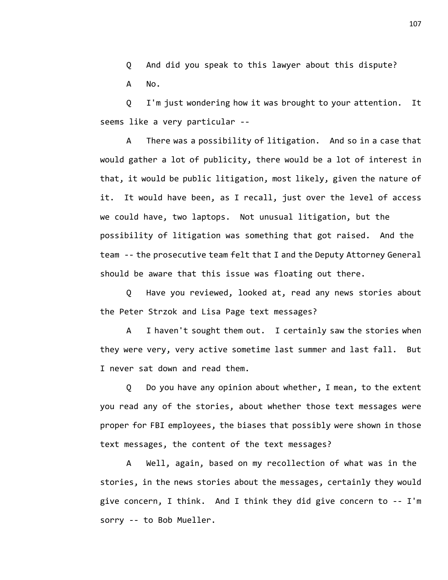Q And did you speak to this lawyer about this dispute? A No.

Q I'm just wondering how it was brought to your attention. It seems like a very particular --

A There was a possibility of litigation. And so in a case that would gather a lot of publicity, there would be a lot of interest in that, it would be public litigation, most likely, given the nature of it. It would have been, as I recall, just over the level of access we could have, two laptops. Not unusual litigation, but the possibility of litigation was something that got raised. And the team -- the prosecutive team felt that I and the Deputy Attorney General should be aware that this issue was floating out there.

Q Have you reviewed, looked at, read any news stories about the Peter Strzok and Lisa Page text messages?

A I haven't sought them out. I certainly saw the stories when they were very, very active sometime last summer and last fall. But I never sat down and read them.

Q Do you have any opinion about whether, I mean, to the extent you read any of the stories, about whether those text messages were proper for FBI employees, the biases that possibly were shown in those text messages, the content of the text messages?

A Well, again, based on my recollection of what was in the stories, in the news stories about the messages, certainly they would give concern, I think. And I think they did give concern to -- I'm sorry -- to Bob Mueller.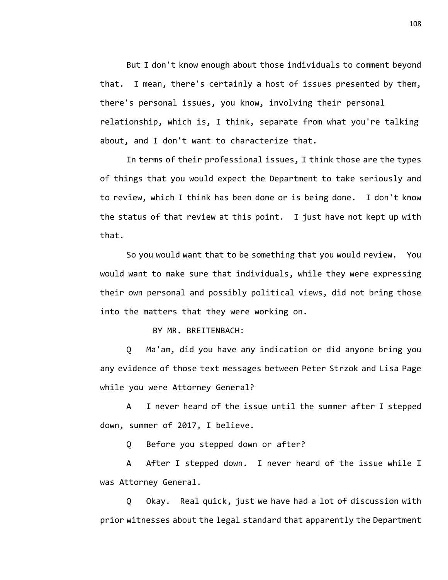But I don't know enough about those individuals to comment beyond that. I mean, there's certainly a host of issues presented by them, there's personal issues, you know, involving their personal relationship, which is, I think, separate from what you're talking about, and I don't want to characterize that.

In terms of their professional issues, I think those are the types of things that you would expect the Department to take seriously and to review, which I think has been done or is being done. I don't know the status of that review at this point. I just have not kept up with that.

So you would want that to be something that you would review. You would want to make sure that individuals, while they were expressing their own personal and possibly political views, did not bring those into the matters that they were working on.

BY MR. BREITENBACH:

Q Ma'am, did you have any indication or did anyone bring you any evidence of those text messages between Peter Strzok and Lisa Page while you were Attorney General?

A I never heard of the issue until the summer after I stepped down, summer of 2017, I believe.

Q Before you stepped down or after?

A After I stepped down. I never heard of the issue while I was Attorney General.

Q Okay. Real quick, just we have had a lot of discussion with prior witnesses about the legal standard that apparently the Department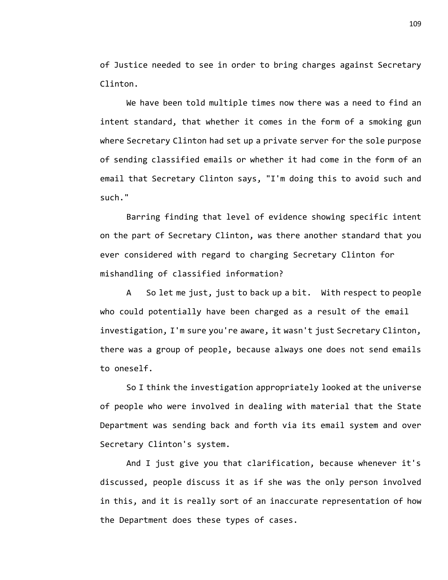of Justice needed to see in order to bring charges against Secretary Clinton.

We have been told multiple times now there was a need to find an intent standard, that whether it comes in the form of a smoking gun where Secretary Clinton had set up a private server for the sole purpose of sending classified emails or whether it had come in the form of an email that Secretary Clinton says, "I'm doing this to avoid such and such."

Barring finding that level of evidence showing specific intent on the part of Secretary Clinton, was there another standard that you ever considered with regard to charging Secretary Clinton for mishandling of classified information?

A So let me just, just to back up a bit. With respect to people who could potentially have been charged as a result of the email investigation, I'm sure you're aware, it wasn't just Secretary Clinton, there was a group of people, because always one does not send emails to oneself.

So I think the investigation appropriately looked at the universe of people who were involved in dealing with material that the State Department was sending back and forth via its email system and over Secretary Clinton's system.

And I just give you that clarification, because whenever it's discussed, people discuss it as if she was the only person involved in this, and it is really sort of an inaccurate representation of how the Department does these types of cases.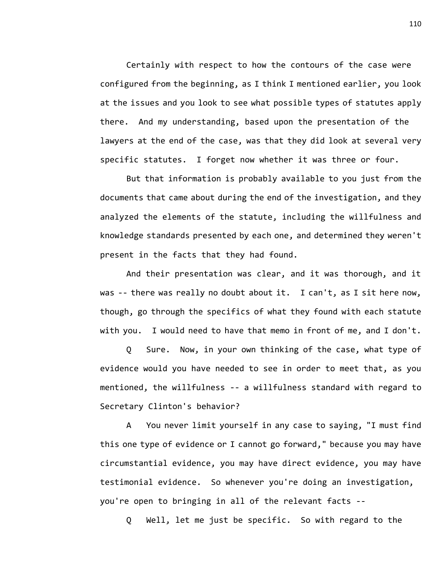Certainly with respect to how the contours of the case were configured from the beginning, as I think I mentioned earlier, you look at the issues and you look to see what possible types of statutes apply there. And my understanding, based upon the presentation of the lawyers at the end of the case, was that they did look at several very specific statutes. I forget now whether it was three or four.

But that information is probably available to you just from the documents that came about during the end of the investigation, and they analyzed the elements of the statute, including the willfulness and knowledge standards presented by each one, and determined they weren't present in the facts that they had found.

And their presentation was clear, and it was thorough, and it was -- there was really no doubt about it. I can't, as I sit here now, though, go through the specifics of what they found with each statute with you. I would need to have that memo in front of me, and I don't.

Q Sure. Now, in your own thinking of the case, what type of evidence would you have needed to see in order to meet that, as you mentioned, the willfulness -- a willfulness standard with regard to Secretary Clinton's behavior?

A You never limit yourself in any case to saying, "I must find this one type of evidence or I cannot go forward," because you may have circumstantial evidence, you may have direct evidence, you may have testimonial evidence. So whenever you're doing an investigation, you're open to bringing in all of the relevant facts --

Q Well, let me just be specific. So with regard to the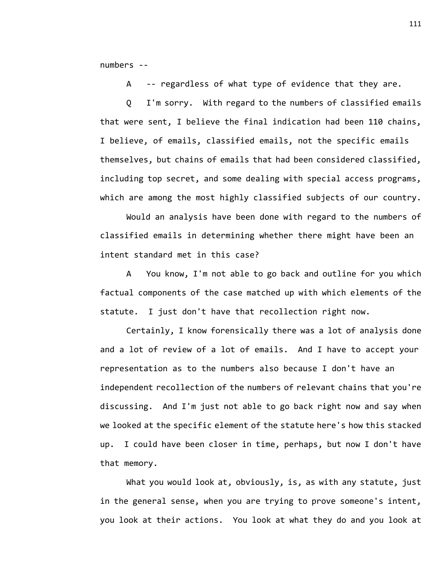numbers --

A -- regardless of what type of evidence that they are.

Q I'm sorry. With regard to the numbers of classified emails that were sent, I believe the final indication had been 110 chains, I believe, of emails, classified emails, not the specific emails themselves, but chains of emails that had been considered classified, including top secret, and some dealing with special access programs, which are among the most highly classified subjects of our country.

Would an analysis have been done with regard to the numbers of classified emails in determining whether there might have been an intent standard met in this case?

A You know, I'm not able to go back and outline for you which factual components of the case matched up with which elements of the statute. I just don't have that recollection right now.

Certainly, I know forensically there was a lot of analysis done and a lot of review of a lot of emails. And I have to accept your representation as to the numbers also because I don't have an independent recollection of the numbers of relevant chains that you're discussing. And I'm just not able to go back right now and say when we looked at the specific element of the statute here's how this stacked up. I could have been closer in time, perhaps, but now I don't have that memory.

What you would look at, obviously, is, as with any statute, just in the general sense, when you are trying to prove someone's intent, you look at their actions. You look at what they do and you look at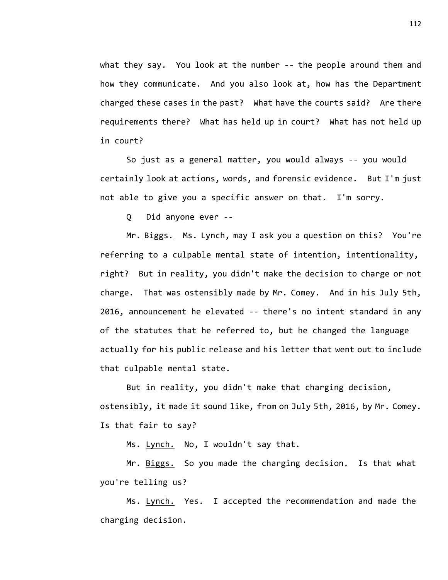what they say. You look at the number -- the people around them and how they communicate. And you also look at, how has the Department charged these cases in the past? What have the courts said? Are there requirements there? What has held up in court? What has not held up in court?

So just as a general matter, you would always -- you would certainly look at actions, words, and forensic evidence. But I'm just not able to give you a specific answer on that. I'm sorry.

Q Did anyone ever --

Mr. Biggs. Ms. Lynch, may I ask you a question on this? You're referring to a culpable mental state of intention, intentionality, right? But in reality, you didn't make the decision to charge or not charge. That was ostensibly made by Mr. Comey. And in his July 5th, 2016, announcement he elevated -- there's no intent standard in any of the statutes that he referred to, but he changed the language actually for his public release and his letter that went out to include that culpable mental state.

But in reality, you didn't make that charging decision, ostensibly, it made it sound like, from on July 5th, 2016, by Mr. Comey. Is that fair to say?

Ms. Lynch. No, I wouldn't say that.

Mr. Biggs. So you made the charging decision. Is that what you're telling us?

Ms. Lynch. Yes. I accepted the recommendation and made the charging decision.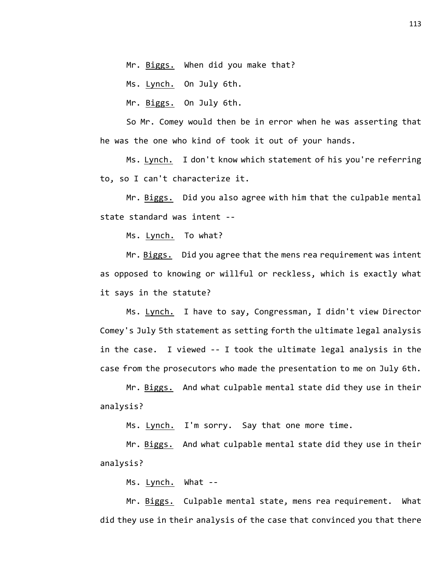Mr. Biggs. When did you make that?

Ms. Lynch. On July 6th.

Mr. Biggs. On July 6th.

So Mr. Comey would then be in error when he was asserting that he was the one who kind of took it out of your hands.

Ms. Lynch. I don't know which statement of his you're referring to, so I can't characterize it.

Mr. Biggs. Did you also agree with him that the culpable mental state standard was intent --

Ms. Lynch. To what?

Mr. Biggs. Did you agree that the mens rea requirement was intent as opposed to knowing or willful or reckless, which is exactly what it says in the statute?

Ms. Lynch. I have to say, Congressman, I didn't view Director Comey's July 5th statement as setting forth the ultimate legal analysis in the case. I viewed -- I took the ultimate legal analysis in the case from the prosecutors who made the presentation to me on July 6th.

Mr. Biggs. And what culpable mental state did they use in their analysis?

Ms. Lynch. I'm sorry. Say that one more time.

Mr. Biggs. And what culpable mental state did they use in their analysis?

Ms. Lynch. What --

Mr. Biggs. Culpable mental state, mens rea requirement. What did they use in their analysis of the case that convinced you that there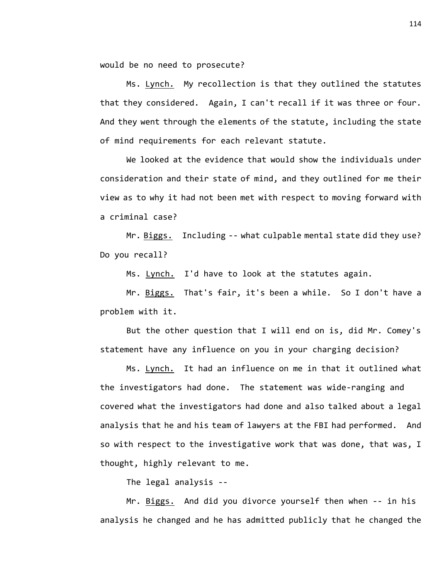would be no need to prosecute?

Ms. Lynch. My recollection is that they outlined the statutes that they considered. Again, I can't recall if it was three or four. And they went through the elements of the statute, including the state of mind requirements for each relevant statute.

We looked at the evidence that would show the individuals under consideration and their state of mind, and they outlined for me their view as to why it had not been met with respect to moving forward with a criminal case?

Mr. Biggs. Including -- what culpable mental state did they use? Do you recall?

Ms. Lynch. I'd have to look at the statutes again.

Mr. Biggs. That's fair, it's been a while. So I don't have a problem with it.

But the other question that I will end on is, did Mr. Comey's statement have any influence on you in your charging decision?

Ms. Lynch. It had an influence on me in that it outlined what the investigators had done. The statement was wide-ranging and covered what the investigators had done and also talked about a legal analysis that he and his team of lawyers at the FBI had performed. And so with respect to the investigative work that was done, that was, I thought, highly relevant to me.

The legal analysis --

Mr. Biggs. And did you divorce yourself then when -- in his analysis he changed and he has admitted publicly that he changed the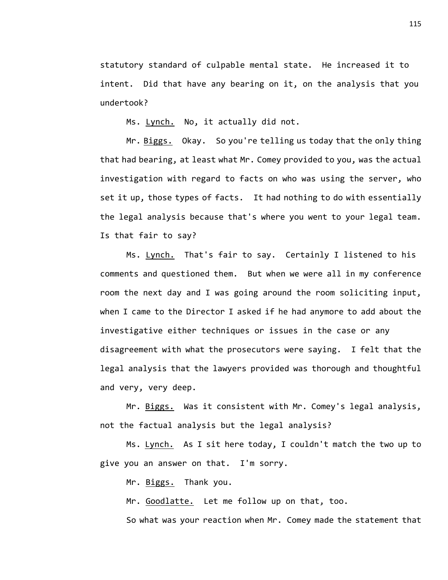statutory standard of culpable mental state. He increased it to intent. Did that have any bearing on it, on the analysis that you undertook?

Ms. Lynch. No, it actually did not.

Mr. Biggs. Okay. So you're telling us today that the only thing that had bearing, at least what Mr. Comey provided to you, was the actual investigation with regard to facts on who was using the server, who set it up, those types of facts. It had nothing to do with essentially the legal analysis because that's where you went to your legal team. Is that fair to say?

Ms. Lynch. That's fair to say. Certainly I listened to his comments and questioned them. But when we were all in my conference room the next day and I was going around the room soliciting input, when I came to the Director I asked if he had anymore to add about the investigative either techniques or issues in the case or any disagreement with what the prosecutors were saying. I felt that the legal analysis that the lawyers provided was thorough and thoughtful and very, very deep.

Mr. Biggs. Was it consistent with Mr. Comey's legal analysis, not the factual analysis but the legal analysis?

Ms. Lynch. As I sit here today, I couldn't match the two up to give you an answer on that. I'm sorry.

Mr. Biggs. Thank you.

Mr. Goodlatte. Let me follow up on that, too.

So what was your reaction when Mr. Comey made the statement that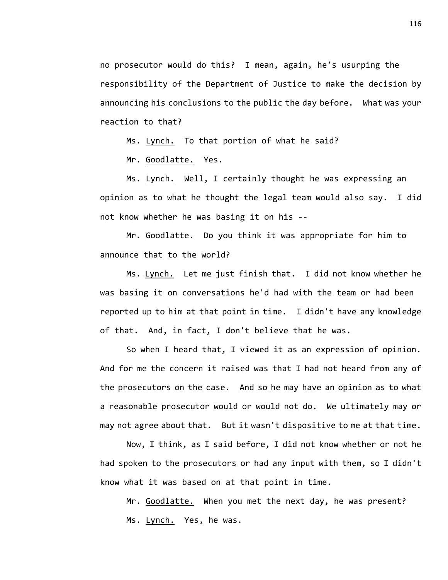no prosecutor would do this? I mean, again, he's usurping the responsibility of the Department of Justice to make the decision by announcing his conclusions to the public the day before. What was your reaction to that?

Ms. Lynch. To that portion of what he said?

Mr. Goodlatte. Yes.

Ms. Lynch. Well, I certainly thought he was expressing an opinion as to what he thought the legal team would also say. I did not know whether he was basing it on his --

Mr. Goodlatte. Do you think it was appropriate for him to announce that to the world?

Ms. Lynch. Let me just finish that. I did not know whether he was basing it on conversations he'd had with the team or had been reported up to him at that point in time. I didn't have any knowledge of that. And, in fact, I don't believe that he was.

So when I heard that, I viewed it as an expression of opinion. And for me the concern it raised was that I had not heard from any of the prosecutors on the case. And so he may have an opinion as to what a reasonable prosecutor would or would not do. We ultimately may or may not agree about that. But it wasn't dispositive to me at that time.

Now, I think, as I said before, I did not know whether or not he had spoken to the prosecutors or had any input with them, so I didn't know what it was based on at that point in time.

Mr. Goodlatte. When you met the next day, he was present? Ms. Lynch. Yes, he was.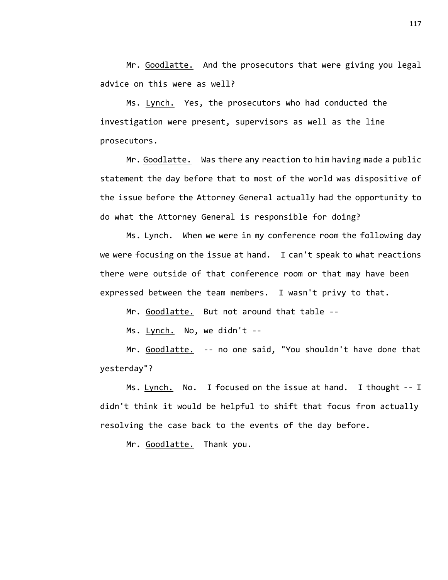Mr. Goodlatte. And the prosecutors that were giving you legal advice on this were as well?

Ms. Lynch. Yes, the prosecutors who had conducted the investigation were present, supervisors as well as the line prosecutors.

Mr. Goodlatte. Was there any reaction to him having made a public statement the day before that to most of the world was dispositive of the issue before the Attorney General actually had the opportunity to do what the Attorney General is responsible for doing?

Ms. Lynch. When we were in my conference room the following day we were focusing on the issue at hand. I can't speak to what reactions there were outside of that conference room or that may have been expressed between the team members. I wasn't privy to that.

Mr. Goodlatte. But not around that table --

Ms. Lynch. No, we didn't --

Mr. Goodlatte. -- no one said, "You shouldn't have done that yesterday"?

Ms. Lynch. No. I focused on the issue at hand. I thought -- I didn't think it would be helpful to shift that focus from actually resolving the case back to the events of the day before.

Mr. Goodlatte. Thank you.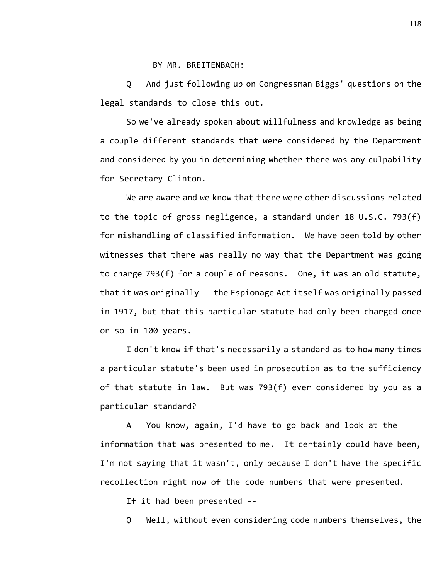BY MR. BREITENBACH:

Q And just following up on Congressman Biggs' questions on the legal standards to close this out.

So we've already spoken about willfulness and knowledge as being a couple different standards that were considered by the Department and considered by you in determining whether there was any culpability for Secretary Clinton.

We are aware and we know that there were other discussions related to the topic of gross negligence, a standard under 18 U.S.C. 793(f) for mishandling of classified information. We have been told by other witnesses that there was really no way that the Department was going to charge 793(f) for a couple of reasons. One, it was an old statute, that it was originally -- the Espionage Act itself was originally passed in 1917, but that this particular statute had only been charged once or so in 100 years.

I don't know if that's necessarily a standard as to how many times a particular statute's been used in prosecution as to the sufficiency of that statute in law. But was 793(f) ever considered by you as a particular standard?

A You know, again, I'd have to go back and look at the information that was presented to me. It certainly could have been, I'm not saying that it wasn't, only because I don't have the specific recollection right now of the code numbers that were presented.

If it had been presented --

Q Well, without even considering code numbers themselves, the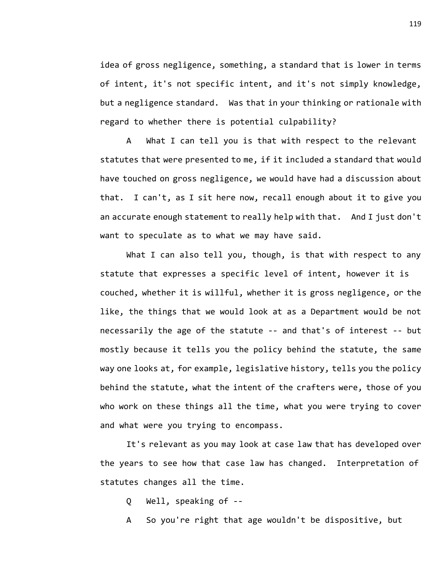idea of gross negligence, something, a standard that is lower in terms of intent, it's not specific intent, and it's not simply knowledge, but a negligence standard. Was that in your thinking or rationale with regard to whether there is potential culpability?

A What I can tell you is that with respect to the relevant statutes that were presented to me, if it included a standard that would have touched on gross negligence, we would have had a discussion about that. I can't, as I sit here now, recall enough about it to give you an accurate enough statement to really help with that. And I just don't want to speculate as to what we may have said.

What I can also tell you, though, is that with respect to any statute that expresses a specific level of intent, however it is couched, whether it is willful, whether it is gross negligence, or the like, the things that we would look at as a Department would be not necessarily the age of the statute -- and that's of interest -- but mostly because it tells you the policy behind the statute, the same way one looks at, for example, legislative history, tells you the policy behind the statute, what the intent of the crafters were, those of you who work on these things all the time, what you were trying to cover and what were you trying to encompass.

It's relevant as you may look at case law that has developed over the years to see how that case law has changed. Interpretation of statutes changes all the time.

Q Well, speaking of --

A So you're right that age wouldn't be dispositive, but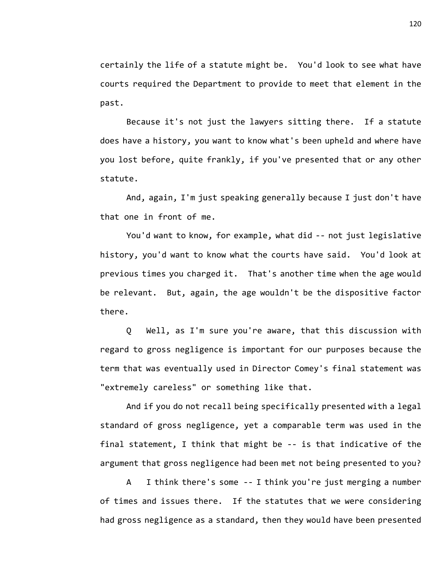certainly the life of a statute might be. You'd look to see what have courts required the Department to provide to meet that element in the past.

Because it's not just the lawyers sitting there. If a statute does have a history, you want to know what's been upheld and where have you lost before, quite frankly, if you've presented that or any other statute.

And, again, I'm just speaking generally because I just don't have that one in front of me.

You'd want to know, for example, what did -- not just legislative history, you'd want to know what the courts have said. You'd look at previous times you charged it. That's another time when the age would be relevant. But, again, the age wouldn't be the dispositive factor there.

Q Well, as I'm sure you're aware, that this discussion with regard to gross negligence is important for our purposes because the term that was eventually used in Director Comey's final statement was "extremely careless" or something like that.

And if you do not recall being specifically presented with a legal standard of gross negligence, yet a comparable term was used in the final statement, I think that might be -- is that indicative of the argument that gross negligence had been met not being presented to you?

A I think there's some -- I think you're just merging a number of times and issues there. If the statutes that we were considering had gross negligence as a standard, then they would have been presented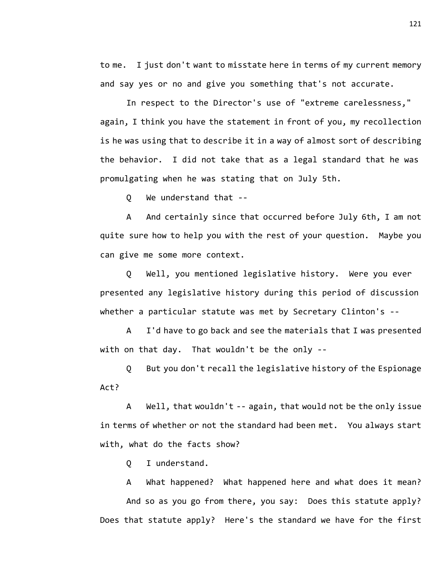to me. I just don't want to misstate here in terms of my current memory and say yes or no and give you something that's not accurate.

In respect to the Director's use of "extreme carelessness," again, I think you have the statement in front of you, my recollection is he was using that to describe it in a way of almost sort of describing the behavior. I did not take that as a legal standard that he was promulgating when he was stating that on July 5th.

Q We understand that --

A And certainly since that occurred before July 6th, I am not quite sure how to help you with the rest of your question. Maybe you can give me some more context.

Q Well, you mentioned legislative history. Were you ever presented any legislative history during this period of discussion whether a particular statute was met by Secretary Clinton's --

A I'd have to go back and see the materials that I was presented with on that day. That wouldn't be the only --

Q But you don't recall the legislative history of the Espionage Act?

A Well, that wouldn't -- again, that would not be the only issue in terms of whether or not the standard had been met. You always start with, what do the facts show?

Q I understand.

A What happened? What happened here and what does it mean? And so as you go from there, you say: Does this statute apply? Does that statute apply? Here's the standard we have for the first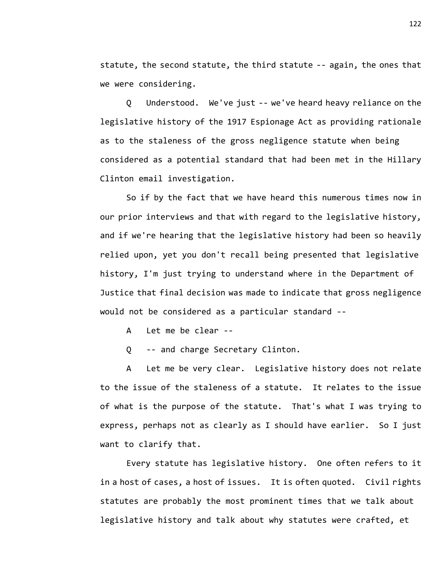statute, the second statute, the third statute -- again, the ones that we were considering.

Q Understood. We've just -- we've heard heavy reliance on the legislative history of the 1917 Espionage Act as providing rationale as to the staleness of the gross negligence statute when being considered as a potential standard that had been met in the Hillary Clinton email investigation.

So if by the fact that we have heard this numerous times now in our prior interviews and that with regard to the legislative history, and if we're hearing that the legislative history had been so heavily relied upon, yet you don't recall being presented that legislative history, I'm just trying to understand where in the Department of Justice that final decision was made to indicate that gross negligence would not be considered as a particular standard --

A Let me be clear --

Q -- and charge Secretary Clinton.

A Let me be very clear. Legislative history does not relate to the issue of the staleness of a statute. It relates to the issue of what is the purpose of the statute. That's what I was trying to express, perhaps not as clearly as I should have earlier. So I just want to clarify that.

Every statute has legislative history. One often refers to it in a host of cases, a host of issues. It is often quoted. Civil rights statutes are probably the most prominent times that we talk about legislative history and talk about why statutes were crafted, et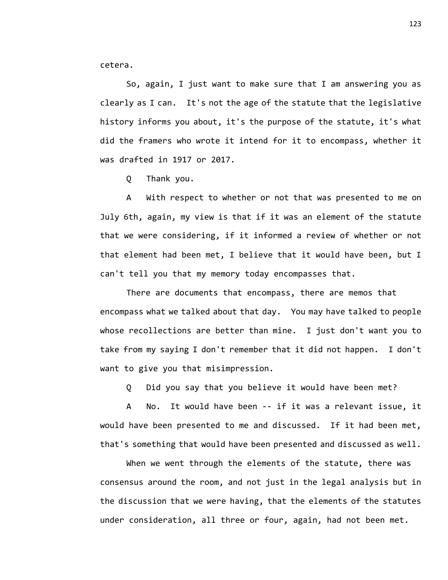cetera.

So, again, I just want to make sure that I am answering you as clearly as I can. It's not the age of the statute that the legislative history informs you about, it's the purpose of the statute, it's what did the framers who wrote it intend for it to encompass, whether it was drafted in 1917 or 2017.

Q Thank you.

A With respect to whether or not that was presented to me on July 6th, again, my view is that if it was an element of the statute that we were considering, if it informed a review of whether or not that element had been met, I believe that it would have been, but I can't tell you that my memory today encompasses that.

There are documents that encompass, there are memos that encompass what we talked about that day. You may have talked to people whose recollections are better than mine. I just don't want you to take from my saying I don't remember that it did not happen. I don't want to give you that misimpression.

Q Did you say that you believe it would have been met?

A No. It would have been -- if it was a relevant issue, it would have been presented to me and discussed. If it had been met, that's something that would have been presented and discussed as well.

When we went through the elements of the statute, there was consensus around the room, and not just in the legal analysis but in the discussion that we were having, that the elements of the statutes under consideration, all three or four, again, had not been met.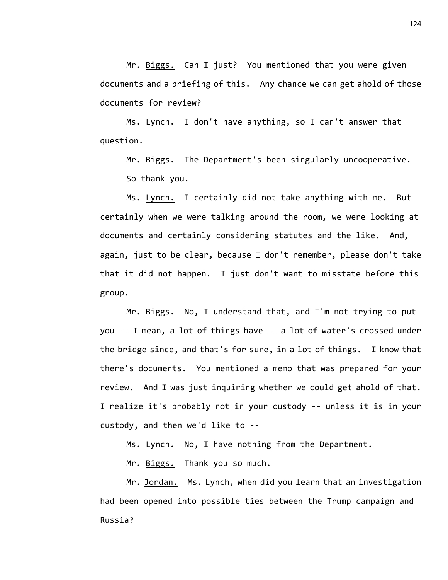Mr. Biggs. Can I just? You mentioned that you were given documents and a briefing of this. Any chance we can get ahold of those documents for review?

Ms. Lynch. I don't have anything, so I can't answer that question.

Mr. Biggs. The Department's been singularly uncooperative. So thank you.

Ms. Lynch. I certainly did not take anything with me. But certainly when we were talking around the room, we were looking at documents and certainly considering statutes and the like. And, again, just to be clear, because I don't remember, please don't take that it did not happen. I just don't want to misstate before this group.

Mr. Biggs. No, I understand that, and I'm not trying to put you -- I mean, a lot of things have -- a lot of water's crossed under the bridge since, and that's for sure, in a lot of things. I know that there's documents. You mentioned a memo that was prepared for your review. And I was just inquiring whether we could get ahold of that. I realize it's probably not in your custody -- unless it is in your custody, and then we'd like to --

Ms. Lynch. No, I have nothing from the Department.

Mr. Biggs. Thank you so much.

Mr. Jordan. Ms. Lynch, when did you learn that an investigation had been opened into possible ties between the Trump campaign and Russia?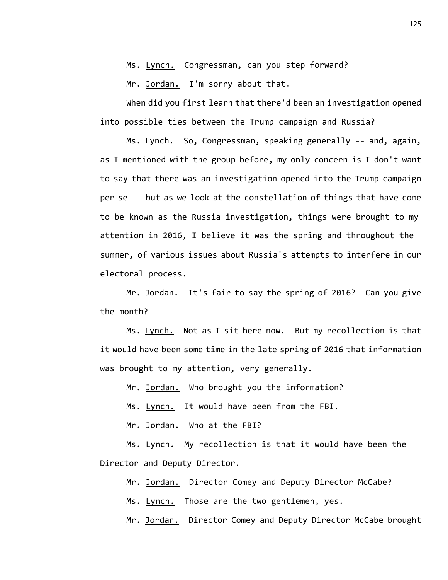Ms. Lynch. Congressman, can you step forward?

Mr. Jordan. I'm sorry about that.

When did you first learn that there'd been an investigation opened into possible ties between the Trump campaign and Russia?

Ms. Lynch. So, Congressman, speaking generally -- and, again, as I mentioned with the group before, my only concern is I don't want to say that there was an investigation opened into the Trump campaign per se -- but as we look at the constellation of things that have come to be known as the Russia investigation, things were brought to my attention in 2016, I believe it was the spring and throughout the summer, of various issues about Russia's attempts to interfere in our electoral process.

Mr. Jordan. It's fair to say the spring of 2016? Can you give the month?

Ms. Lynch. Not as I sit here now. But my recollection is that it would have been some time in the late spring of 2016 that information was brought to my attention, very generally.

Mr. Jordan. Who brought you the information?

Ms. Lynch. It would have been from the FBI.

Mr. Jordan. Who at the FBI?

Ms. Lynch. My recollection is that it would have been the Director and Deputy Director.

Mr. Jordan. Director Comey and Deputy Director McCabe?

Ms. Lynch. Those are the two gentlemen, yes.

Mr. Jordan. Director Comey and Deputy Director McCabe brought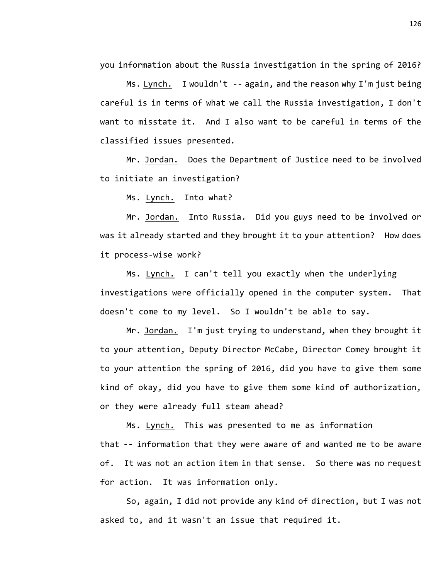you information about the Russia investigation in the spring of 2016?

Ms. Lynch. I wouldn't -- again, and the reason why I'm just being careful is in terms of what we call the Russia investigation, I don't want to misstate it. And I also want to be careful in terms of the classified issues presented.

Mr. Jordan. Does the Department of Justice need to be involved to initiate an investigation?

Ms. Lynch. Into what?

Mr. Jordan. Into Russia. Did you guys need to be involved or was it already started and they brought it to your attention? How does it process-wise work?

Ms. Lynch. I can't tell you exactly when the underlying investigations were officially opened in the computer system. That doesn't come to my level. So I wouldn't be able to say.

Mr. Jordan. I'm just trying to understand, when they brought it to your attention, Deputy Director McCabe, Director Comey brought it to your attention the spring of 2016, did you have to give them some kind of okay, did you have to give them some kind of authorization, or they were already full steam ahead?

Ms. Lynch. This was presented to me as information that -- information that they were aware of and wanted me to be aware of. It was not an action item in that sense. So there was no request for action. It was information only.

So, again, I did not provide any kind of direction, but I was not asked to, and it wasn't an issue that required it.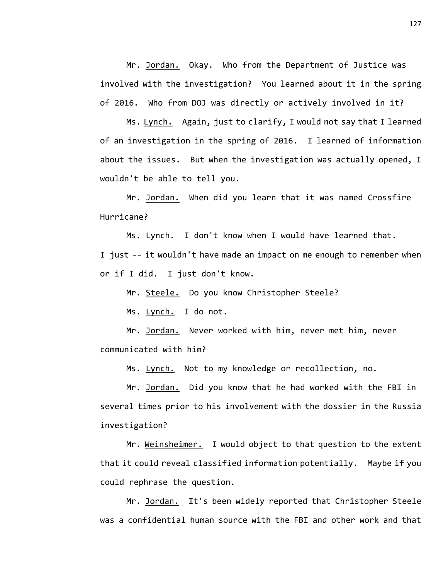Mr. Jordan. Okay. Who from the Department of Justice was involved with the investigation? You learned about it in the spring of 2016. Who from DOJ was directly or actively involved in it?

Ms. Lynch. Again, just to clarify, I would not say that I learned of an investigation in the spring of 2016. I learned of information about the issues. But when the investigation was actually opened, I wouldn't be able to tell you.

Mr. Jordan. When did you learn that it was named Crossfire Hurricane?

Ms. Lynch. I don't know when I would have learned that. I just -- it wouldn't have made an impact on me enough to remember when or if I did. I just don't know.

Mr. Steele. Do you know Christopher Steele?

Ms. Lynch. I do not.

Mr. Jordan. Never worked with him, never met him, never communicated with him?

Ms. Lynch. Not to my knowledge or recollection, no.

Mr. Jordan. Did you know that he had worked with the FBI in several times prior to his involvement with the dossier in the Russia investigation?

Mr. Weinsheimer. I would object to that question to the extent that it could reveal classified information potentially. Maybe if you could rephrase the question.

Mr. Jordan. It's been widely reported that Christopher Steele was a confidential human source with the FBI and other work and that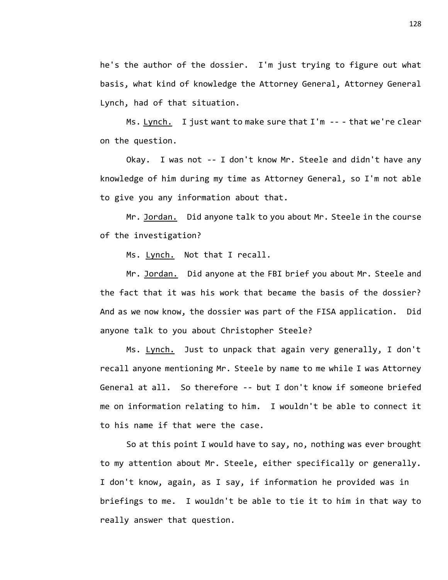he's the author of the dossier. I'm just trying to figure out what basis, what kind of knowledge the Attorney General, Attorney General Lynch, had of that situation.

Ms. Lynch. I just want to make sure that I'm -- - that we're clear on the question.

Okay. I was not -- I don't know Mr. Steele and didn't have any knowledge of him during my time as Attorney General, so I'm not able to give you any information about that.

Mr. Jordan. Did anyone talk to you about Mr. Steele in the course of the investigation?

Ms. Lynch. Not that I recall.

Mr. Jordan. Did anyone at the FBI brief you about Mr. Steele and the fact that it was his work that became the basis of the dossier? And as we now know, the dossier was part of the FISA application. Did anyone talk to you about Christopher Steele?

Ms. Lynch. Just to unpack that again very generally, I don't recall anyone mentioning Mr. Steele by name to me while I was Attorney General at all. So therefore -- but I don't know if someone briefed me on information relating to him. I wouldn't be able to connect it to his name if that were the case.

So at this point I would have to say, no, nothing was ever brought to my attention about Mr. Steele, either specifically or generally. I don't know, again, as I say, if information he provided was in briefings to me. I wouldn't be able to tie it to him in that way to really answer that question.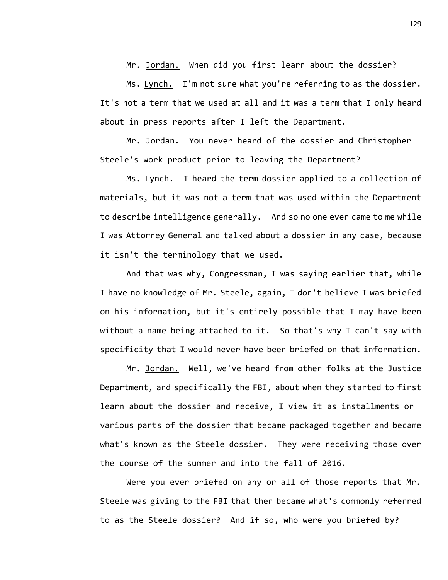Mr. Jordan. When did you first learn about the dossier?

Ms. Lynch. I'm not sure what you're referring to as the dossier. It's not a term that we used at all and it was a term that I only heard about in press reports after I left the Department.

Mr. Jordan. You never heard of the dossier and Christopher Steele's work product prior to leaving the Department?

Ms. Lynch. I heard the term dossier applied to a collection of materials, but it was not a term that was used within the Department to describe intelligence generally. And so no one ever came to me while I was Attorney General and talked about a dossier in any case, because it isn't the terminology that we used.

And that was why, Congressman, I was saying earlier that, while I have no knowledge of Mr. Steele, again, I don't believe I was briefed on his information, but it's entirely possible that I may have been without a name being attached to it. So that's why I can't say with specificity that I would never have been briefed on that information.

Mr. Jordan. Well, we've heard from other folks at the Justice Department, and specifically the FBI, about when they started to first learn about the dossier and receive, I view it as installments or various parts of the dossier that became packaged together and became what's known as the Steele dossier. They were receiving those over the course of the summer and into the fall of 2016.

Were you ever briefed on any or all of those reports that Mr. Steele was giving to the FBI that then became what's commonly referred to as the Steele dossier? And if so, who were you briefed by?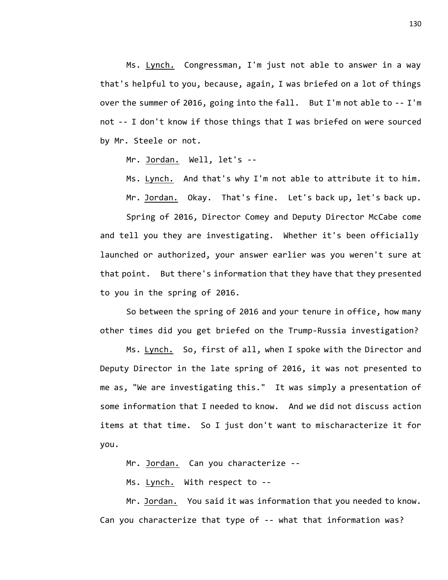Ms. Lynch. Congressman, I'm just not able to answer in a way that's helpful to you, because, again, I was briefed on a lot of things over the summer of 2016, going into the fall. But I'm not able to -- I'm not -- I don't know if those things that I was briefed on were sourced by Mr. Steele or not.

Mr. Jordan. Well, let's --

Ms. Lynch. And that's why I'm not able to attribute it to him.

Mr. Jordan. Okay. That's fine. Let's back up, let's back up.

Spring of 2016, Director Comey and Deputy Director McCabe come and tell you they are investigating. Whether it's been officially launched or authorized, your answer earlier was you weren't sure at that point. But there's information that they have that they presented to you in the spring of 2016.

So between the spring of 2016 and your tenure in office, how many other times did you get briefed on the Trump-Russia investigation?

Ms. Lynch. So, first of all, when I spoke with the Director and Deputy Director in the late spring of 2016, it was not presented to me as, "We are investigating this." It was simply a presentation of some information that I needed to know. And we did not discuss action items at that time. So I just don't want to mischaracterize it for you.

Mr. Jordan. Can you characterize --

Ms. Lynch. With respect to --

Mr. Jordan. You said it was information that you needed to know. Can you characterize that type of -- what that information was?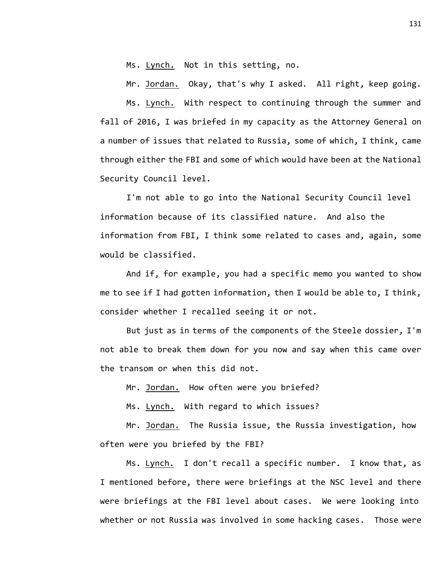Ms. Lynch. Not in this setting, no.

Mr. Jordan. Okay, that's why I asked. All right, keep going. Ms. Lynch. With respect to continuing through the summer and fall of 2016, I was briefed in my capacity as the Attorney General on a number of issues that related to Russia, some of which, I think, came through either the FBI and some of which would have been at the National Security Council level.

I'm not able to go into the National Security Council level information because of its classified nature. And also the information from FBI, I think some related to cases and, again, some would be classified.

And if, for example, you had a specific memo you wanted to show me to see if I had gotten information, then I would be able to, I think, consider whether I recalled seeing it or not.

But just as in terms of the components of the Steele dossier, I'm not able to break them down for you now and say when this came over the transom or when this did not.

Mr. Jordan. How often were you briefed?

Ms. Lynch. With regard to which issues?

Mr. <u>Jordan.</u> The Russia issue, the Russia investigation, how often were you briefed by the FBI?

Ms. Lynch. I don't recall a specific number. I know that, as I mentioned before, there were briefings at the NSC level and there were briefings at the FBI level about cases. We were looking into whether or not Russia was involved in some hacking cases. Those were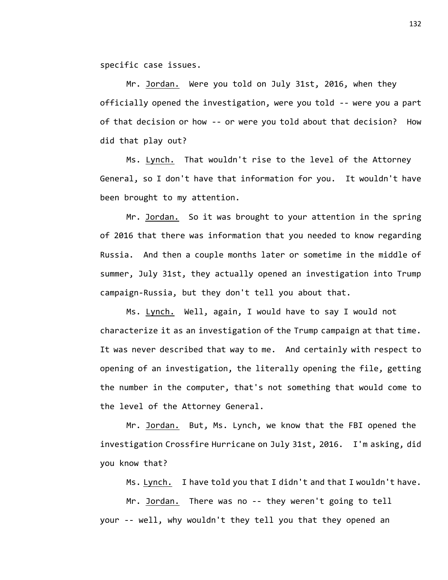specific case issues.

Mr. Jordan. Were you told on July 31st, 2016, when they officially opened the investigation, were you told -- were you a part of that decision or how -- or were you told about that decision? How did that play out?

Ms. Lynch. That wouldn't rise to the level of the Attorney General, so I don't have that information for you. It wouldn't have been brought to my attention.

Mr. Jordan. So it was brought to your attention in the spring of 2016 that there was information that you needed to know regarding Russia. And then a couple months later or sometime in the middle of summer, July 31st, they actually opened an investigation into Trump campaign-Russia, but they don't tell you about that.

Ms. Lynch. Well, again, I would have to say I would not characterize it as an investigation of the Trump campaign at that time. It was never described that way to me. And certainly with respect to opening of an investigation, the literally opening the file, getting the number in the computer, that's not something that would come to the level of the Attorney General.

Mr. Jordan. But, Ms. Lynch, we know that the FBI opened the investigation Crossfire Hurricane on July 31st, 2016. I'm asking, did you know that?

Ms. Lynch. I have told you that I didn't and that I wouldn't have.

Mr. Jordan. There was no -- they weren't going to tell your -- well, why wouldn't they tell you that they opened an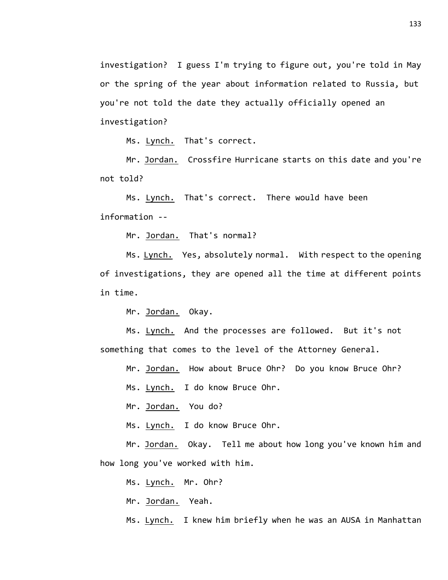investigation? I guess I'm trying to figure out, you're told in May or the spring of the year about information related to Russia, but you're not told the date they actually officially opened an investigation?

Ms. Lynch. That's correct.

Mr. Jordan. Crossfire Hurricane starts on this date and you're not told?

Ms. Lynch. That's correct. There would have been information --

Mr. Jordan. That's normal?

Ms. Lynch. Yes, absolutely normal. With respect to the opening of investigations, they are opened all the time at different points in time.

Mr. Jordan. Okay.

Ms. Lynch. And the processes are followed. But it's not something that comes to the level of the Attorney General.

Mr. Jordan. How about Bruce Ohr? Do you know Bruce Ohr?

Ms. Lynch. I do know Bruce Ohr.

Mr. Jordan. You do?

Ms. Lynch. I do know Bruce Ohr.

Mr. Jordan. Okay. Tell me about how long you've known him and how long you've worked with him.

Ms. Lynch. Mr. Ohr?

Mr. Jordan. Yeah.

Ms. Lynch. I knew him briefly when he was an AUSA in Manhattan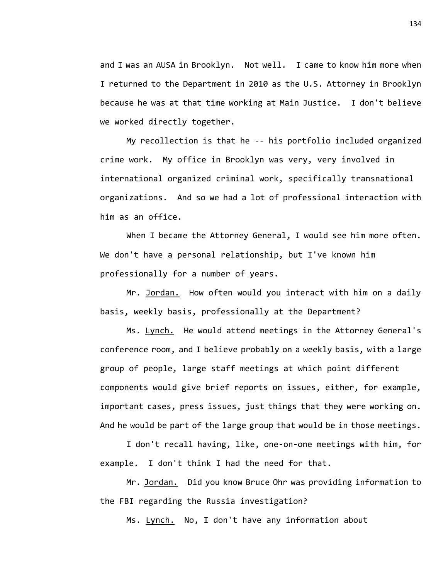and I was an AUSA in Brooklyn. Not well. I came to know him more when I returned to the Department in 2010 as the U.S. Attorney in Brooklyn because he was at that time working at Main Justice. I don't believe we worked directly together.

My recollection is that he -- his portfolio included organized crime work. My office in Brooklyn was very, very involved in international organized criminal work, specifically transnational organizations. And so we had a lot of professional interaction with him as an office.

When I became the Attorney General, I would see him more often. We don't have a personal relationship, but I've known him professionally for a number of years.

Mr. Jordan. How often would you interact with him on a daily basis, weekly basis, professionally at the Department?

Ms. Lynch. He would attend meetings in the Attorney General's conference room, and I believe probably on a weekly basis, with a large group of people, large staff meetings at which point different components would give brief reports on issues, either, for example, important cases, press issues, just things that they were working on. And he would be part of the large group that would be in those meetings.

I don't recall having, like, one-on-one meetings with him, for example. I don't think I had the need for that.

Mr. Jordan. Did you know Bruce Ohr was providing information to the FBI regarding the Russia investigation?

Ms. Lynch. No, I don't have any information about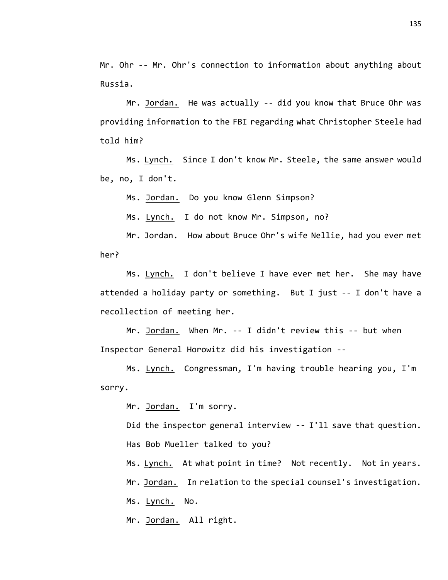Mr. Ohr -- Mr. Ohr's connection to information about anything about Russia.

Mr. Jordan. He was actually -- did you know that Bruce Ohr was providing information to the FBI regarding what Christopher Steele had told him?

Ms. Lynch. Since I don't know Mr. Steele, the same answer would be, no, I don't.

Ms. Jordan. Do you know Glenn Simpson?

Ms. Lynch. I do not know Mr. Simpson, no?

Mr. Jordan. How about Bruce Ohr's wife Nellie, had you ever met her?

Ms. Lynch. I don't believe I have ever met her. She may have attended a holiday party or something. But I just -- I don't have a recollection of meeting her.

Mr. Jordan. When Mr. -- I didn't review this -- but when Inspector General Horowitz did his investigation --

Ms. Lynch. Congressman, I'm having trouble hearing you, I'm sorry.

Mr. Jordan. I'm sorry.

Did the inspector general interview -- I'll save that question. Has Bob Mueller talked to you?

Ms. Lynch. At what point in time? Not recently. Not in years. Mr. Jordan. In relation to the special counsel's investigation. Ms. Lynch. No.

Mr. Jordan. All right.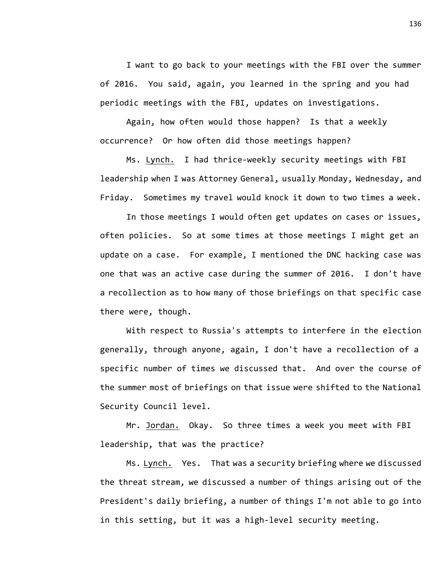I want to go back to your meetings with the FBI over the summer of 2016. You said, again, you learned in the spring and you had periodic meetings with the FBI, updates on investigations.

Again, how often would those happen? Is that a weekly occurrence? Or how often did those meetings happen?

Ms. Lynch. I had thrice-weekly security meetings with FBI leadership when I was Attorney General, usually Monday, Wednesday, and Friday. Sometimes my travel would knock it down to two times a week.

In those meetings I would often get updates on cases or issues, often policies. So at some times at those meetings I might get an update on a case. For example, I mentioned the DNC hacking case was one that was an active case during the summer of 2016. I don't have a recollection as to how many of those briefings on that specific case there were, though.

With respect to Russia's attempts to interfere in the election generally, through anyone, again, I don't have a recollection of a specific number of times we discussed that. And over the course of the summer most of briefings on that issue were shifted to the National Security Council level.

Mr. <u>Jordan.</u> Okay. So three times a week you meet with FBI leadership, that was the practice?

Ms. Lynch. Yes. That was a security briefing where we discussed the threat stream, we discussed a number of things arising out of the President's daily briefing, a number of things I'm not able to go into in this setting, but it was a high-level security meeting.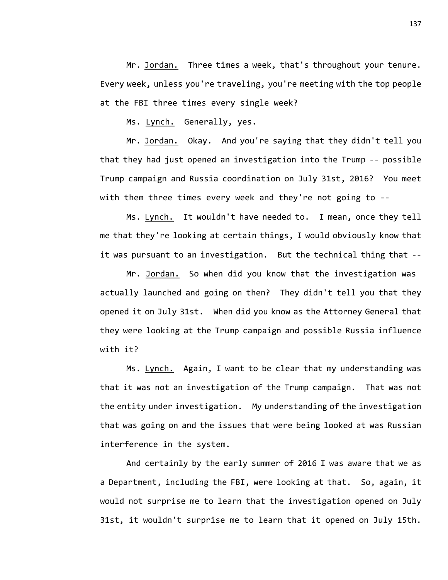Mr. Jordan. Three times a week, that's throughout your tenure. Every week, unless you're traveling, you're meeting with the top people at the FBI three times every single week?

Ms. Lynch. Generally, yes.

Mr. Jordan. Okay. And you're saying that they didn't tell you that they had just opened an investigation into the Trump -- possible Trump campaign and Russia coordination on July 31st, 2016? You meet with them three times every week and they're not going to --

Ms. Lynch. It wouldn't have needed to. I mean, once they tell me that they're looking at certain things, I would obviously know that it was pursuant to an investigation. But the technical thing that --

Mr. Jordan. So when did you know that the investigation was actually launched and going on then? They didn't tell you that they opened it on July 31st. When did you know as the Attorney General that they were looking at the Trump campaign and possible Russia influence with it?

Ms. Lynch. Again, I want to be clear that my understanding was that it was not an investigation of the Trump campaign. That was not the entity under investigation. My understanding of the investigation that was going on and the issues that were being looked at was Russian interference in the system.

And certainly by the early summer of 2016 I was aware that we as a Department, including the FBI, were looking at that. So, again, it would not surprise me to learn that the investigation opened on July 31st, it wouldn't surprise me to learn that it opened on July 15th.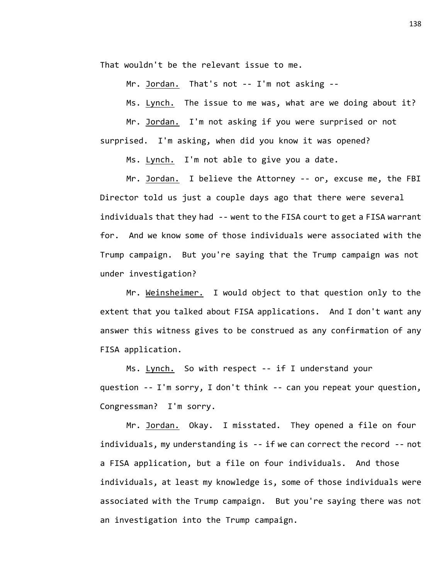That wouldn't be the relevant issue to me.

Mr. Jordan. That's not -- I'm not asking --

Ms. Lynch. The issue to me was, what are we doing about it?

Mr. Jordan. I'm not asking if you were surprised or not surprised. I'm asking, when did you know it was opened?

Ms. Lynch. I'm not able to give you a date.

Mr. Jordan. I believe the Attorney -- or, excuse me, the FBI Director told us just a couple days ago that there were several individuals that they had -- went to the FISA court to get a FISA warrant for. And we know some of those individuals were associated with the Trump campaign. But you're saying that the Trump campaign was not under investigation?

Mr. Weinsheimer. I would object to that question only to the extent that you talked about FISA applications. And I don't want any answer this witness gives to be construed as any confirmation of any FISA application.

Ms. Lynch. So with respect -- if I understand your question -- I'm sorry, I don't think -- can you repeat your question, Congressman? I'm sorry.

Mr. <u>Jordan.</u> Okay. I misstated. They opened a file on four individuals, my understanding is -- if we can correct the record -- not a FISA application, but a file on four individuals. And those individuals, at least my knowledge is, some of those individuals were associated with the Trump campaign. But you're saying there was not an investigation into the Trump campaign.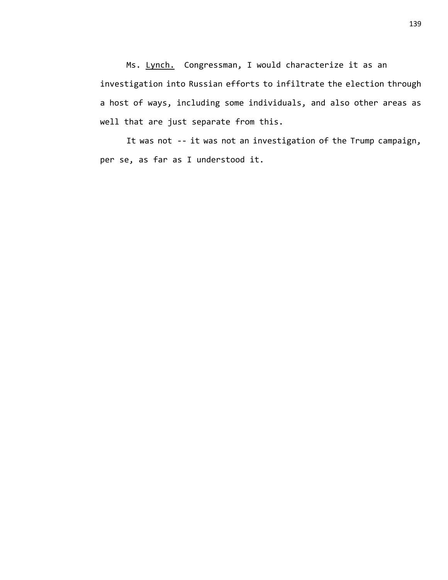Ms. Lynch. Congressman, I would characterize it as an investigation into Russian efforts to infiltrate the election through a host of ways, including some individuals, and also other areas as well that are just separate from this.

It was not -- it was not an investigation of the Trump campaign, per se, as far as I understood it.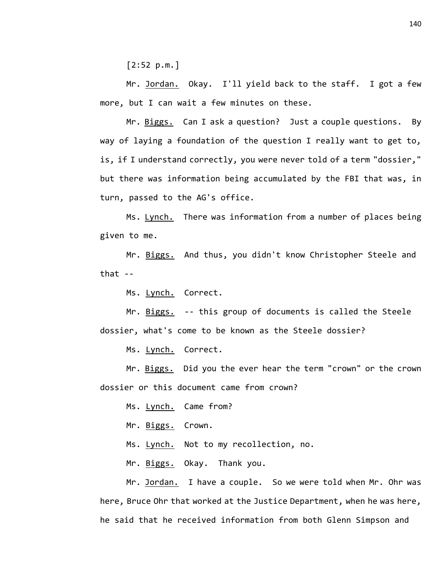[2:52 p.m.]

Mr. Jordan. Okay. I'll yield back to the staff. I got a few more, but I can wait a few minutes on these.

Mr. Biggs. Can I ask a question? Just a couple questions. By way of laying a foundation of the question I really want to get to, is, if I understand correctly, you were never told of a term "dossier," but there was information being accumulated by the FBI that was, in turn, passed to the AG's office.

Ms. Lynch. There was information from a number of places being given to me.

Mr. Biggs. And thus, you didn't know Christopher Steele and that --

Ms. Lynch. Correct.

Mr. Biggs. -- this group of documents is called the Steele dossier, what's come to be known as the Steele dossier?

Ms. Lynch. Correct.

Mr. Biggs. Did you the ever hear the term "crown" or the crown dossier or this document came from crown?

Ms. Lynch. Came from?

Mr. Biggs. Crown.

Ms. Lynch. Not to my recollection, no.

Mr. Biggs. Okay. Thank you.

Mr. Jordan. I have a couple. So we were told when Mr. Ohr was here, Bruce Ohr that worked at the Justice Department, when he was here, he said that he received information from both Glenn Simpson and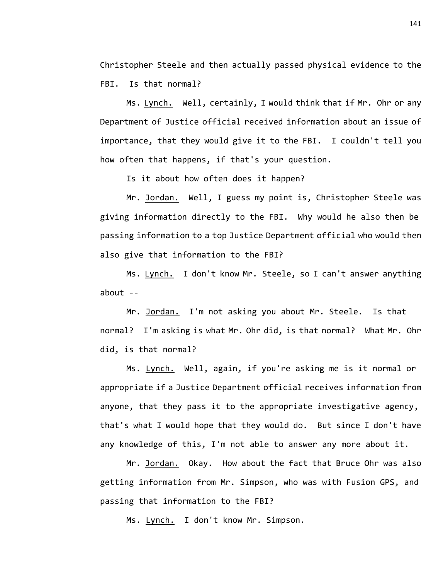Christopher Steele and then actually passed physical evidence to the FBI. Is that normal?

Ms. Lynch. Well, certainly, I would think that if Mr. Ohr or any Department of Justice official received information about an issue of importance, that they would give it to the FBI. I couldn't tell you how often that happens, if that's your question.

Is it about how often does it happen?

Mr. Jordan. Well, I guess my point is, Christopher Steele was giving information directly to the FBI. Why would he also then be passing information to a top Justice Department official who would then also give that information to the FBI?

Ms. Lynch. I don't know Mr. Steele, so I can't answer anything about --

Mr. Jordan. I'm not asking you about Mr. Steele. Is that normal? I'm asking is what Mr. Ohr did, is that normal? What Mr. Ohr did, is that normal?

Ms. Lynch. Well, again, if you're asking me is it normal or appropriate if a Justice Department official receives information from anyone, that they pass it to the appropriate investigative agency, that's what I would hope that they would do. But since I don't have any knowledge of this, I'm not able to answer any more about it.

Mr. Jordan. Okay. How about the fact that Bruce Ohr was also getting information from Mr. Simpson, who was with Fusion GPS, and passing that information to the FBI?

Ms. Lynch. I don't know Mr. Simpson.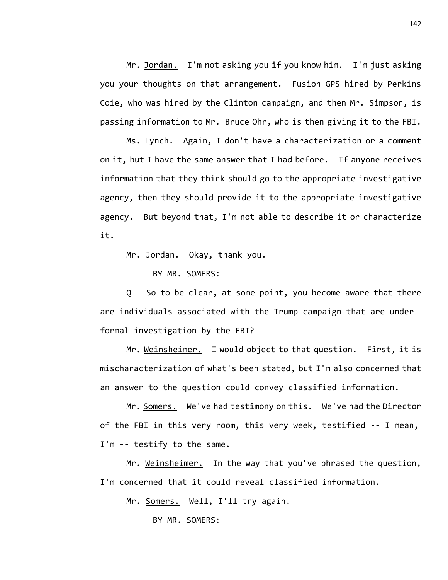Mr. Jordan. I'm not asking you if you know him. I'm just asking you your thoughts on that arrangement. Fusion GPS hired by Perkins Coie, who was hired by the Clinton campaign, and then Mr. Simpson, is passing information to Mr. Bruce Ohr, who is then giving it to the FBI.

Ms. Lynch. Again, I don't have a characterization or a comment on it, but I have the same answer that I had before. If anyone receives information that they think should go to the appropriate investigative agency, then they should provide it to the appropriate investigative agency. But beyond that, I'm not able to describe it or characterize it.

Mr. Jordan. Okay, thank you.

BY MR. SOMERS:

Q So to be clear, at some point, you become aware that there are individuals associated with the Trump campaign that are under formal investigation by the FBI?

Mr. Weinsheimer. I would object to that question. First, it is mischaracterization of what's been stated, but I'm also concerned that an answer to the question could convey classified information.

Mr. Somers. We've had testimony on this. We've had the Director of the FBI in this very room, this very week, testified -- I mean, I'm -- testify to the same.

Mr. Weinsheimer. In the way that you've phrased the question, I'm concerned that it could reveal classified information.

Mr. Somers. Well, I'll try again.

BY MR. SOMERS: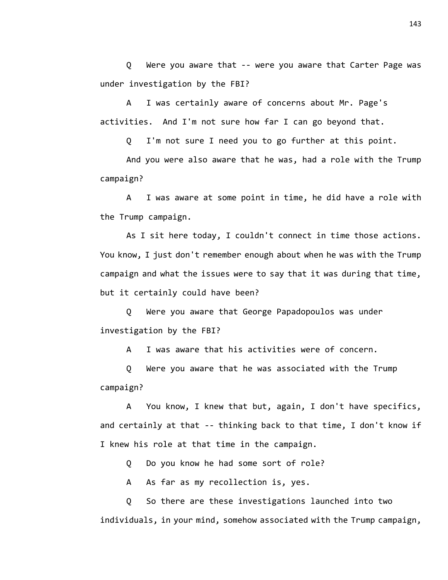Q Were you aware that -- were you aware that Carter Page was under investigation by the FBI?

A I was certainly aware of concerns about Mr. Page's activities. And I'm not sure how far I can go beyond that.

Q I'm not sure I need you to go further at this point.

And you were also aware that he was, had a role with the Trump campaign?

A I was aware at some point in time, he did have a role with the Trump campaign.

As I sit here today, I couldn't connect in time those actions. You know, I just don't remember enough about when he was with the Trump campaign and what the issues were to say that it was during that time, but it certainly could have been?

Q Were you aware that George Papadopoulos was under investigation by the FBI?

A I was aware that his activities were of concern.

Q Were you aware that he was associated with the Trump campaign?

A You know, I knew that but, again, I don't have specifics, and certainly at that -- thinking back to that time, I don't know if I knew his role at that time in the campaign.

Q Do you know he had some sort of role?

A As far as my recollection is, yes.

Q So there are these investigations launched into two individuals, in your mind, somehow associated with the Trump campaign,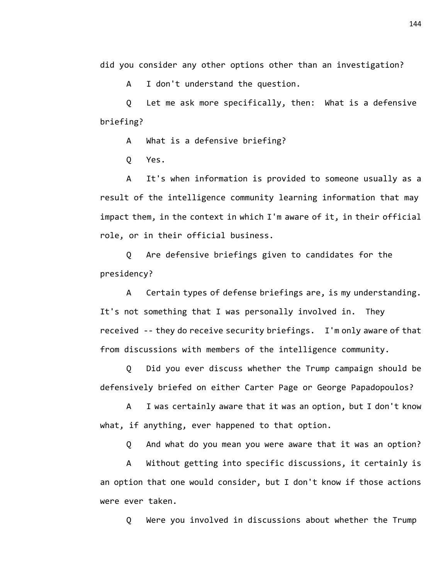did you consider any other options other than an investigation?

A I don't understand the question.

Q Let me ask more specifically, then: What is a defensive briefing?

A What is a defensive briefing?

Q Yes.

A It's when information is provided to someone usually as a result of the intelligence community learning information that may impact them, in the context in which I'm aware of it, in their official role, or in their official business.

Q Are defensive briefings given to candidates for the presidency?

A Certain types of defense briefings are, is my understanding. It's not something that I was personally involved in. They received -- they do receive security briefings. I'm only aware of that from discussions with members of the intelligence community.

Q Did you ever discuss whether the Trump campaign should be defensively briefed on either Carter Page or George Papadopoulos?

A I was certainly aware that it was an option, but I don't know what, if anything, ever happened to that option.

Q And what do you mean you were aware that it was an option?

A Without getting into specific discussions, it certainly is an option that one would consider, but I don't know if those actions were ever taken.

Q Were you involved in discussions about whether the Trump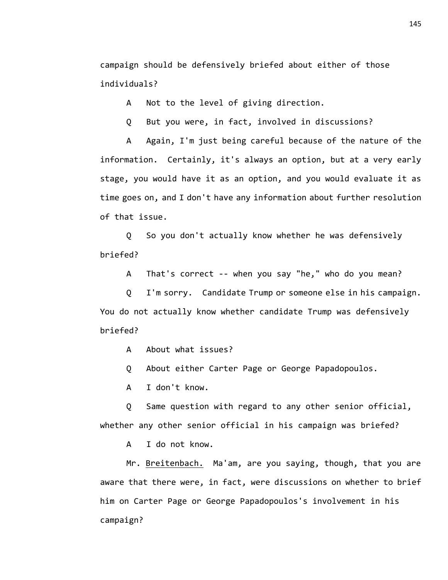campaign should be defensively briefed about either of those individuals?

A Not to the level of giving direction.

Q But you were, in fact, involved in discussions?

A Again, I'm just being careful because of the nature of the information. Certainly, it's always an option, but at a very early stage, you would have it as an option, and you would evaluate it as time goes on, and I don't have any information about further resolution of that issue.

Q So you don't actually know whether he was defensively briefed?

A That's correct -- when you say "he," who do you mean?

Q I'm sorry. Candidate Trump or someone else in his campaign. You do not actually know whether candidate Trump was defensively briefed?

A About what issues?

Q About either Carter Page or George Papadopoulos.

A I don't know.

Q Same question with regard to any other senior official, whether any other senior official in his campaign was briefed?

A I do not know.

Mr. Breitenbach. Ma'am, are you saying, though, that you are aware that there were, in fact, were discussions on whether to brief him on Carter Page or George Papadopoulos's involvement in his campaign?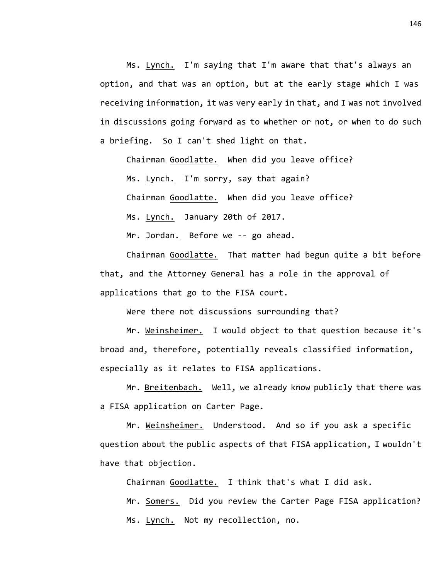Ms. Lynch. I'm saying that I'm aware that that's always an option, and that was an option, but at the early stage which I was receiving information, it was very early in that, and I was not involved in discussions going forward as to whether or not, or when to do such a briefing. So I can't shed light on that.

Chairman Goodlatte. When did you leave office?

Ms. Lynch. I'm sorry, say that again?

Chairman Goodlatte. When did you leave office?

Ms. Lynch. January 20th of 2017.

Mr. Jordan. Before we -- go ahead.

Chairman Goodlatte. That matter had begun quite a bit before that, and the Attorney General has a role in the approval of applications that go to the FISA court.

Were there not discussions surrounding that?

Mr. Weinsheimer. I would object to that question because it's broad and, therefore, potentially reveals classified information, especially as it relates to FISA applications.

Mr. Breitenbach. Well, we already know publicly that there was a FISA application on Carter Page.

Mr. Weinsheimer. Understood. And so if you ask a specific question about the public aspects of that FISA application, I wouldn't have that objection.

Chairman Goodlatte. I think that's what I did ask.

Mr. Somers. Did you review the Carter Page FISA application? Ms. Lynch. Not my recollection, no.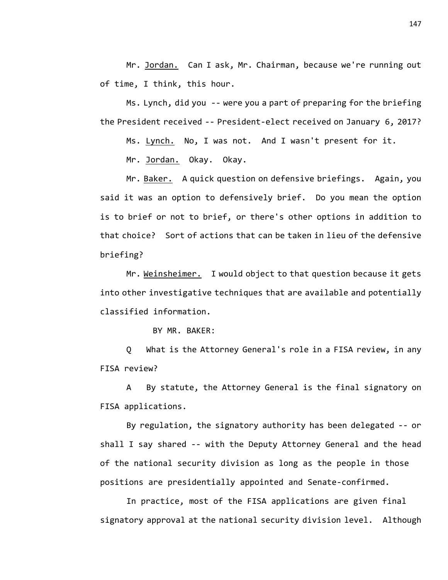Mr. Jordan. Can I ask, Mr. Chairman, because we're running out of time, I think, this hour.

Ms. Lynch, did you -- were you a part of preparing for the briefing the President received -- President-elect received on January 6, 2017?

Ms. Lynch. No, I was not. And I wasn't present for it.

Mr. Jordan. Okay. Okay.

Mr. Baker. A quick question on defensive briefings. Again, you said it was an option to defensively brief. Do you mean the option is to brief or not to brief, or there's other options in addition to that choice? Sort of actions that can be taken in lieu of the defensive briefing?

Mr. Weinsheimer. I would object to that question because it gets into other investigative techniques that are available and potentially classified information.

BY MR. BAKER:

Q What is the Attorney General's role in a FISA review, in any FISA review?

A By statute, the Attorney General is the final signatory on FISA applications.

By regulation, the signatory authority has been delegated -- or shall I say shared -- with the Deputy Attorney General and the head of the national security division as long as the people in those positions are presidentially appointed and Senate-confirmed.

In practice, most of the FISA applications are given final signatory approval at the national security division level. Although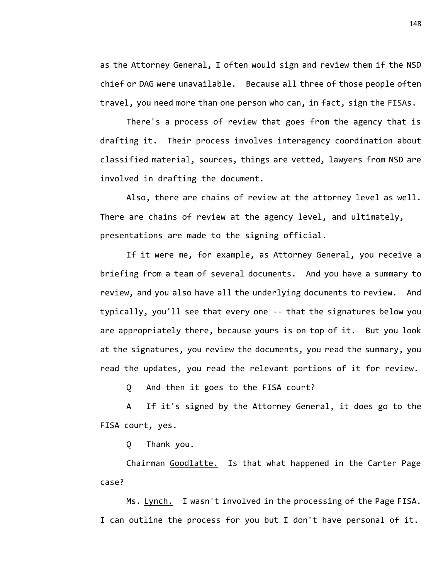as the Attorney General, I often would sign and review them if the NSD chief or DAG were unavailable. Because all three of those people often travel, you need more than one person who can, in fact, sign the FISAs.

There's a process of review that goes from the agency that is drafting it. Their process involves interagency coordination about classified material, sources, things are vetted, lawyers from NSD are involved in drafting the document.

Also, there are chains of review at the attorney level as well. There are chains of review at the agency level, and ultimately, presentations are made to the signing official.

If it were me, for example, as Attorney General, you receive a briefing from a team of several documents. And you have a summary to review, and you also have all the underlying documents to review. And typically, you'll see that every one -- that the signatures below you are appropriately there, because yours is on top of it. But you look at the signatures, you review the documents, you read the summary, you read the updates, you read the relevant portions of it for review.

Q And then it goes to the FISA court?

A If it's signed by the Attorney General, it does go to the FISA court, yes.

Q Thank you.

Chairman Goodlatte. Is that what happened in the Carter Page case?

Ms. Lynch. I wasn't involved in the processing of the Page FISA. I can outline the process for you but I don't have personal of it.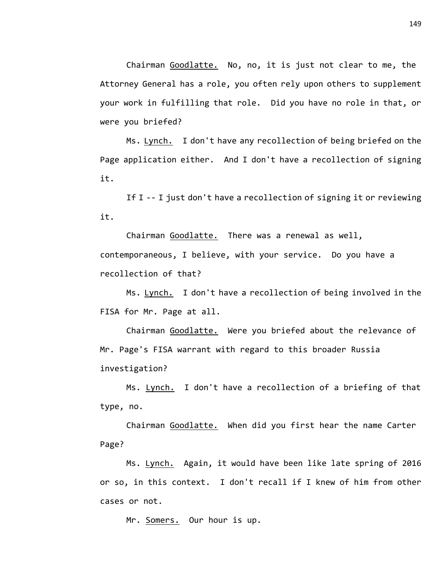Chairman Goodlatte. No, no, it is just not clear to me, the Attorney General has a role, you often rely upon others to supplement your work in fulfilling that role. Did you have no role in that, or were you briefed?

Ms. Lynch. I don't have any recollection of being briefed on the Page application either. And I don't have a recollection of signing it.

If I -- I just don't have a recollection of signing it or reviewing it.

Chairman Goodlatte. There was a renewal as well, contemporaneous, I believe, with your service. Do you have a recollection of that?

Ms. Lynch. I don't have a recollection of being involved in the FISA for Mr. Page at all.

Chairman Goodlatte. Were you briefed about the relevance of Mr. Page's FISA warrant with regard to this broader Russia investigation?

Ms. Lynch. I don't have a recollection of a briefing of that type, no.

Chairman Goodlatte. When did you first hear the name Carter Page?

Ms. Lynch. Again, it would have been like late spring of 2016 or so, in this context. I don't recall if I knew of him from other cases or not.

Mr. Somers. Our hour is up.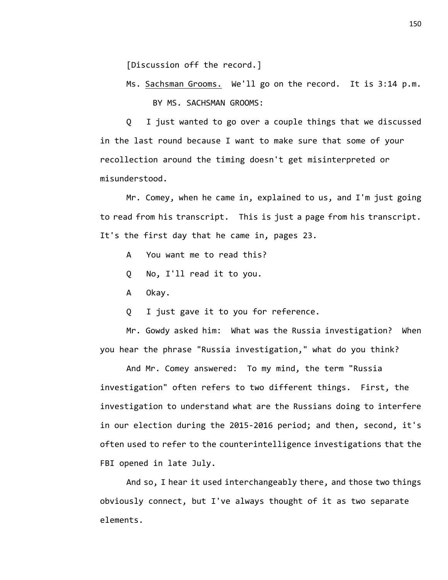[Discussion off the record.]

Ms. Sachsman Grooms. We'll go on the record. It is 3:14 p.m. BY MS. SACHSMAN GROOMS:

Q I just wanted to go over a couple things that we discussed in the last round because I want to make sure that some of your recollection around the timing doesn't get misinterpreted or misunderstood.

Mr. Comey, when he came in, explained to us, and I'm just going to read from his transcript. This is just a page from his transcript. It's the first day that he came in, pages 23.

- A You want me to read this?
- Q No, I'll read it to you.
- A Okay.
- Q I just gave it to you for reference.

Mr. Gowdy asked him: What was the Russia investigation? When you hear the phrase "Russia investigation," what do you think?

And Mr. Comey answered: To my mind, the term "Russia investigation" often refers to two different things. First, the investigation to understand what are the Russians doing to interfere in our election during the 2015-2016 period; and then, second, it's often used to refer to the counterintelligence investigations that the FBI opened in late July.

And so, I hear it used interchangeably there, and those two things obviously connect, but I've always thought of it as two separate elements.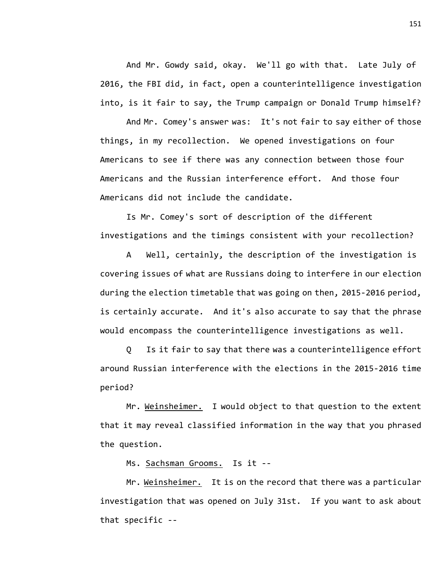And Mr. Gowdy said, okay. We'll go with that. Late July of 2016, the FBI did, in fact, open a counterintelligence investigation into, is it fair to say, the Trump campaign or Donald Trump himself?

And Mr. Comey's answer was: It's not fair to say either of those things, in my recollection. We opened investigations on four Americans to see if there was any connection between those four Americans and the Russian interference effort. And those four Americans did not include the candidate.

Is Mr. Comey's sort of description of the different investigations and the timings consistent with your recollection?

A Well, certainly, the description of the investigation is covering issues of what are Russians doing to interfere in our election during the election timetable that was going on then, 2015-2016 period, is certainly accurate. And it's also accurate to say that the phrase would encompass the counterintelligence investigations as well.

Q Is it fair to say that there was a counterintelligence effort around Russian interference with the elections in the 2015-2016 time period?

Mr. Weinsheimer. I would object to that question to the extent that it may reveal classified information in the way that you phrased the question.

Ms. Sachsman Grooms. Is it --

Mr. Weinsheimer. It is on the record that there was a particular investigation that was opened on July 31st. If you want to ask about that specific --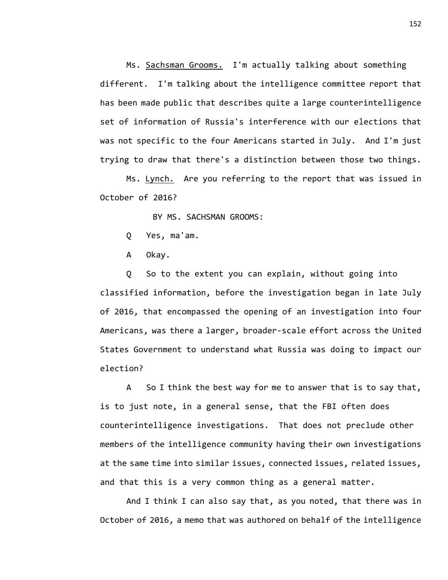Ms. Sachsman Grooms. I'm actually talking about something different. I'm talking about the intelligence committee report that has been made public that describes quite a large counterintelligence set of information of Russia's interference with our elections that was not specific to the four Americans started in July. And I'm just trying to draw that there's a distinction between those two things.

Ms. Lynch. Are you referring to the report that was issued in October of 2016?

BY MS. SACHSMAN GROOMS:

Q Yes, ma'am.

A Okay.

Q So to the extent you can explain, without going into classified information, before the investigation began in late July of 2016, that encompassed the opening of an investigation into four Americans, was there a larger, broader-scale effort across the United States Government to understand what Russia was doing to impact our election?

A So I think the best way for me to answer that is to say that, is to just note, in a general sense, that the FBI often does counterintelligence investigations. That does not preclude other members of the intelligence community having their own investigations at the same time into similar issues, connected issues, related issues, and that this is a very common thing as a general matter.

And I think I can also say that, as you noted, that there was in October of 2016, a memo that was authored on behalf of the intelligence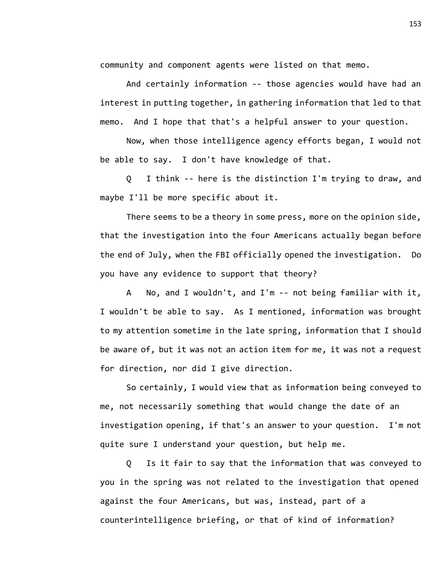community and component agents were listed on that memo.

And certainly information -- those agencies would have had an interest in putting together, in gathering information that led to that memo. And I hope that that's a helpful answer to your question.

Now, when those intelligence agency efforts began, I would not be able to say. I don't have knowledge of that.

Q I think -- here is the distinction I'm trying to draw, and maybe I'll be more specific about it.

There seems to be a theory in some press, more on the opinion side, that the investigation into the four Americans actually began before the end of July, when the FBI officially opened the investigation. Do you have any evidence to support that theory?

A No, and I wouldn't, and I'm -- not being familiar with it, I wouldn't be able to say. As I mentioned, information was brought to my attention sometime in the late spring, information that I should be aware of, but it was not an action item for me, it was not a request for direction, nor did I give direction.

So certainly, I would view that as information being conveyed to me, not necessarily something that would change the date of an investigation opening, if that's an answer to your question. I'm not quite sure I understand your question, but help me.

Q Is it fair to say that the information that was conveyed to you in the spring was not related to the investigation that opened against the four Americans, but was, instead, part of a counterintelligence briefing, or that of kind of information?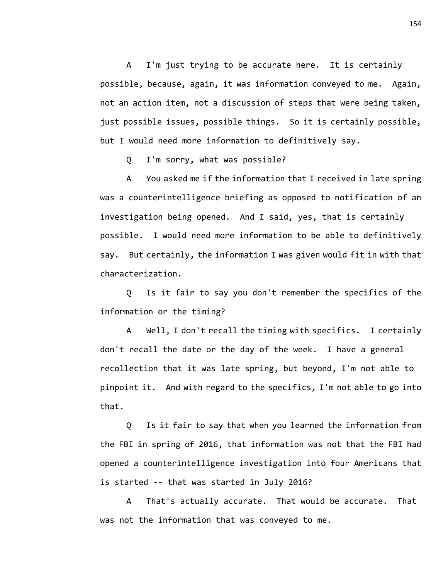A I'm just trying to be accurate here. It is certainly possible, because, again, it was information conveyed to me. Again, not an action item, not a discussion of steps that were being taken, just possible issues, possible things. So it is certainly possible, but I would need more information to definitively say.

Q I'm sorry, what was possible?

A You asked me if the information that I received in late spring was a counterintelligence briefing as opposed to notification of an investigation being opened. And I said, yes, that is certainly possible. I would need more information to be able to definitively say. But certainly, the information I was given would fit in with that characterization.

Q Is it fair to say you don't remember the specifics of the information or the timing?

A Well, I don't recall the timing with specifics. I certainly don't recall the date or the day of the week. I have a general recollection that it was late spring, but beyond, I'm not able to pinpoint it. And with regard to the specifics, I'm not able to go into that.

Q Is it fair to say that when you learned the information from the FBI in spring of 2016, that information was not that the FBI had opened a counterintelligence investigation into four Americans that is started -- that was started in July 2016?

A That's actually accurate. That would be accurate. That was not the information that was conveyed to me.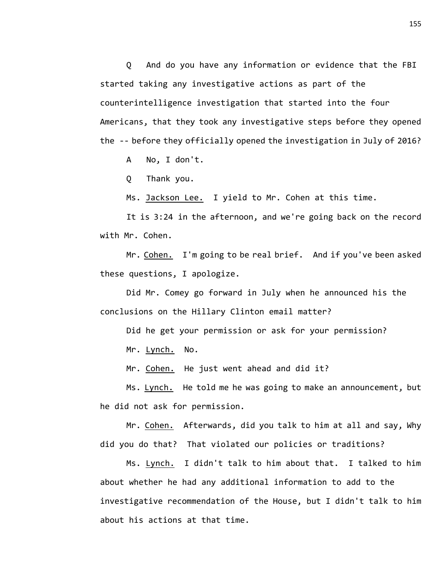Q And do you have any information or evidence that the FBI started taking any investigative actions as part of the counterintelligence investigation that started into the four Americans, that they took any investigative steps before they opened the -- before they officially opened the investigation in July of 2016?

A No, I don't.

Q Thank you.

Ms. Jackson Lee. I yield to Mr. Cohen at this time.

It is 3:24 in the afternoon, and we're going back on the record with Mr. Cohen.

Mr. Cohen. I'm going to be real brief. And if you've been asked these questions, I apologize.

Did Mr. Comey go forward in July when he announced his the conclusions on the Hillary Clinton email matter?

Did he get your permission or ask for your permission?

Mr. Lynch. No.

Mr. Cohen. He just went ahead and did it?

Ms. Lynch. He told me he was going to make an announcement, but he did not ask for permission.

Mr. Cohen. Afterwards, did you talk to him at all and say, Why did you do that? That violated our policies or traditions?

Ms. Lynch. I didn't talk to him about that. I talked to him about whether he had any additional information to add to the investigative recommendation of the House, but I didn't talk to him about his actions at that time.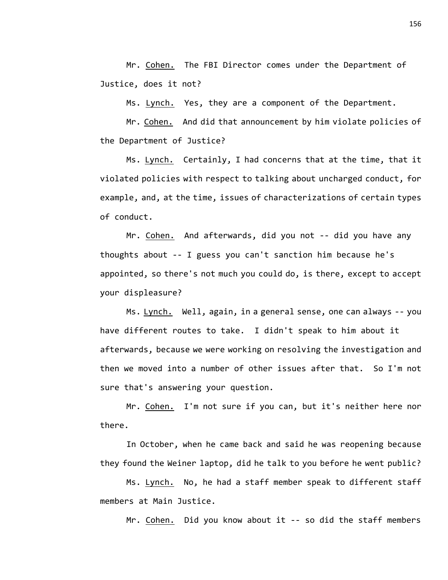Mr. Cohen. The FBI Director comes under the Department of Justice, does it not?

Ms. Lynch. Yes, they are a component of the Department.

Mr. Cohen. And did that announcement by him violate policies of the Department of Justice?

Ms. Lynch. Certainly, I had concerns that at the time, that it violated policies with respect to talking about uncharged conduct, for example, and, at the time, issues of characterizations of certain types of conduct.

Mr. Cohen. And afterwards, did you not -- did you have any thoughts about -- I guess you can't sanction him because he's appointed, so there's not much you could do, is there, except to accept your displeasure?

Ms. Lynch. Well, again, in a general sense, one can always -- you have different routes to take. I didn't speak to him about it afterwards, because we were working on resolving the investigation and then we moved into a number of other issues after that. So I'm not sure that's answering your question.

Mr. Cohen. I'm not sure if you can, but it's neither here nor there.

In October, when he came back and said he was reopening because they found the Weiner laptop, did he talk to you before he went public?

Ms. Lynch. No, he had a staff member speak to different staff members at Main Justice.

Mr. Cohen. Did you know about it -- so did the staff members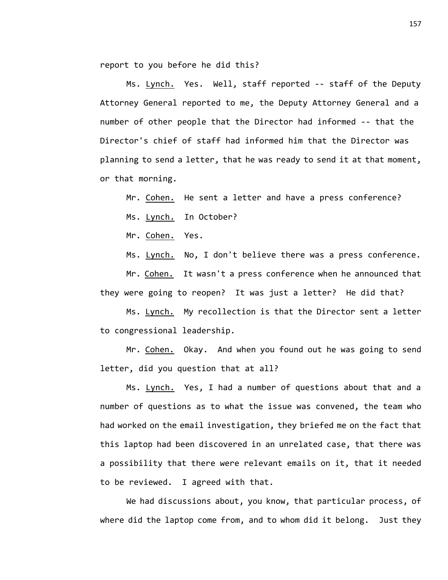report to you before he did this?

Ms. Lynch. Yes. Well, staff reported -- staff of the Deputy Attorney General reported to me, the Deputy Attorney General and a number of other people that the Director had informed -- that the Director's chief of staff had informed him that the Director was planning to send a letter, that he was ready to send it at that moment, or that morning.

Mr. Cohen. He sent a letter and have a press conference?

Ms. Lynch. In October?

Mr. Cohen. Yes.

Ms. Lynch. No, I don't believe there was a press conference.

Mr. Cohen. It wasn't a press conference when he announced that they were going to reopen? It was just a letter? He did that?

Ms. Lynch. My recollection is that the Director sent a letter to congressional leadership.

Mr. Cohen. Okay. And when you found out he was going to send letter, did you question that at all?

Ms. Lynch. Yes, I had a number of questions about that and a number of questions as to what the issue was convened, the team who had worked on the email investigation, they briefed me on the fact that this laptop had been discovered in an unrelated case, that there was a possibility that there were relevant emails on it, that it needed to be reviewed. I agreed with that.

We had discussions about, you know, that particular process, of where did the laptop come from, and to whom did it belong. Just they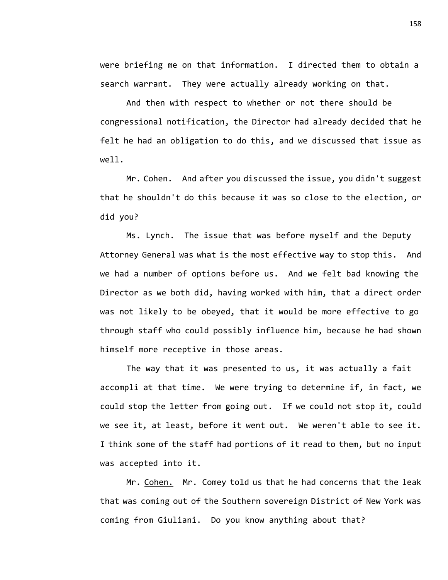were briefing me on that information. I directed them to obtain a search warrant. They were actually already working on that.

And then with respect to whether or not there should be congressional notification, the Director had already decided that he felt he had an obligation to do this, and we discussed that issue as well.

Mr. Cohen. And after you discussed the issue, you didn't suggest that he shouldn't do this because it was so close to the election, or did you?

Ms. Lynch. The issue that was before myself and the Deputy Attorney General was what is the most effective way to stop this. And we had a number of options before us. And we felt bad knowing the Director as we both did, having worked with him, that a direct order was not likely to be obeyed, that it would be more effective to go through staff who could possibly influence him, because he had shown himself more receptive in those areas.

The way that it was presented to us, it was actually a fait accompli at that time. We were trying to determine if, in fact, we could stop the letter from going out. If we could not stop it, could we see it, at least, before it went out. We weren't able to see it. I think some of the staff had portions of it read to them, but no input was accepted into it.

Mr. Cohen. Mr. Comey told us that he had concerns that the leak that was coming out of the Southern sovereign District of New York was coming from Giuliani. Do you know anything about that?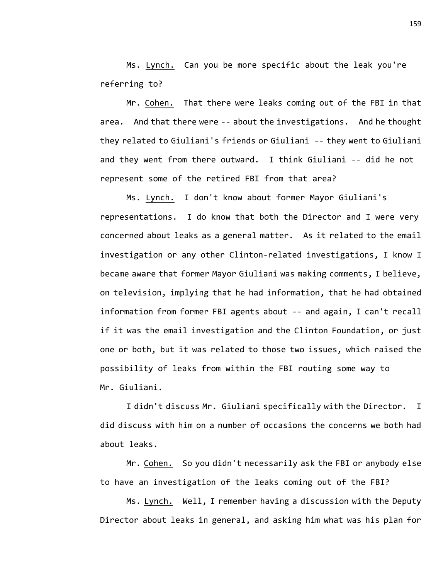Ms. Lynch. Can you be more specific about the leak you're referring to?

Mr. Cohen. That there were leaks coming out of the FBI in that area. And that there were -- about the investigations. And he thought they related to Giuliani's friends or Giuliani -- they went to Giuliani and they went from there outward. I think Giuliani -- did he not represent some of the retired FBI from that area?

Ms. Lynch. I don't know about former Mayor Giuliani's representations. I do know that both the Director and I were very concerned about leaks as a general matter. As it related to the email investigation or any other Clinton-related investigations, I know I became aware that former Mayor Giuliani was making comments, I believe, on television, implying that he had information, that he had obtained information from former FBI agents about -- and again, I can't recall if it was the email investigation and the Clinton Foundation, or just one or both, but it was related to those two issues, which raised the possibility of leaks from within the FBI routing some way to Mr. Giuliani.

I didn't discuss Mr. Giuliani specifically with the Director. I did discuss with him on a number of occasions the concerns we both had about leaks.

Mr. Cohen. So you didn't necessarily ask the FBI or anybody else to have an investigation of the leaks coming out of the FBI?

Ms. Lynch. Well, I remember having a discussion with the Deputy Director about leaks in general, and asking him what was his plan for

159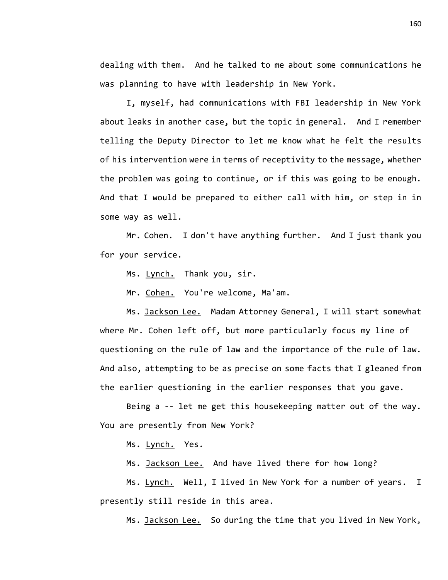dealing with them. And he talked to me about some communications he was planning to have with leadership in New York.

I, myself, had communications with FBI leadership in New York about leaks in another case, but the topic in general. And I remember telling the Deputy Director to let me know what he felt the results of his intervention were in terms of receptivity to the message, whether the problem was going to continue, or if this was going to be enough. And that I would be prepared to either call with him, or step in in some way as well.

Mr. Cohen. I don't have anything further. And I just thank you for your service.

Ms. Lynch. Thank you, sir.

Mr. Cohen. You're welcome, Ma'am.

Ms. Jackson Lee. Madam Attorney General, I will start somewhat where Mr. Cohen left off, but more particularly focus my line of questioning on the rule of law and the importance of the rule of law. And also, attempting to be as precise on some facts that I gleaned from the earlier questioning in the earlier responses that you gave.

Being a -- let me get this housekeeping matter out of the way. You are presently from New York?

Ms. Lynch. Yes.

Ms. Jackson Lee. And have lived there for how long?

Ms. Lynch. Well, I lived in New York for a number of years. I presently still reside in this area.

Ms. Jackson Lee. So during the time that you lived in New York,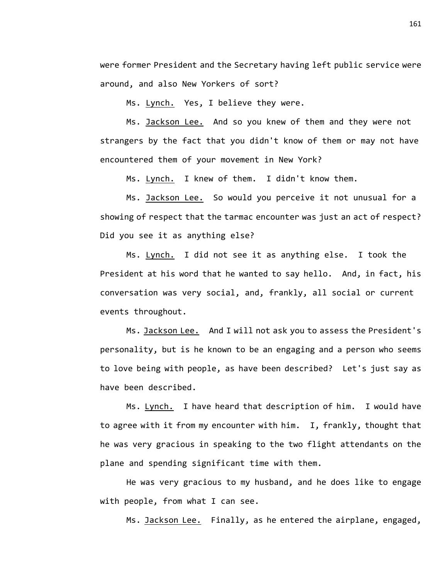were former President and the Secretary having left public service were around, and also New Yorkers of sort?

Ms. Lynch. Yes, I believe they were.

Ms. Jackson Lee. And so you knew of them and they were not strangers by the fact that you didn't know of them or may not have encountered them of your movement in New York?

Ms. Lynch. I knew of them. I didn't know them.

Ms. Jackson Lee. So would you perceive it not unusual for a showing of respect that the tarmac encounter was just an act of respect? Did you see it as anything else?

Ms. Lynch. I did not see it as anything else. I took the President at his word that he wanted to say hello. And, in fact, his conversation was very social, and, frankly, all social or current events throughout.

Ms. Jackson Lee. And I will not ask you to assess the President's personality, but is he known to be an engaging and a person who seems to love being with people, as have been described? Let's just say as have been described.

Ms. Lynch. I have heard that description of him. I would have to agree with it from my encounter with him. I, frankly, thought that he was very gracious in speaking to the two flight attendants on the plane and spending significant time with them.

He was very gracious to my husband, and he does like to engage with people, from what I can see.

Ms. Jackson Lee. Finally, as he entered the airplane, engaged,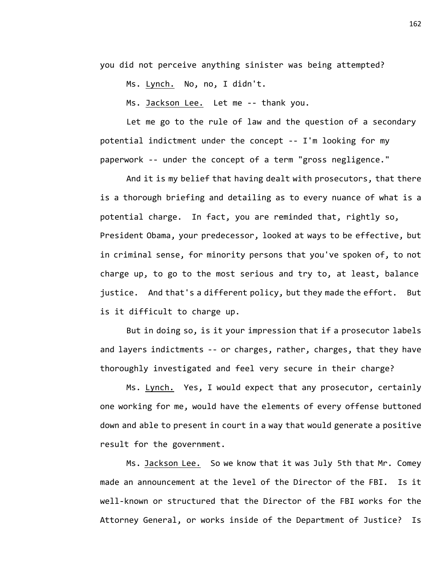you did not perceive anything sinister was being attempted?

Ms. Lynch. No, no, I didn't.

Ms. Jackson Lee. Let me -- thank you.

Let me go to the rule of law and the question of a secondary potential indictment under the concept -- I'm looking for my paperwork -- under the concept of a term "gross negligence."

And it is my belief that having dealt with prosecutors, that there is a thorough briefing and detailing as to every nuance of what is a potential charge. In fact, you are reminded that, rightly so, President Obama, your predecessor, looked at ways to be effective, but in criminal sense, for minority persons that you've spoken of, to not charge up, to go to the most serious and try to, at least, balance justice. And that's a different policy, but they made the effort. But is it difficult to charge up.

But in doing so, is it your impression that if a prosecutor labels and layers indictments -- or charges, rather, charges, that they have thoroughly investigated and feel very secure in their charge?

Ms. Lynch. Yes, I would expect that any prosecutor, certainly one working for me, would have the elements of every offense buttoned down and able to present in court in a way that would generate a positive result for the government.

Ms. Jackson Lee. So we know that it was July 5th that Mr. Comey made an announcement at the level of the Director of the FBI. Is it well-known or structured that the Director of the FBI works for the Attorney General, or works inside of the Department of Justice? Is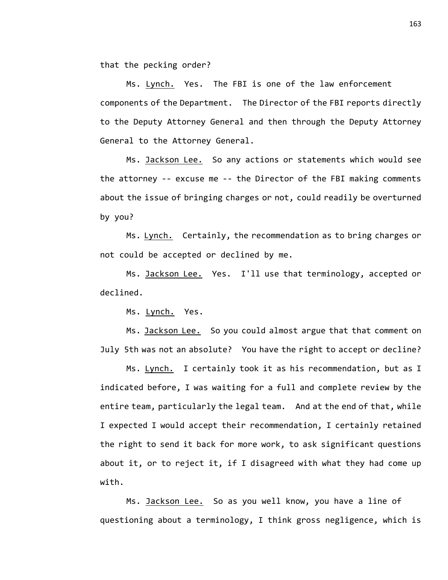that the pecking order?

Ms. Lynch. Yes. The FBI is one of the law enforcement components of the Department. The Director of the FBI reports directly to the Deputy Attorney General and then through the Deputy Attorney General to the Attorney General.

Ms. Jackson Lee. So any actions or statements which would see the attorney -- excuse me -- the Director of the FBI making comments about the issue of bringing charges or not, could readily be overturned by you?

Ms. Lynch. Certainly, the recommendation as to bring charges or not could be accepted or declined by me.

Ms. Jackson Lee. Yes. I'll use that terminology, accepted or declined.

Ms. Lynch. Yes.

Ms. Jackson Lee. So you could almost argue that that comment on July 5th was not an absolute? You have the right to accept or decline?

Ms. Lynch. I certainly took it as his recommendation, but as I indicated before, I was waiting for a full and complete review by the entire team, particularly the legal team. And at the end of that, while I expected I would accept their recommendation, I certainly retained the right to send it back for more work, to ask significant questions about it, or to reject it, if I disagreed with what they had come up with.

Ms. Jackson Lee. So as you well know, you have a line of questioning about a terminology, I think gross negligence, which is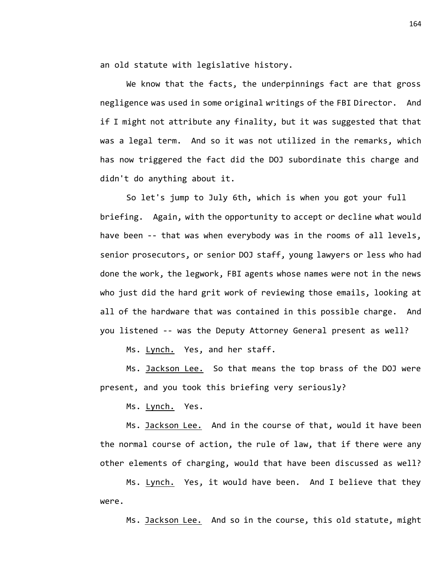an old statute with legislative history.

We know that the facts, the underpinnings fact are that gross negligence was used in some original writings of the FBI Director. And if I might not attribute any finality, but it was suggested that that was a legal term. And so it was not utilized in the remarks, which has now triggered the fact did the DOJ subordinate this charge and didn't do anything about it.

So let's jump to July 6th, which is when you got your full briefing. Again, with the opportunity to accept or decline what would have been -- that was when everybody was in the rooms of all levels, senior prosecutors, or senior DOJ staff, young lawyers or less who had done the work, the legwork, FBI agents whose names were not in the news who just did the hard grit work of reviewing those emails, looking at all of the hardware that was contained in this possible charge. And you listened -- was the Deputy Attorney General present as well?

Ms. Lynch. Yes, and her staff.

Ms. Jackson Lee. So that means the top brass of the DOJ were present, and you took this briefing very seriously?

Ms. Lynch. Yes.

Ms. Jackson Lee. And in the course of that, would it have been the normal course of action, the rule of law, that if there were any other elements of charging, would that have been discussed as well?

Ms. Lynch. Yes, it would have been. And I believe that they were.

Ms. Jackson Lee. And so in the course, this old statute, might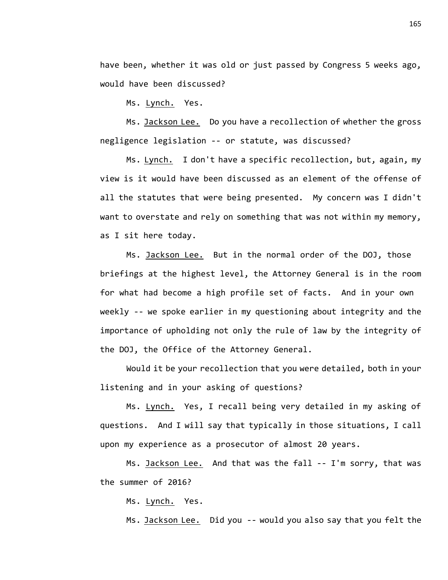have been, whether it was old or just passed by Congress 5 weeks ago, would have been discussed?

Ms. Lynch. Yes.

Ms. Jackson Lee. Do you have a recollection of whether the gross negligence legislation -- or statute, was discussed?

Ms. Lynch. I don't have a specific recollection, but, again, my view is it would have been discussed as an element of the offense of all the statutes that were being presented. My concern was I didn't want to overstate and rely on something that was not within my memory, as I sit here today.

Ms. Jackson Lee. But in the normal order of the DOJ, those briefings at the highest level, the Attorney General is in the room for what had become a high profile set of facts. And in your own weekly -- we spoke earlier in my questioning about integrity and the importance of upholding not only the rule of law by the integrity of the DOJ, the Office of the Attorney General.

Would it be your recollection that you were detailed, both in your listening and in your asking of questions?

Ms. Lynch. Yes, I recall being very detailed in my asking of questions. And I will say that typically in those situations, I call upon my experience as a prosecutor of almost 20 years.

Ms. Jackson Lee. And that was the fall -- I'm sorry, that was the summer of 2016?

Ms. Lynch. Yes.

Ms. Jackson Lee. Did you -- would you also say that you felt the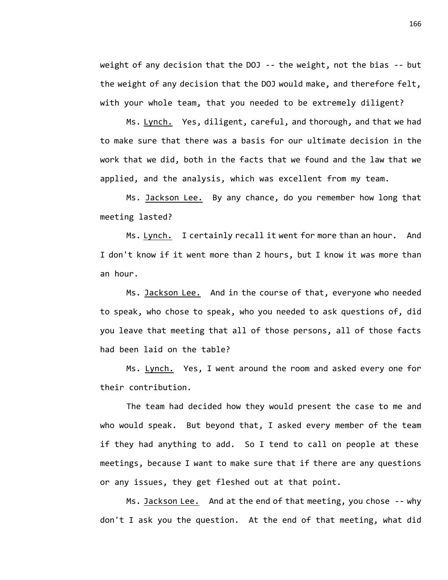weight of any decision that the DOJ -- the weight, not the bias -- but the weight of any decision that the DOJ would make, and therefore felt, with your whole team, that you needed to be extremely diligent?

Ms. Lynch. Yes, diligent, careful, and thorough, and that we had to make sure that there was a basis for our ultimate decision in the work that we did, both in the facts that we found and the law that we applied, and the analysis, which was excellent from my team.

Ms. Jackson Lee. By any chance, do you remember how long that meeting lasted?

Ms. Lynch. I certainly recall it went for more than an hour. And I don't know if it went more than 2 hours, but I know it was more than an hour.

Ms. Jackson Lee. And in the course of that, everyone who needed to speak, who chose to speak, who you needed to ask questions of, did you leave that meeting that all of those persons, all of those facts had been laid on the table?

Ms. Lynch. Yes, I went around the room and asked every one for their contribution.

The team had decided how they would present the case to me and who would speak. But beyond that, I asked every member of the team if they had anything to add. So I tend to call on people at these meetings, because I want to make sure that if there are any questions or any issues, they get fleshed out at that point.

Ms. Jackson Lee. And at the end of that meeting, you chose -- why don't I ask you the question. At the end of that meeting, what did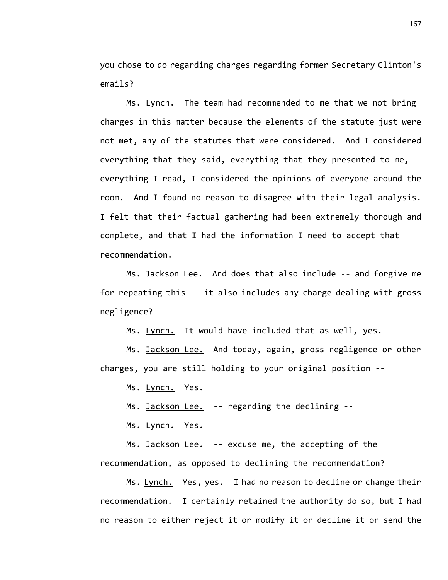you chose to do regarding charges regarding former Secretary Clinton's emails?

Ms. Lynch. The team had recommended to me that we not bring charges in this matter because the elements of the statute just were not met, any of the statutes that were considered. And I considered everything that they said, everything that they presented to me, everything I read, I considered the opinions of everyone around the room. And I found no reason to disagree with their legal analysis. I felt that their factual gathering had been extremely thorough and complete, and that I had the information I need to accept that recommendation.

Ms. Jackson Lee. And does that also include -- and forgive me for repeating this -- it also includes any charge dealing with gross negligence?

Ms. Lynch. It would have included that as well, yes.

Ms. Jackson Lee. And today, again, gross negligence or other charges, you are still holding to your original position --

Ms. Lynch. Yes.

Ms. Jackson Lee. -- regarding the declining --

Ms. Lynch. Yes.

Ms. Jackson Lee. -- excuse me, the accepting of the recommendation, as opposed to declining the recommendation?

Ms. Lynch. Yes, yes. I had no reason to decline or change their recommendation. I certainly retained the authority do so, but I had no reason to either reject it or modify it or decline it or send the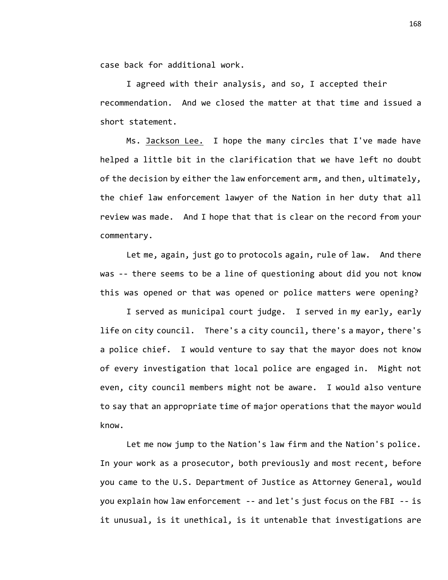case back for additional work.

I agreed with their analysis, and so, I accepted their recommendation. And we closed the matter at that time and issued a short statement.

Ms. Jackson Lee. I hope the many circles that I've made have helped a little bit in the clarification that we have left no doubt of the decision by either the law enforcement arm, and then, ultimately, the chief law enforcement lawyer of the Nation in her duty that all review was made. And I hope that that is clear on the record from your commentary.

Let me, again, just go to protocols again, rule of law. And there was -- there seems to be a line of questioning about did you not know this was opened or that was opened or police matters were opening?

I served as municipal court judge. I served in my early, early life on city council. There's a city council, there's a mayor, there's a police chief. I would venture to say that the mayor does not know of every investigation that local police are engaged in. Might not even, city council members might not be aware. I would also venture to say that an appropriate time of major operations that the mayor would know.

Let me now jump to the Nation's law firm and the Nation's police. In your work as a prosecutor, both previously and most recent, before you came to the U.S. Department of Justice as Attorney General, would you explain how law enforcement -- and let's just focus on the FBI -- is it unusual, is it unethical, is it untenable that investigations are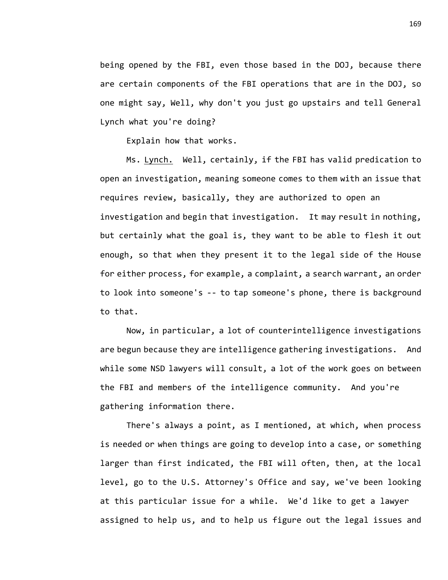being opened by the FBI, even those based in the DOJ, because there are certain components of the FBI operations that are in the DOJ, so one might say, Well, why don't you just go upstairs and tell General Lynch what you're doing?

Explain how that works.

Ms. Lynch. Well, certainly, if the FBI has valid predication to open an investigation, meaning someone comes to them with an issue that requires review, basically, they are authorized to open an investigation and begin that investigation. It may result in nothing, but certainly what the goal is, they want to be able to flesh it out enough, so that when they present it to the legal side of the House for either process, for example, a complaint, a search warrant, an order to look into someone's -- to tap someone's phone, there is background to that.

Now, in particular, a lot of counterintelligence investigations are begun because they are intelligence gathering investigations. And while some NSD lawyers will consult, a lot of the work goes on between the FBI and members of the intelligence community. And you're gathering information there.

There's always a point, as I mentioned, at which, when process is needed or when things are going to develop into a case, or something larger than first indicated, the FBI will often, then, at the local level, go to the U.S. Attorney's Office and say, we've been looking at this particular issue for a while. We'd like to get a lawyer assigned to help us, and to help us figure out the legal issues and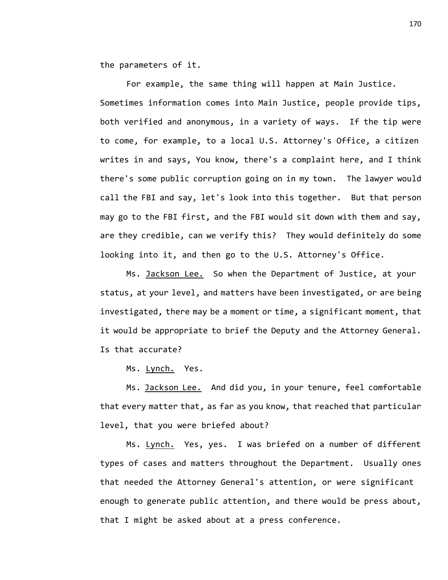the parameters of it.

For example, the same thing will happen at Main Justice. Sometimes information comes into Main Justice, people provide tips, both verified and anonymous, in a variety of ways. If the tip were to come, for example, to a local U.S. Attorney's Office, a citizen writes in and says, You know, there's a complaint here, and I think there's some public corruption going on in my town. The lawyer would call the FBI and say, let's look into this together. But that person may go to the FBI first, and the FBI would sit down with them and say, are they credible, can we verify this? They would definitely do some looking into it, and then go to the U.S. Attorney's Office.

Ms. Jackson Lee. So when the Department of Justice, at your status, at your level, and matters have been investigated, or are being investigated, there may be a moment or time, a significant moment, that it would be appropriate to brief the Deputy and the Attorney General. Is that accurate?

Ms. Lynch. Yes.

Ms. Jackson Lee. And did you, in your tenure, feel comfortable that every matter that, as far as you know, that reached that particular level, that you were briefed about?

Ms. Lynch. Yes, yes. I was briefed on a number of different types of cases and matters throughout the Department. Usually ones that needed the Attorney General's attention, or were significant enough to generate public attention, and there would be press about, that I might be asked about at a press conference.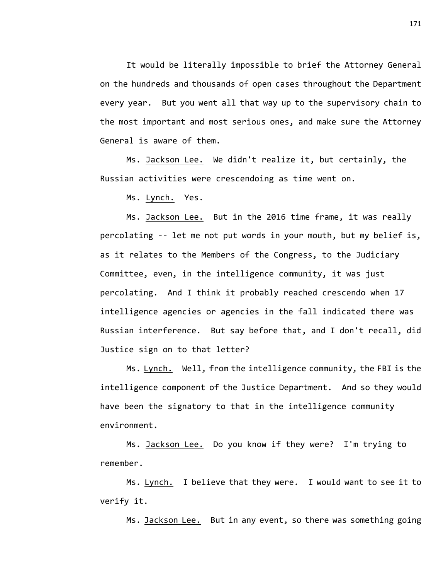It would be literally impossible to brief the Attorney General on the hundreds and thousands of open cases throughout the Department every year. But you went all that way up to the supervisory chain to the most important and most serious ones, and make sure the Attorney General is aware of them.

Ms. Jackson Lee. We didn't realize it, but certainly, the Russian activities were crescendoing as time went on.

Ms. Lynch. Yes.

Ms. Jackson Lee. But in the 2016 time frame, it was really percolating -- let me not put words in your mouth, but my belief is, as it relates to the Members of the Congress, to the Judiciary Committee, even, in the intelligence community, it was just percolating. And I think it probably reached crescendo when 17 intelligence agencies or agencies in the fall indicated there was Russian interference. But say before that, and I don't recall, did Justice sign on to that letter?

Ms. Lynch. Well, from the intelligence community, the FBI is the intelligence component of the Justice Department. And so they would have been the signatory to that in the intelligence community environment.

Ms. Jackson Lee. Do you know if they were? I'm trying to remember.

Ms. Lynch. I believe that they were. I would want to see it to verify it.

Ms. Jackson Lee. But in any event, so there was something going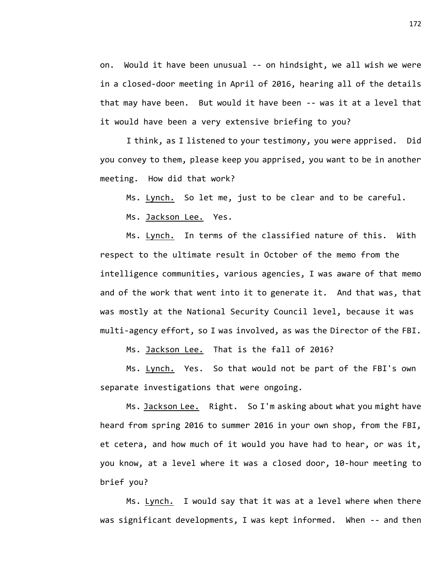on. Would it have been unusual -- on hindsight, we all wish we were in a closed-door meeting in April of 2016, hearing all of the details that may have been. But would it have been -- was it at a level that it would have been a very extensive briefing to you?

I think, as I listened to your testimony, you were apprised. Did you convey to them, please keep you apprised, you want to be in another meeting. How did that work?

Ms. Lynch. So let me, just to be clear and to be careful.

Ms. Jackson Lee. Yes.

Ms. Lynch. In terms of the classified nature of this. With respect to the ultimate result in October of the memo from the intelligence communities, various agencies, I was aware of that memo and of the work that went into it to generate it. And that was, that was mostly at the National Security Council level, because it was multi-agency effort, so I was involved, as was the Director of the FBI.

Ms. Jackson Lee. That is the fall of 2016?

Ms. Lynch. Yes. So that would not be part of the FBI's own separate investigations that were ongoing.

Ms. Jackson Lee. Right. So I'm asking about what you might have heard from spring 2016 to summer 2016 in your own shop, from the FBI, et cetera, and how much of it would you have had to hear, or was it, you know, at a level where it was a closed door, 10-hour meeting to brief you?

Ms. Lynch. I would say that it was at a level where when there was significant developments, I was kept informed. When -- and then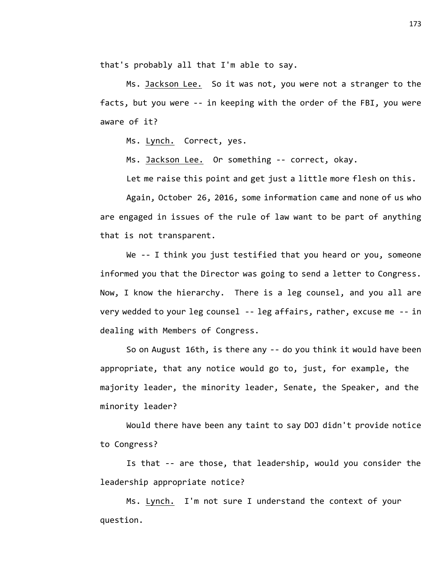that's probably all that I'm able to say.

Ms. Jackson Lee. So it was not, you were not a stranger to the facts, but you were -- in keeping with the order of the FBI, you were aware of it?

Ms. Lynch. Correct, yes.

Ms. Jackson Lee. Or something -- correct, okay.

Let me raise this point and get just a little more flesh on this.

Again, October 26, 2016, some information came and none of us who are engaged in issues of the rule of law want to be part of anything that is not transparent.

We -- I think you just testified that you heard or you, someone informed you that the Director was going to send a letter to Congress. Now, I know the hierarchy. There is a leg counsel, and you all are very wedded to your leg counsel -- leg affairs, rather, excuse me -- in dealing with Members of Congress.

So on August 16th, is there any -- do you think it would have been appropriate, that any notice would go to, just, for example, the majority leader, the minority leader, Senate, the Speaker, and the minority leader?

Would there have been any taint to say DOJ didn't provide notice to Congress?

Is that -- are those, that leadership, would you consider the leadership appropriate notice?

Ms. Lynch. I'm not sure I understand the context of your question.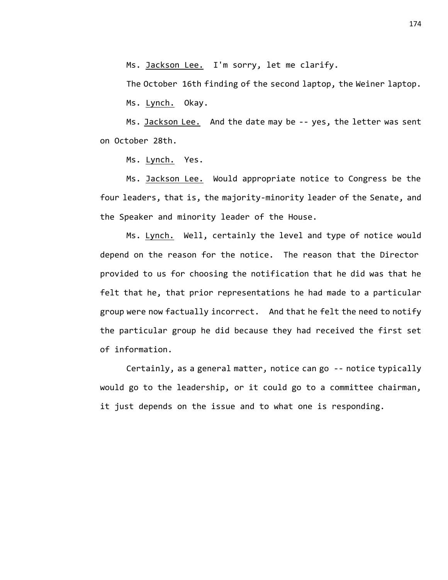Ms. Jackson Lee. I'm sorry, let me clarify.

The October 16th finding of the second laptop, the Weiner laptop.

Ms. Lynch. Okay.

Ms. Jackson Lee. And the date may be -- yes, the letter was sent on October 28th.

Ms. Lynch. Yes.

Ms. Jackson Lee. Would appropriate notice to Congress be the four leaders, that is, the majority-minority leader of the Senate, and the Speaker and minority leader of the House.

Ms. Lynch. Well, certainly the level and type of notice would depend on the reason for the notice. The reason that the Director provided to us for choosing the notification that he did was that he felt that he, that prior representations he had made to a particular group were now factually incorrect. And that he felt the need to notify the particular group he did because they had received the first set of information.

Certainly, as a general matter, notice can go -- notice typically would go to the leadership, or it could go to a committee chairman, it just depends on the issue and to what one is responding.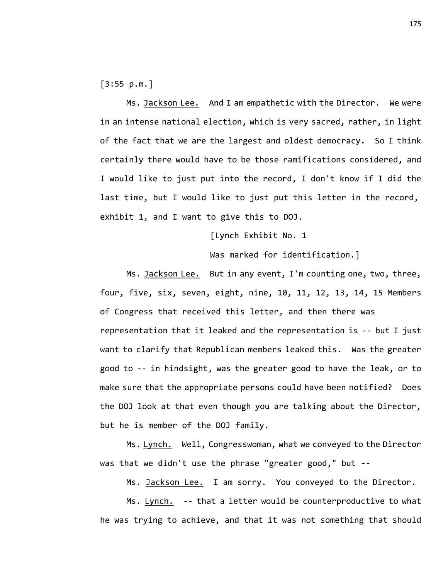[3:55 p.m.]

Ms. Jackson Lee. And I am empathetic with the Director. We were in an intense national election, which is very sacred, rather, in light of the fact that we are the largest and oldest democracy. So I think certainly there would have to be those ramifications considered, and I would like to just put into the record, I don't know if I did the last time, but I would like to just put this letter in the record, exhibit 1, and I want to give this to DOJ.

[Lynch Exhibit No. 1

Was marked for identification.]

Ms. Jackson Lee. But in any event, I'm counting one, two, three, four, five, six, seven, eight, nine, 10, 11, 12, 13, 14, 15 Members of Congress that received this letter, and then there was representation that it leaked and the representation is -- but I just want to clarify that Republican members leaked this. Was the greater good to -- in hindsight, was the greater good to have the leak, or to make sure that the appropriate persons could have been notified? Does the DOJ look at that even though you are talking about the Director, but he is member of the DOJ family.

Ms. Lynch. Well, Congresswoman, what we conveyed to the Director was that we didn't use the phrase "greater good," but --

Ms. Jackson Lee. I am sorry. You conveyed to the Director.

Ms. Lynch. -- that a letter would be counterproductive to what he was trying to achieve, and that it was not something that should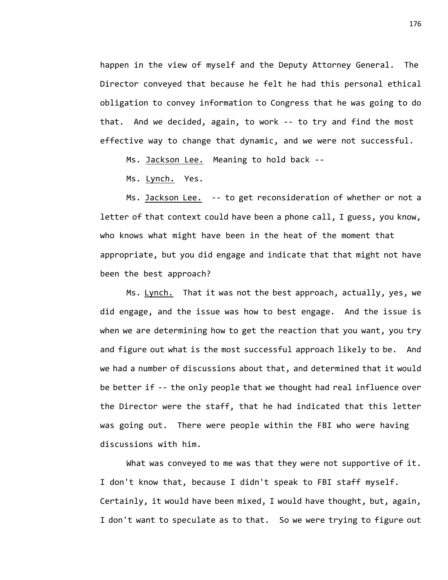happen in the view of myself and the Deputy Attorney General. The Director conveyed that because he felt he had this personal ethical obligation to convey information to Congress that he was going to do that. And we decided, again, to work -- to try and find the most effective way to change that dynamic, and we were not successful.

Ms. Jackson Lee. Meaning to hold back --

Ms. Lynch. Yes.

Ms. Jackson Lee. -- to get reconsideration of whether or not a letter of that context could have been a phone call, I guess, you know, who knows what might have been in the heat of the moment that appropriate, but you did engage and indicate that that might not have been the best approach?

Ms. Lynch. That it was not the best approach, actually, yes, we did engage, and the issue was how to best engage. And the issue is when we are determining how to get the reaction that you want, you try and figure out what is the most successful approach likely to be. And we had a number of discussions about that, and determined that it would be better if -- the only people that we thought had real influence over the Director were the staff, that he had indicated that this letter was going out. There were people within the FBI who were having discussions with him.

What was conveyed to me was that they were not supportive of it. I don't know that, because I didn't speak to FBI staff myself. Certainly, it would have been mixed, I would have thought, but, again, I don't want to speculate as to that. So we were trying to figure out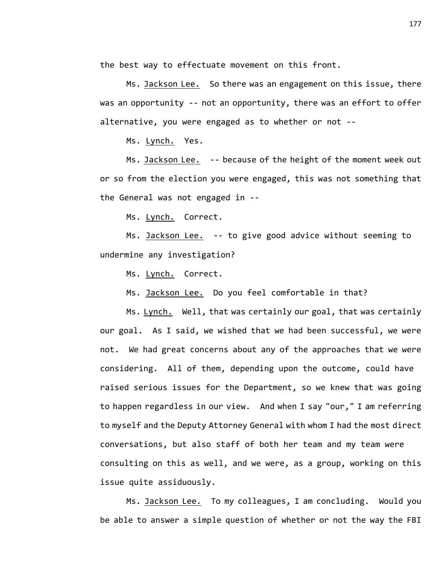the best way to effectuate movement on this front.

Ms. Jackson Lee. So there was an engagement on this issue, there was an opportunity -- not an opportunity, there was an effort to offer alternative, you were engaged as to whether or not --

Ms. Lynch. Yes.

Ms. Jackson Lee. -- because of the height of the moment week out or so from the election you were engaged, this was not something that the General was not engaged in --

Ms. Lynch. Correct.

Ms. Jackson Lee. -- to give good advice without seeming to undermine any investigation?

Ms. Lynch. Correct.

Ms. Jackson Lee. Do you feel comfortable in that?

Ms. Lynch. Well, that was certainly our goal, that was certainly our goal. As I said, we wished that we had been successful, we were not. We had great concerns about any of the approaches that we were considering. All of them, depending upon the outcome, could have raised serious issues for the Department, so we knew that was going to happen regardless in our view. And when I say "our," I am referring to myself and the Deputy Attorney General with whom I had the most direct conversations, but also staff of both her team and my team were consulting on this as well, and we were, as a group, working on this issue quite assiduously.

Ms. Jackson Lee. To my colleagues, I am concluding. Would you be able to answer a simple question of whether or not the way the FBI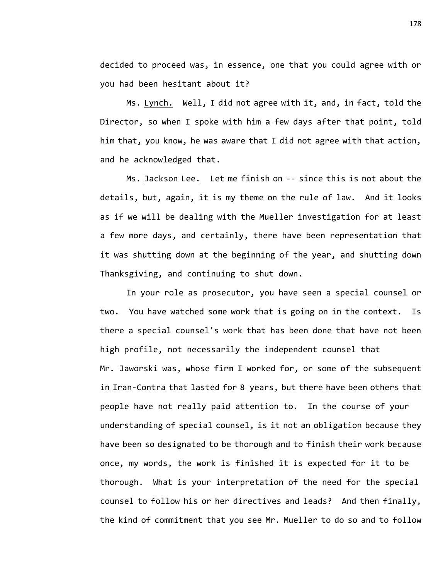decided to proceed was, in essence, one that you could agree with or you had been hesitant about it?

Ms. Lynch. Well, I did not agree with it, and, in fact, told the Director, so when I spoke with him a few days after that point, told him that, you know, he was aware that I did not agree with that action, and he acknowledged that.

Ms. Jackson Lee. Let me finish on -- since this is not about the details, but, again, it is my theme on the rule of law. And it looks as if we will be dealing with the Mueller investigation for at least a few more days, and certainly, there have been representation that it was shutting down at the beginning of the year, and shutting down Thanksgiving, and continuing to shut down.

In your role as prosecutor, you have seen a special counsel or two. You have watched some work that is going on in the context. Is there a special counsel's work that has been done that have not been high profile, not necessarily the independent counsel that Mr. Jaworski was, whose firm I worked for, or some of the subsequent in Iran-Contra that lasted for 8 years, but there have been others that people have not really paid attention to. In the course of your understanding of special counsel, is it not an obligation because they have been so designated to be thorough and to finish their work because once, my words, the work is finished it is expected for it to be thorough. What is your interpretation of the need for the special counsel to follow his or her directives and leads? And then finally, the kind of commitment that you see Mr. Mueller to do so and to follow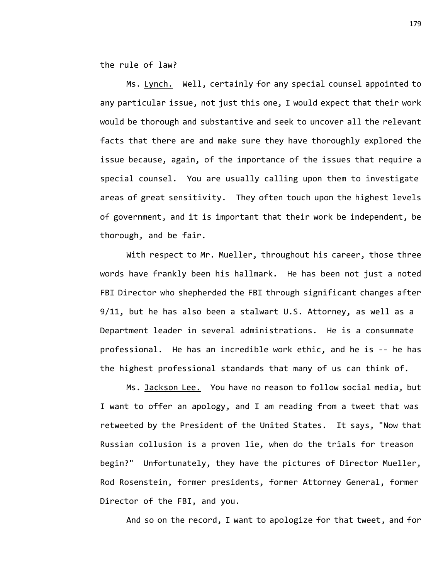the rule of law?

Ms. Lynch. Well, certainly for any special counsel appointed to any particular issue, not just this one, I would expect that their work would be thorough and substantive and seek to uncover all the relevant facts that there are and make sure they have thoroughly explored the issue because, again, of the importance of the issues that require a special counsel. You are usually calling upon them to investigate areas of great sensitivity. They often touch upon the highest levels of government, and it is important that their work be independent, be thorough, and be fair.

With respect to Mr. Mueller, throughout his career, those three words have frankly been his hallmark. He has been not just a noted FBI Director who shepherded the FBI through significant changes after 9/11, but he has also been a stalwart U.S. Attorney, as well as a Department leader in several administrations. He is a consummate professional. He has an incredible work ethic, and he is -- he has the highest professional standards that many of us can think of.

Ms. Jackson Lee. You have no reason to follow social media, but I want to offer an apology, and I am reading from a tweet that was retweeted by the President of the United States. It says, "Now that Russian collusion is a proven lie, when do the trials for treason begin?" Unfortunately, they have the pictures of Director Mueller, Rod Rosenstein, former presidents, former Attorney General, former Director of the FBI, and you.

And so on the record, I want to apologize for that tweet, and for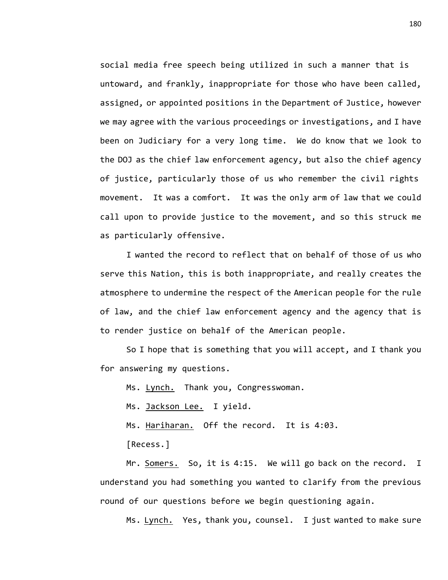social media free speech being utilized in such a manner that is untoward, and frankly, inappropriate for those who have been called, assigned, or appointed positions in the Department of Justice, however we may agree with the various proceedings or investigations, and I have been on Judiciary for a very long time. We do know that we look to the DOJ as the chief law enforcement agency, but also the chief agency of justice, particularly those of us who remember the civil rights movement. It was a comfort. It was the only arm of law that we could call upon to provide justice to the movement, and so this struck me as particularly offensive.

I wanted the record to reflect that on behalf of those of us who serve this Nation, this is both inappropriate, and really creates the atmosphere to undermine the respect of the American people for the rule of law, and the chief law enforcement agency and the agency that is to render justice on behalf of the American people.

So I hope that is something that you will accept, and I thank you for answering my questions.

Ms. Lynch. Thank you, Congresswoman.

Ms. Jackson Lee. I yield.

Ms. Hariharan. Off the record. It is 4:03.

[Recess.]

Mr. Somers. So, it is 4:15. We will go back on the record. I understand you had something you wanted to clarify from the previous round of our questions before we begin questioning again.

Ms. Lynch. Yes, thank you, counsel. I just wanted to make sure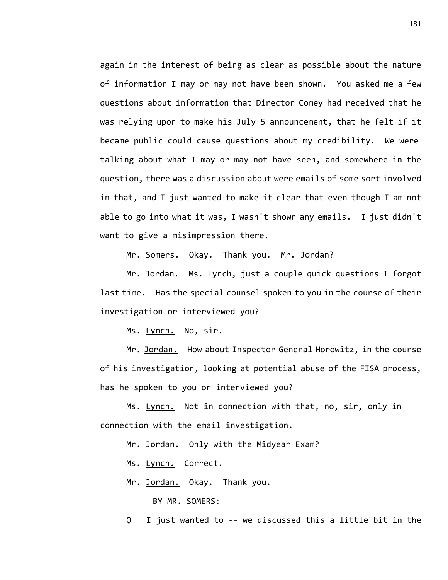again in the interest of being as clear as possible about the nature of information I may or may not have been shown. You asked me a few questions about information that Director Comey had received that he was relying upon to make his July 5 announcement, that he felt if it became public could cause questions about my credibility. We were talking about what I may or may not have seen, and somewhere in the question, there was a discussion about were emails of some sort involved in that, and I just wanted to make it clear that even though I am not able to go into what it was, I wasn't shown any emails. I just didn't want to give a misimpression there.

Mr. Somers. Okay. Thank you. Mr. Jordan?

Mr. Jordan. Ms. Lynch, just a couple quick questions I forgot last time. Has the special counsel spoken to you in the course of their investigation or interviewed you?

Ms. Lynch. No, sir.

Mr. Jordan. How about Inspector General Horowitz, in the course of his investigation, looking at potential abuse of the FISA process, has he spoken to you or interviewed you?

Ms. Lynch. Not in connection with that, no, sir, only in connection with the email investigation.

Mr. Jordan. Only with the Midyear Exam?

Ms. Lynch. Correct.

Mr. Jordan. Okay. Thank you.

BY MR. SOMERS:

Q I just wanted to -- we discussed this a little bit in the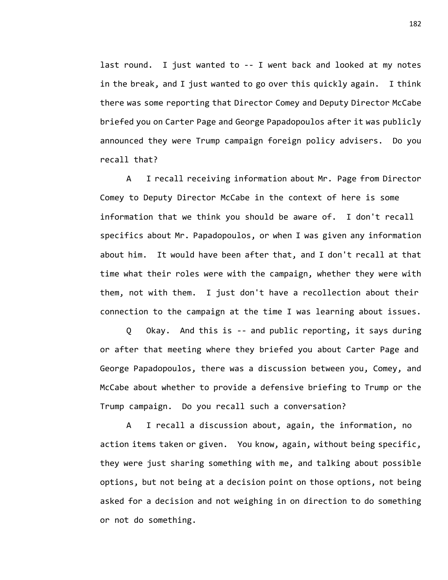last round. I just wanted to -- I went back and looked at my notes in the break, and I just wanted to go over this quickly again. I think there was some reporting that Director Comey and Deputy Director McCabe briefed you on Carter Page and George Papadopoulos after it was publicly announced they were Trump campaign foreign policy advisers. Do you recall that?

A I recall receiving information about Mr. Page from Director Comey to Deputy Director McCabe in the context of here is some information that we think you should be aware of. I don't recall specifics about Mr. Papadopoulos, or when I was given any information about him. It would have been after that, and I don't recall at that time what their roles were with the campaign, whether they were with them, not with them. I just don't have a recollection about their connection to the campaign at the time I was learning about issues.

Q Okay. And this is -- and public reporting, it says during or after that meeting where they briefed you about Carter Page and George Papadopoulos, there was a discussion between you, Comey, and McCabe about whether to provide a defensive briefing to Trump or the Trump campaign. Do you recall such a conversation?

A I recall a discussion about, again, the information, no action items taken or given. You know, again, without being specific, they were just sharing something with me, and talking about possible options, but not being at a decision point on those options, not being asked for a decision and not weighing in on direction to do something or not do something.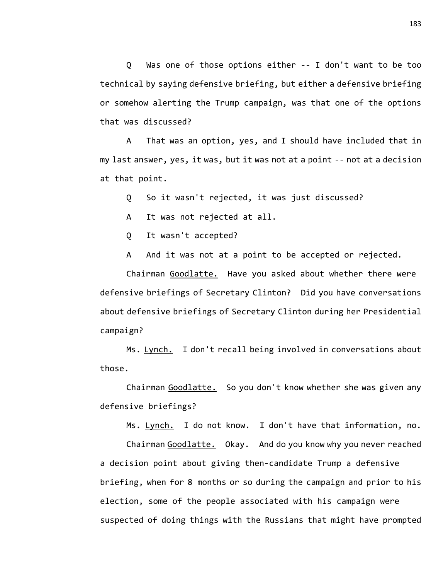Q Was one of those options either -- I don't want to be too technical by saying defensive briefing, but either a defensive briefing or somehow alerting the Trump campaign, was that one of the options that was discussed?

A That was an option, yes, and I should have included that in my last answer, yes, it was, but it was not at a point -- not at a decision at that point.

Q So it wasn't rejected, it was just discussed?

A It was not rejected at all.

Q It wasn't accepted?

A And it was not at a point to be accepted or rejected.

Chairman Goodlatte. Have you asked about whether there were defensive briefings of Secretary Clinton? Did you have conversations about defensive briefings of Secretary Clinton during her Presidential campaign?

Ms. Lynch. I don't recall being involved in conversations about those.

Chairman Goodlatte. So you don't know whether she was given any defensive briefings?

Ms. Lynch. I do not know. I don't have that information, no.

Chairman Goodlatte. Okay. And do you know why you never reached a decision point about giving then-candidate Trump a defensive briefing, when for 8 months or so during the campaign and prior to his election, some of the people associated with his campaign were suspected of doing things with the Russians that might have prompted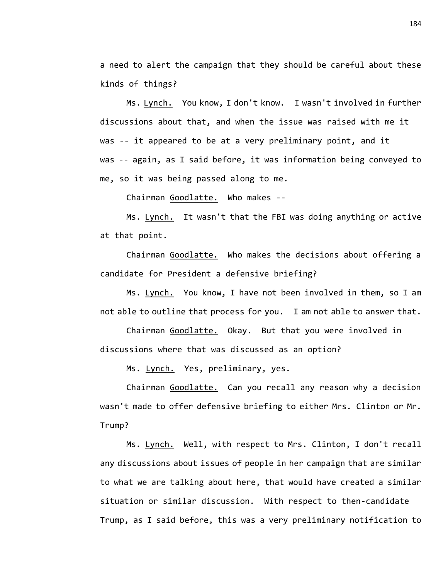a need to alert the campaign that they should be careful about these kinds of things?

Ms. Lynch. You know, I don't know. I wasn't involved in further discussions about that, and when the issue was raised with me it was -- it appeared to be at a very preliminary point, and it was -- again, as I said before, it was information being conveyed to me, so it was being passed along to me.

Chairman Goodlatte. Who makes --

Ms. Lynch. It wasn't that the FBI was doing anything or active at that point.

Chairman Goodlatte. Who makes the decisions about offering a candidate for President a defensive briefing?

Ms. Lynch. You know, I have not been involved in them, so I am not able to outline that process for you. I am not able to answer that.

Chairman Goodlatte. Okay. But that you were involved in discussions where that was discussed as an option?

Ms. Lynch. Yes, preliminary, yes.

Chairman Goodlatte. Can you recall any reason why a decision wasn't made to offer defensive briefing to either Mrs. Clinton or Mr. Trump?

Ms. Lynch. Well, with respect to Mrs. Clinton, I don't recall any discussions about issues of people in her campaign that are similar to what we are talking about here, that would have created a similar situation or similar discussion. With respect to then-candidate Trump, as I said before, this was a very preliminary notification to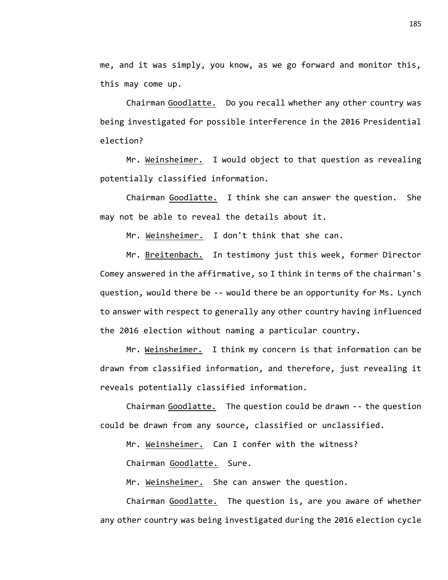me, and it was simply, you know, as we go forward and monitor this, this may come up.

Chairman Goodlatte. Do you recall whether any other country was being investigated for possible interference in the 2016 Presidential election?

Mr. Weinsheimer. I would object to that question as revealing potentially classified information.

Chairman Goodlatte. I think she can answer the question. She may not be able to reveal the details about it.

Mr. Weinsheimer. I don't think that she can.

Mr. Breitenbach. In testimony just this week, former Director Comey answered in the affirmative, so I think in terms of the chairman's question, would there be -- would there be an opportunity for Ms. Lynch to answer with respect to generally any other country having influenced the 2016 election without naming a particular country.

Mr. Weinsheimer. I think my concern is that information can be drawn from classified information, and therefore, just revealing it reveals potentially classified information.

Chairman Goodlatte. The question could be drawn -- the question could be drawn from any source, classified or unclassified.

Mr. Weinsheimer. Can I confer with the witness?

Chairman Goodlatte. Sure.

Mr. Weinsheimer. She can answer the question.

Chairman Goodlatte. The question is, are you aware of whether any other country was being investigated during the 2016 election cycle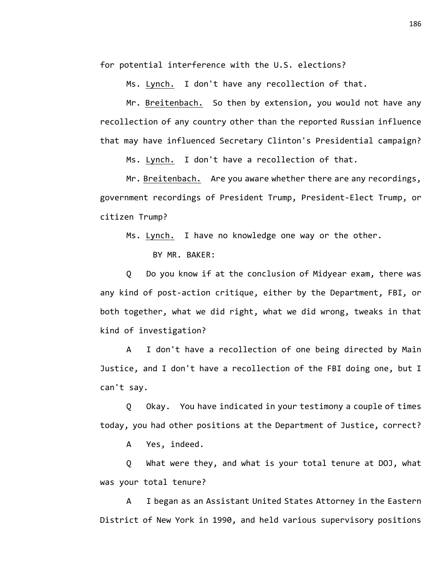for potential interference with the U.S. elections?

Ms. Lynch. I don't have any recollection of that.

Mr. Breitenbach. So then by extension, you would not have any recollection of any country other than the reported Russian influence that may have influenced Secretary Clinton's Presidential campaign?

Ms. Lynch. I don't have a recollection of that.

Mr. Breitenbach. Are you aware whether there are any recordings, government recordings of President Trump, President-Elect Trump, or citizen Trump?

Ms. Lynch. I have no knowledge one way or the other.

BY MR. BAKER:

Q Do you know if at the conclusion of Midyear exam, there was any kind of post-action critique, either by the Department, FBI, or both together, what we did right, what we did wrong, tweaks in that kind of investigation?

A I don't have a recollection of one being directed by Main Justice, and I don't have a recollection of the FBI doing one, but I can't say.

Q Okay. You have indicated in your testimony a couple of times today, you had other positions at the Department of Justice, correct?

A Yes, indeed.

Q What were they, and what is your total tenure at DOJ, what was your total tenure?

A I began as an Assistant United States Attorney in the Eastern District of New York in 1990, and held various supervisory positions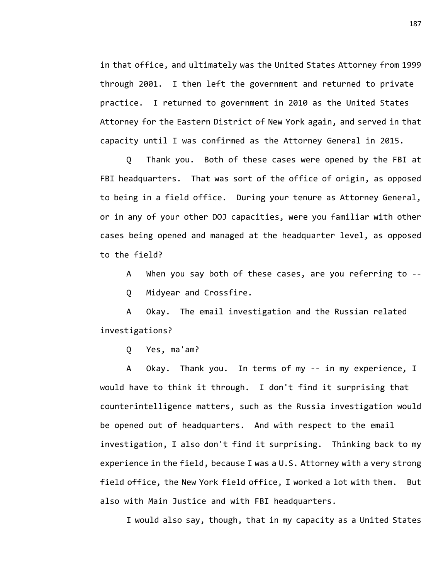in that office, and ultimately was the United States Attorney from 1999 through 2001. I then left the government and returned to private practice. I returned to government in 2010 as the United States Attorney for the Eastern District of New York again, and served in that capacity until I was confirmed as the Attorney General in 2015.

Q Thank you. Both of these cases were opened by the FBI at FBI headquarters. That was sort of the office of origin, as opposed to being in a field office. During your tenure as Attorney General, or in any of your other DOJ capacities, were you familiar with other cases being opened and managed at the headquarter level, as opposed to the field?

A When you say both of these cases, are you referring to -- Q Midyear and Crossfire.

A Okay. The email investigation and the Russian related investigations?

Q Yes, ma'am?

A Okay. Thank you. In terms of my -- in my experience, I would have to think it through. I don't find it surprising that counterintelligence matters, such as the Russia investigation would be opened out of headquarters. And with respect to the email investigation, I also don't find it surprising. Thinking back to my experience in the field, because I was a U.S. Attorney with a very strong field office, the New York field office, I worked a lot with them. But also with Main Justice and with FBI headquarters.

I would also say, though, that in my capacity as a United States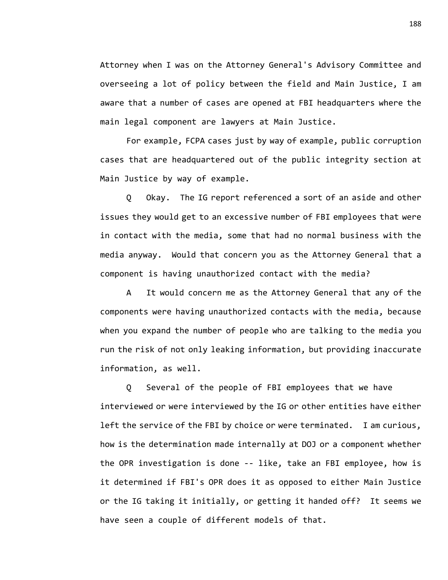Attorney when I was on the Attorney General's Advisory Committee and overseeing a lot of policy between the field and Main Justice, I am aware that a number of cases are opened at FBI headquarters where the main legal component are lawyers at Main Justice.

For example, FCPA cases just by way of example, public corruption cases that are headquartered out of the public integrity section at Main Justice by way of example.

Q Okay. The IG report referenced a sort of an aside and other issues they would get to an excessive number of FBI employees that were in contact with the media, some that had no normal business with the media anyway. Would that concern you as the Attorney General that a component is having unauthorized contact with the media?

A It would concern me as the Attorney General that any of the components were having unauthorized contacts with the media, because when you expand the number of people who are talking to the media you run the risk of not only leaking information, but providing inaccurate information, as well.

Q Several of the people of FBI employees that we have interviewed or were interviewed by the IG or other entities have either left the service of the FBI by choice or were terminated. I am curious, how is the determination made internally at DOJ or a component whether the OPR investigation is done -- like, take an FBI employee, how is it determined if FBI's OPR does it as opposed to either Main Justice or the IG taking it initially, or getting it handed off? It seems we have seen a couple of different models of that.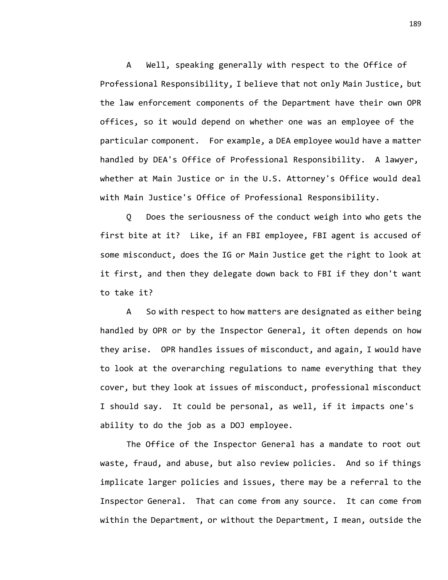A Well, speaking generally with respect to the Office of Professional Responsibility, I believe that not only Main Justice, but the law enforcement components of the Department have their own OPR offices, so it would depend on whether one was an employee of the particular component. For example, a DEA employee would have a matter handled by DEA's Office of Professional Responsibility. A lawyer, whether at Main Justice or in the U.S. Attorney's Office would deal with Main Justice's Office of Professional Responsibility.

Q Does the seriousness of the conduct weigh into who gets the first bite at it? Like, if an FBI employee, FBI agent is accused of some misconduct, does the IG or Main Justice get the right to look at it first, and then they delegate down back to FBI if they don't want to take it?

A So with respect to how matters are designated as either being handled by OPR or by the Inspector General, it often depends on how they arise. OPR handles issues of misconduct, and again, I would have to look at the overarching regulations to name everything that they cover, but they look at issues of misconduct, professional misconduct I should say. It could be personal, as well, if it impacts one's ability to do the job as a DOJ employee.

The Office of the Inspector General has a mandate to root out waste, fraud, and abuse, but also review policies. And so if things implicate larger policies and issues, there may be a referral to the Inspector General. That can come from any source. It can come from within the Department, or without the Department, I mean, outside the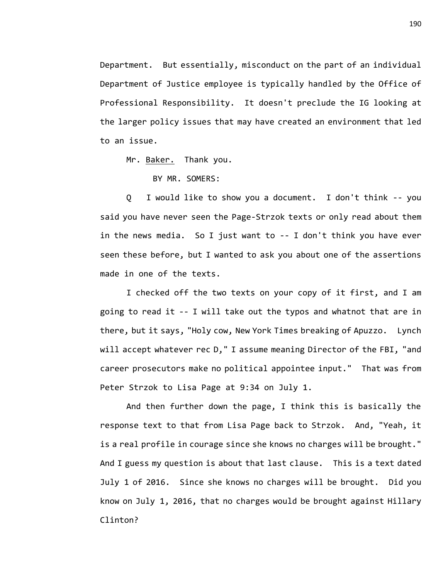Department. But essentially, misconduct on the part of an individual Department of Justice employee is typically handled by the Office of Professional Responsibility. It doesn't preclude the IG looking at the larger policy issues that may have created an environment that led to an issue.

Mr. Baker. Thank you.

BY MR. SOMERS:

Q I would like to show you a document. I don't think -- you said you have never seen the Page-Strzok texts or only read about them in the news media. So I just want to -- I don't think you have ever seen these before, but I wanted to ask you about one of the assertions made in one of the texts.

I checked off the two texts on your copy of it first, and I am going to read it -- I will take out the typos and whatnot that are in there, but it says, "Holy cow, New York Times breaking of Apuzzo. Lynch will accept whatever rec D," I assume meaning Director of the FBI, "and career prosecutors make no political appointee input." That was from Peter Strzok to Lisa Page at 9:34 on July 1.

And then further down the page, I think this is basically the response text to that from Lisa Page back to Strzok. And, "Yeah, it is a real profile in courage since she knows no charges will be brought." And I guess my question is about that last clause. This is a text dated July 1 of 2016. Since she knows no charges will be brought. Did you know on July 1, 2016, that no charges would be brought against Hillary Clinton?